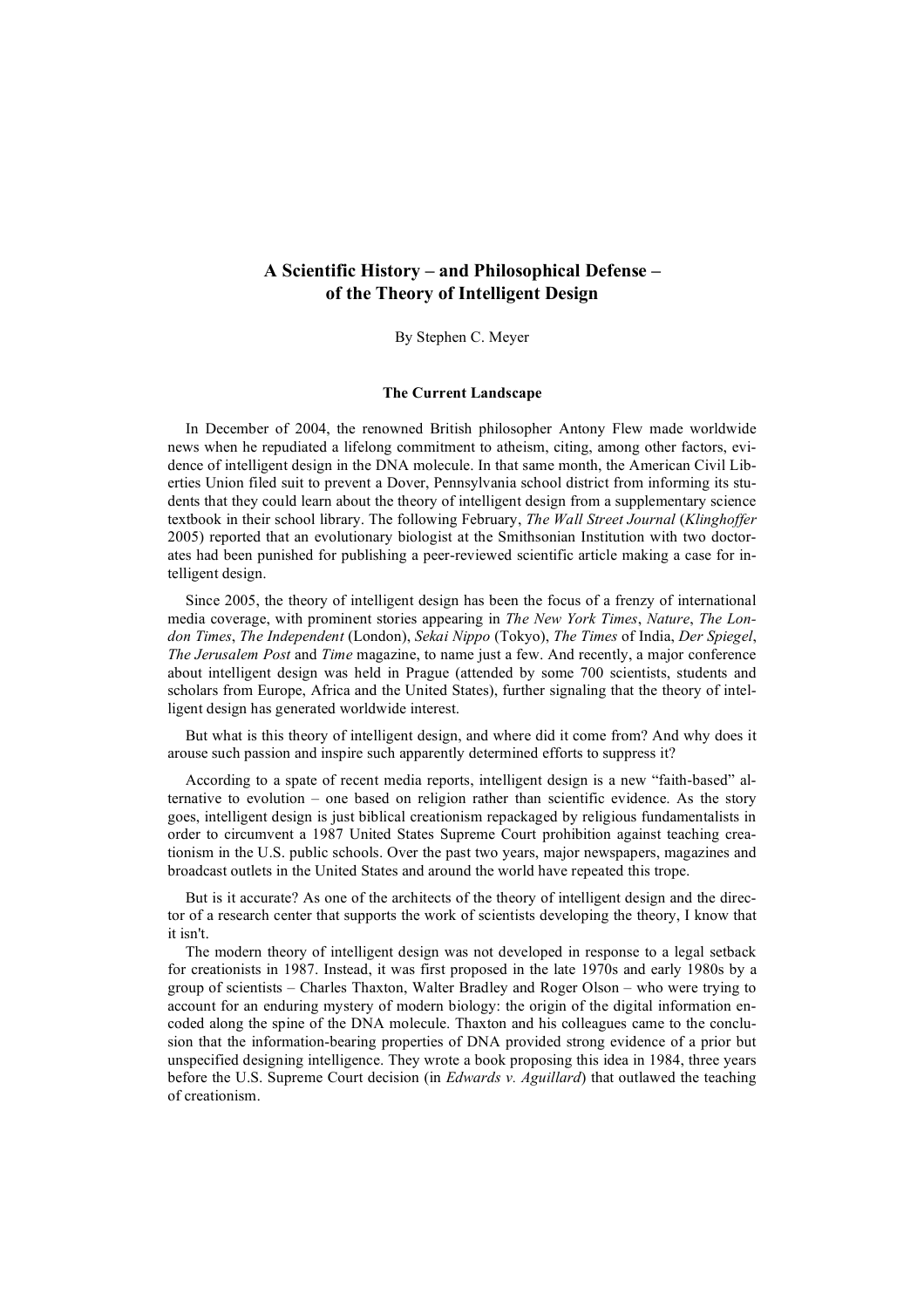By Stephen C. Meyer

### **The Current Landscape**

In December of 2004, the renowned British philosopher Antony Flew made worldwide news when he repudiated a lifelong commitment to atheism, citing, among other factors, evidence of intelligent design in the DNA molecule. In that same month, the American Civil Liberties Union filed suit to prevent a Dover, Pennsylvania school district from informing its students that they could learn about the theory of intelligent design from a supplementary science textbook in their school library. The following February, *The Wall Street Journal* (*Klinghoffer* 2005) reported that an evolutionary biologist at the Smithsonian Institution with two doctorates had been punished for publishing a peer-reviewed scientific article making a case for intelligent design.

Since 2005, the theory of intelligent design has been the focus of a frenzy of international media coverage, with prominent stories appearing in *The New York Times*, *Nature*, *The London Times*, *The Independent* (London), *Sekai Nippo* (Tokyo), *The Times* of India, *Der Spiegel*, *The Jerusalem Post* and *Time* magazine, to name just a few. And recently, a major conference about intelligent design was held in Prague (attended by some 700 scientists, students and scholars from Europe, Africa and the United States), further signaling that the theory of intelligent design has generated worldwide interest.

But what is this theory of intelligent design, and where did it come from? And why does it arouse such passion and inspire such apparently determined efforts to suppress it?

According to a spate of recent media reports, intelligent design is a new "faith-based" alternative to evolution – one based on religion rather than scientific evidence. As the story goes, intelligent design is just biblical creationism repackaged by religious fundamentalists in order to circumvent a 1987 United States Supreme Court prohibition against teaching creationism in the U.S. public schools. Over the past two years, major newspapers, magazines and broadcast outlets in the United States and around the world have repeated this trope.

But is it accurate? As one of the architects of the theory of intelligent design and the director of a research center that supports the work of scientists developing the theory, I know that it isn't.

The modern theory of intelligent design was not developed in response to a legal setback for creationists in 1987. Instead, it was first proposed in the late 1970s and early 1980s by a group of scientists – Charles Thaxton, Walter Bradley and Roger Olson – who were trying to account for an enduring mystery of modern biology: the origin of the digital information encoded along the spine of the DNA molecule. Thaxton and his colleagues came to the conclusion that the information-bearing properties of DNA provided strong evidence of a prior but unspecified designing intelligence. They wrote a book proposing this idea in 1984, three years before the U.S. Supreme Court decision (in *Edwards v. Aguillard*) that outlawed the teaching of creationism.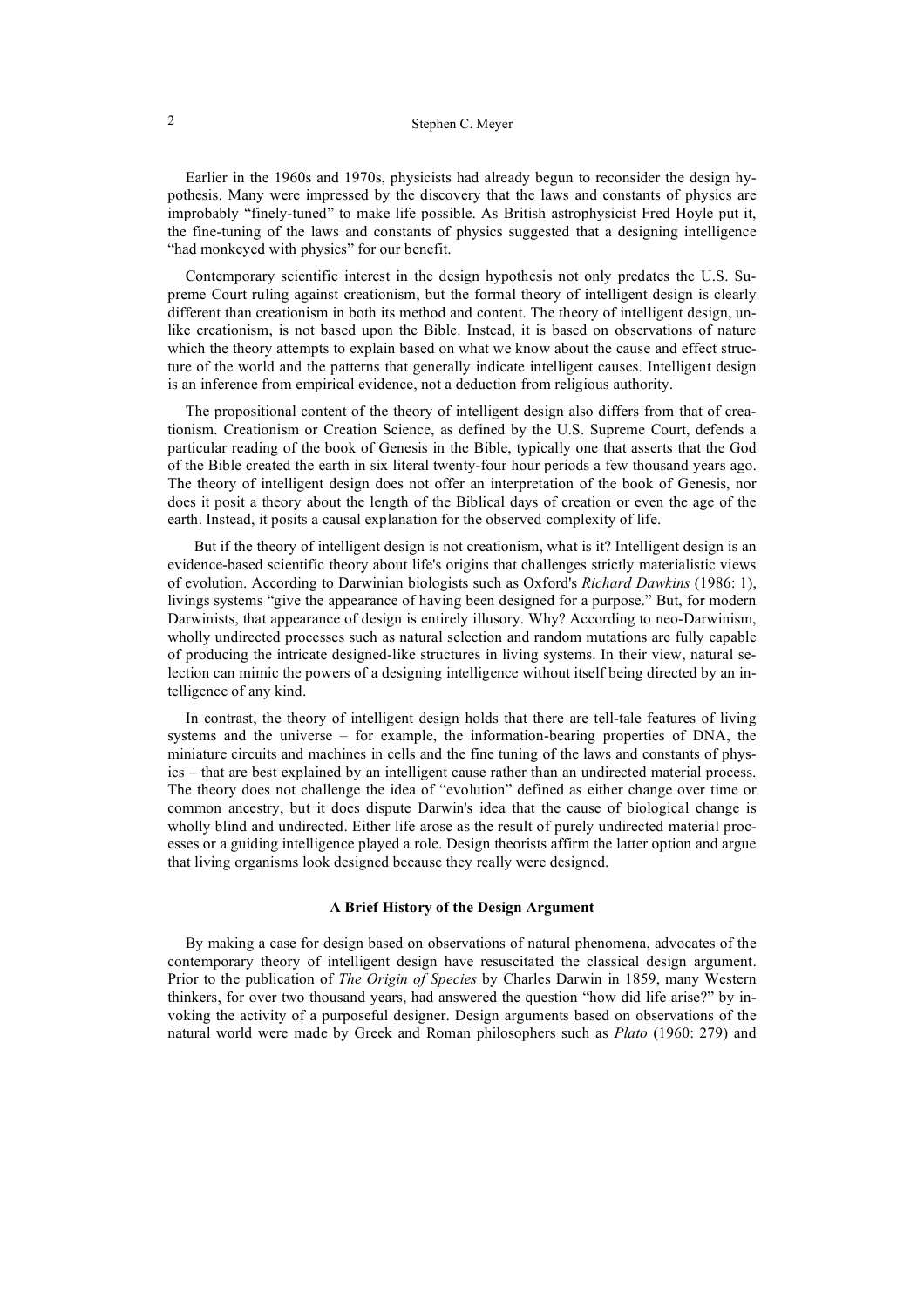# 2 Stephen C. Meyer

Earlier in the 1960s and 1970s, physicists had already begun to reconsider the design hypothesis. Many were impressed by the discovery that the laws and constants of physics are improbably "finely-tuned" to make life possible. As British astrophysicist Fred Hoyle put it, the fine-tuning of the laws and constants of physics suggested that a designing intelligence "had monkeyed with physics" for our benefit.

Contemporary scientific interest in the design hypothesis not only predates the U.S. Supreme Court ruling against creationism, but the formal theory of intelligent design is clearly different than creationism in both its method and content. The theory of intelligent design, unlike creationism, is not based upon the Bible. Instead, it is based on observations of nature which the theory attempts to explain based on what we know about the cause and effect structure of the world and the patterns that generally indicate intelligent causes. Intelligent design is an inference from empirical evidence, not a deduction from religious authority.

The propositional content of the theory of intelligent design also differs from that of creationism. Creationism or Creation Science, as defined by the U.S. Supreme Court, defends a particular reading of the book of Genesis in the Bible, typically one that asserts that the God of the Bible created the earth in six literal twenty-four hour periods a few thousand years ago. The theory of intelligent design does not offer an interpretation of the book of Genesis, nor does it posit a theory about the length of the Biblical days of creation or even the age of the earth. Instead, it posits a causal explanation for the observed complexity of life.

But if the theory of intelligent design is not creationism, what is it? Intelligent design is an evidence-based scientific theory about life's origins that challenges strictly materialistic views of evolution. According to Darwinian biologists such as Oxford's *Richard Dawkins* (1986: 1), livings systems "give the appearance of having been designed for a purpose." But, for modern Darwinists, that appearance of design is entirely illusory. Why? According to neo-Darwinism, wholly undirected processes such as natural selection and random mutations are fully capable of producing the intricate designed-like structures in living systems. In their view, natural selection can mimic the powers of a designing intelligence without itself being directed by an intelligence of any kind.

In contrast, the theory of intelligent design holds that there are tell-tale features of living systems and the universe – for example, the information-bearing properties of DNA, the miniature circuits and machines in cells and the fine tuning of the laws and constants of physics – that are best explained by an intelligent cause rather than an undirected material process. The theory does not challenge the idea of "evolution" defined as either change over time or common ancestry, but it does dispute Darwin's idea that the cause of biological change is wholly blind and undirected. Either life arose as the result of purely undirected material processes or a guiding intelligence played a role. Design theorists affirm the latter option and argue that living organisms look designed because they really were designed.

## **A Brief History of the Design Argument**

By making a case for design based on observations of natural phenomena, advocates of the contemporary theory of intelligent design have resuscitated the classical design argument. Prior to the publication of *The Origin of Species* by Charles Darwin in 1859, many Western thinkers, for over two thousand years, had answered the question "how did life arise?" by invoking the activity of a purposeful designer. Design arguments based on observations of the natural world were made by Greek and Roman philosophers such as *Plato* (1960: 279) and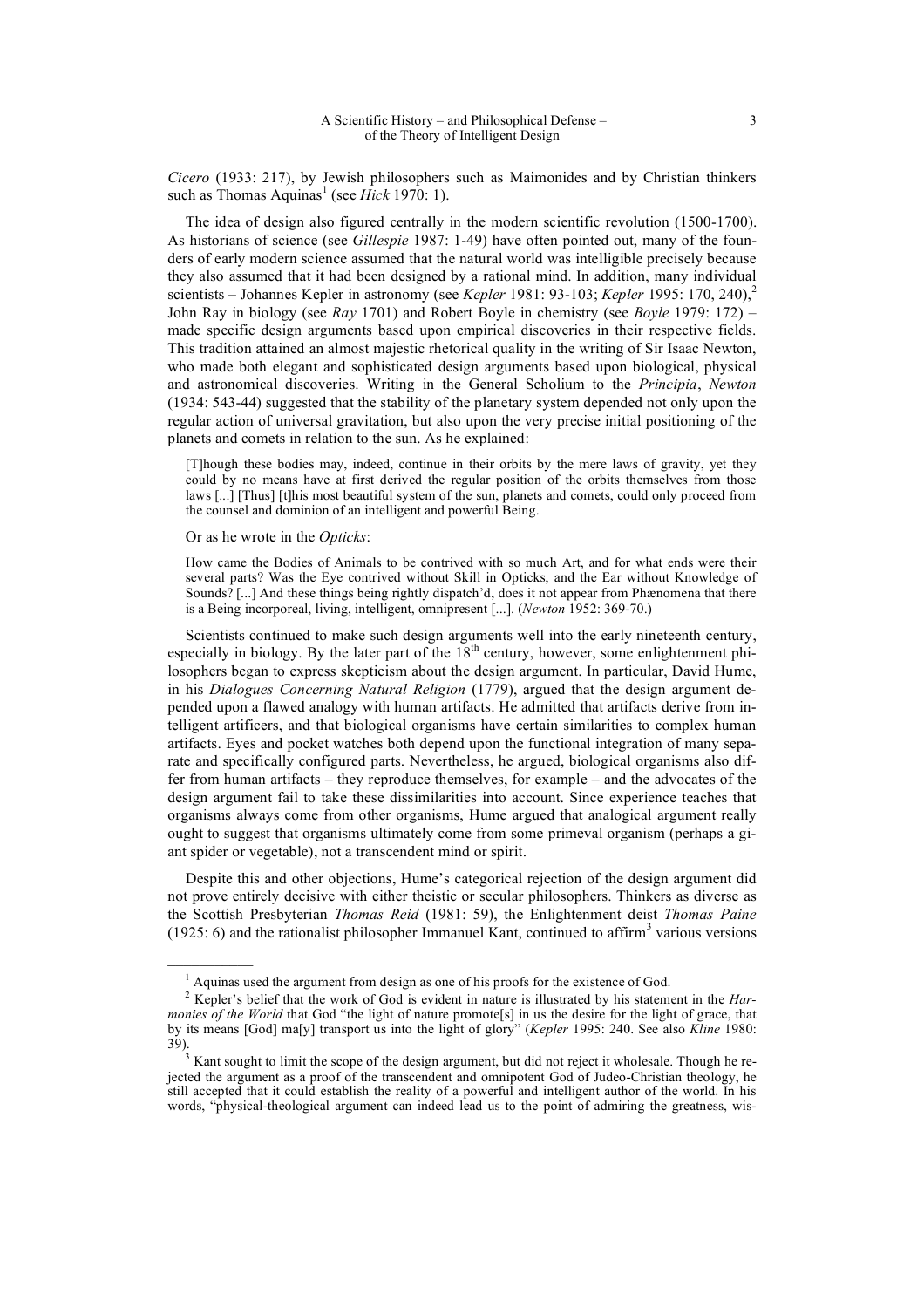*Cicero* (1933: 217), by Jewish philosophers such as Maimonides and by Christian thinkers such as Thomas Aquinas<sup>1</sup> (see *Hick* 1970: 1).

The idea of design also figured centrally in the modern scientific revolution (1500-1700). As historians of science (see *Gillespie* 1987: 1-49) have often pointed out, many of the founders of early modern science assumed that the natural world was intelligible precisely because they also assumed that it had been designed by a rational mind. In addition, many individual scientists – Johannes Kepler in astronomy (see *Kepler* 1981: 93-103; *Kepler* 1995: 170, 240),<sup>2</sup> John Ray in biology (see *Ray* 1701) and Robert Boyle in chemistry (see *Boyle* 1979: 172) – made specific design arguments based upon empirical discoveries in their respective fields. This tradition attained an almost majestic rhetorical quality in the writing of Sir Isaac Newton, who made both elegant and sophisticated design arguments based upon biological, physical and astronomical discoveries. Writing in the General Scholium to the *Principia*, *Newton* (1934: 543-44) suggested that the stability of the planetary system depended not only upon the regular action of universal gravitation, but also upon the very precise initial positioning of the planets and comets in relation to the sun. As he explained:

[T]hough these bodies may, indeed, continue in their orbits by the mere laws of gravity, yet they could by no means have at first derived the regular position of the orbits themselves from those laws [...] [Thus] [t]his most beautiful system of the sun, planets and comets, could only proceed from the counsel and dominion of an intelligent and powerful Being.

Or as he wrote in the *Opticks*:

 $\mathcal{L}=\mathcal{L}$ 

How came the Bodies of Animals to be contrived with so much Art, and for what ends were their several parts? Was the Eye contrived without Skill in Opticks, and the Ear without Knowledge of Sounds? [...] And these things being rightly dispatch'd, does it not appear from Phænomena that there is a Being incorporeal, living, intelligent, omnipresent [...]. (*Newton* 1952: 369-70.)

Scientists continued to make such design arguments well into the early nineteenth century, especially in biology. By the later part of the  $18<sup>th</sup>$  century, however, some enlightenment philosophers began to express skepticism about the design argument. In particular, David Hume, in his *Dialogues Concerning Natural Religion* (1779), argued that the design argument depended upon a flawed analogy with human artifacts. He admitted that artifacts derive from intelligent artificers, and that biological organisms have certain similarities to complex human artifacts. Eyes and pocket watches both depend upon the functional integration of many separate and specifically configured parts. Nevertheless, he argued, biological organisms also differ from human artifacts – they reproduce themselves, for example – and the advocates of the design argument fail to take these dissimilarities into account. Since experience teaches that organisms always come from other organisms, Hume argued that analogical argument really ought to suggest that organisms ultimately come from some primeval organism (perhaps a giant spider or vegetable), not a transcendent mind or spirit.

Despite this and other objections, Hume's categorical rejection of the design argument did not prove entirely decisive with either theistic or secular philosophers. Thinkers as diverse as the Scottish Presbyterian *Thomas Reid* (1981: 59), the Enlightenment deist *Thomas Paine* (1925: 6) and the rationalist philosopher Immanuel Kant, continued to affirm<sup>3</sup> various versions

 $<sup>1</sup>$  Aquinas used the argument from design as one of his proofs for the existence of God.</sup>

<sup>&</sup>lt;sup>2</sup> Kepler's belief that the work of God is evident in nature is illustrated by his statement in the *Harmonies of the World* that God "the light of nature promote[s] in us the desire for the light of grace, that by its means [God] ma[y] transport us into the light of glory" (*Kepler* 1995: 240. See also *Kline* 1980:

 $\frac{3}{3}$  Kant sought to limit the scope of the design argument, but did not reject it wholesale. Though he rejected the argument as a proof of the transcendent and omnipotent God of Judeo-Christian theology, he still accepted that it could establish the reality of a powerful and intelligent author of the world. In his words, "physical-theological argument can indeed lead us to the point of admiring the greatness, wis-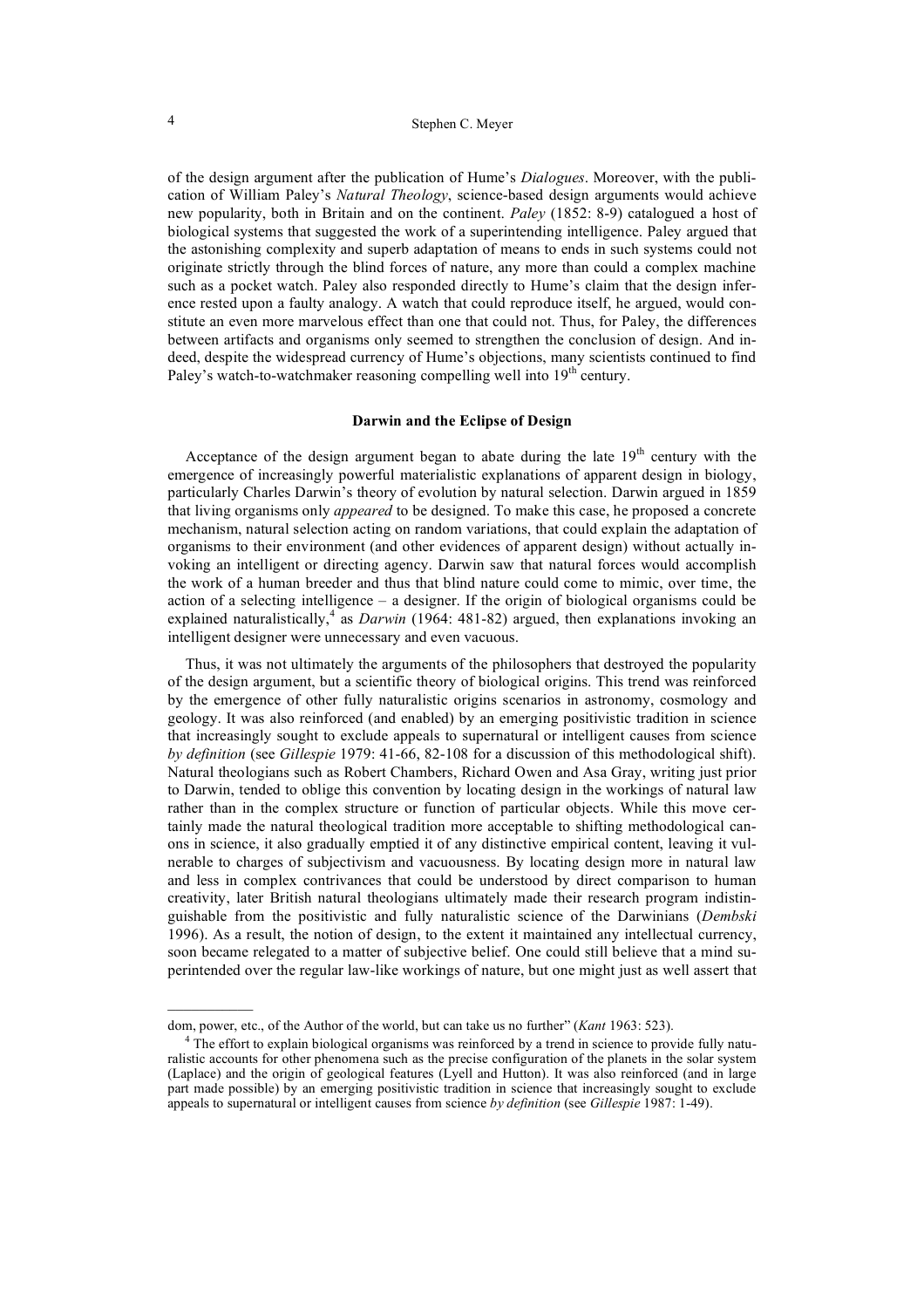of the design argument after the publication of Hume's *Dialogues*. Moreover, with the publication of William Paley's *Natural Theology*, science-based design arguments would achieve new popularity, both in Britain and on the continent. *Paley* (1852: 8-9) catalogued a host of biological systems that suggested the work of a superintending intelligence. Paley argued that the astonishing complexity and superb adaptation of means to ends in such systems could not originate strictly through the blind forces of nature, any more than could a complex machine such as a pocket watch. Paley also responded directly to Hume's claim that the design inference rested upon a faulty analogy. A watch that could reproduce itself, he argued, would constitute an even more marvelous effect than one that could not. Thus, for Paley, the differences between artifacts and organisms only seemed to strengthen the conclusion of design. And indeed, despite the widespread currency of Hume's objections, many scientists continued to find Paley's watch-to-watchmaker reasoning compelling well into  $19<sup>th</sup>$  century.

## **Darwin and the Eclipse of Design**

Acceptance of the design argument began to abate during the late  $19<sup>th</sup>$  century with the emergence of increasingly powerful materialistic explanations of apparent design in biology, particularly Charles Darwin's theory of evolution by natural selection. Darwin argued in 1859 that living organisms only *appeared* to be designed. To make this case, he proposed a concrete mechanism, natural selection acting on random variations, that could explain the adaptation of organisms to their environment (and other evidences of apparent design) without actually invoking an intelligent or directing agency. Darwin saw that natural forces would accomplish the work of a human breeder and thus that blind nature could come to mimic, over time, the action of a selecting intelligence – a designer. If the origin of biological organisms could be explained naturalistically,<sup>4</sup> as *Darwin* (1964: 481-82) argued, then explanations invoking an intelligent designer were unnecessary and even vacuous.

Thus, it was not ultimately the arguments of the philosophers that destroyed the popularity of the design argument, but a scientific theory of biological origins. This trend was reinforced by the emergence of other fully naturalistic origins scenarios in astronomy, cosmology and geology. It was also reinforced (and enabled) by an emerging positivistic tradition in science that increasingly sought to exclude appeals to supernatural or intelligent causes from science *by definition* (see *Gillespie* 1979: 41-66, 82-108 for a discussion of this methodological shift). Natural theologians such as Robert Chambers, Richard Owen and Asa Gray, writing just prior to Darwin, tended to oblige this convention by locating design in the workings of natural law rather than in the complex structure or function of particular objects. While this move certainly made the natural theological tradition more acceptable to shifting methodological canons in science, it also gradually emptied it of any distinctive empirical content, leaving it vulnerable to charges of subjectivism and vacuousness. By locating design more in natural law and less in complex contrivances that could be understood by direct comparison to human creativity, later British natural theologians ultimately made their research program indistinguishable from the positivistic and fully naturalistic science of the Darwinians (*Dembski* 1996). As a result, the notion of design, to the extent it maintained any intellectual currency, soon became relegated to a matter of subjective belief. One could still believe that a mind superintended over the regular law-like workings of nature, but one might just as well assert that

 $\mathcal{L}_\text{max}$ 

dom, power, etc., of the Author of the world, but can take us no further" (*Kant* 1963: 523).

<sup>&</sup>lt;sup>4</sup> The effort to explain biological organisms was reinforced by a trend in science to provide fully naturalistic accounts for other phenomena such as the precise configuration of the planets in the solar system (Laplace) and the origin of geological features (Lyell and Hutton). It was also reinforced (and in large part made possible) by an emerging positivistic tradition in science that increasingly sought to exclude appeals to supernatural or intelligent causes from science *by definition* (see *Gillespie* 1987: 1-49).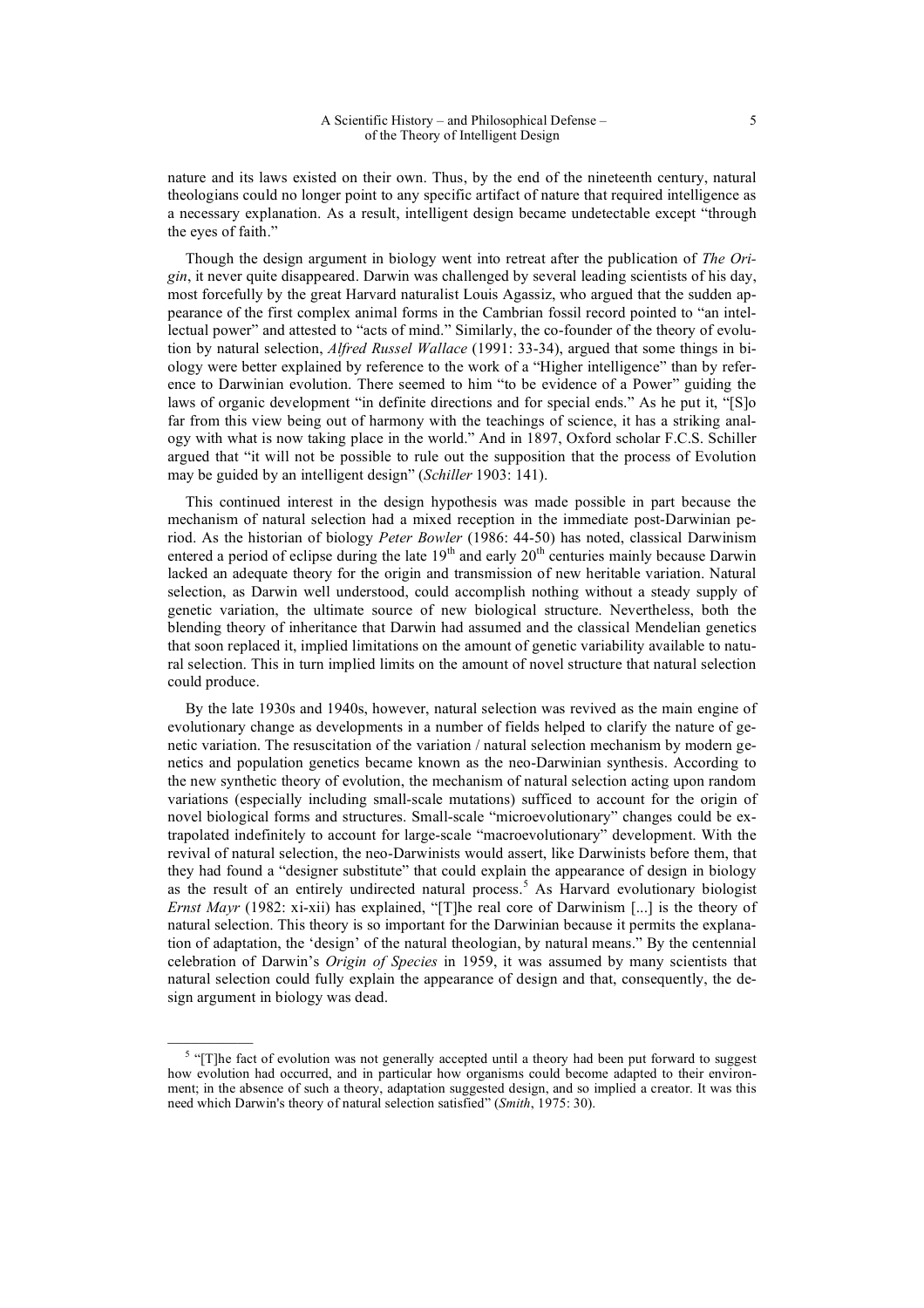nature and its laws existed on their own. Thus, by the end of the nineteenth century, natural theologians could no longer point to any specific artifact of nature that required intelligence as a necessary explanation. As a result, intelligent design became undetectable except "through the eyes of faith."

Though the design argument in biology went into retreat after the publication of *The Origin*, it never quite disappeared. Darwin was challenged by several leading scientists of his day, most forcefully by the great Harvard naturalist Louis Agassiz, who argued that the sudden appearance of the first complex animal forms in the Cambrian fossil record pointed to "an intellectual power" and attested to "acts of mind." Similarly, the co-founder of the theory of evolution by natural selection, *Alfred Russel Wallace* (1991: 33-34), argued that some things in biology were better explained by reference to the work of a "Higher intelligence" than by reference to Darwinian evolution. There seemed to him "to be evidence of a Power" guiding the laws of organic development "in definite directions and for special ends." As he put it, "[S]o far from this view being out of harmony with the teachings of science, it has a striking analogy with what is now taking place in the world." And in 1897, Oxford scholar F.C.S. Schiller argued that "it will not be possible to rule out the supposition that the process of Evolution may be guided by an intelligent design" (*Schiller* 1903: 141).

This continued interest in the design hypothesis was made possible in part because the mechanism of natural selection had a mixed reception in the immediate post-Darwinian period. As the historian of biology *Peter Bowler* (1986: 44-50) has noted, classical Darwinism entered a period of eclipse during the late  $19<sup>th</sup>$  and early  $20<sup>th</sup>$  centuries mainly because Darwin lacked an adequate theory for the origin and transmission of new heritable variation. Natural selection, as Darwin well understood, could accomplish nothing without a steady supply of genetic variation, the ultimate source of new biological structure. Nevertheless, both the blending theory of inheritance that Darwin had assumed and the classical Mendelian genetics that soon replaced it, implied limitations on the amount of genetic variability available to natural selection. This in turn implied limits on the amount of novel structure that natural selection could produce.

By the late 1930s and 1940s, however, natural selection was revived as the main engine of evolutionary change as developments in a number of fields helped to clarify the nature of genetic variation. The resuscitation of the variation / natural selection mechanism by modern genetics and population genetics became known as the neo-Darwinian synthesis. According to the new synthetic theory of evolution, the mechanism of natural selection acting upon random variations (especially including small-scale mutations) sufficed to account for the origin of novel biological forms and structures. Small-scale "microevolutionary" changes could be extrapolated indefinitely to account for large-scale "macroevolutionary" development. With the revival of natural selection, the neo-Darwinists would assert, like Darwinists before them, that they had found a "designer substitute" that could explain the appearance of design in biology as the result of an entirely undirected natural process.<sup>5</sup> As Harvard evolutionary biologist *Ernst Mayr* (1982: xi-xii) has explained, "[T]he real core of Darwinism [...] is the theory of natural selection. This theory is so important for the Darwinian because it permits the explanation of adaptation, the 'design' of the natural theologian, by natural means." By the centennial celebration of Darwin's *Origin of Species* in 1959, it was assumed by many scientists that natural selection could fully explain the appearance of design and that, consequently, the design argument in biology was dead.

 $\mathcal{L}=\mathcal{L}$ 

 $<sup>5</sup>$  "[T]he fact of evolution was not generally accepted until a theory had been put forward to suggest</sup> how evolution had occurred, and in particular how organisms could become adapted to their environment; in the absence of such a theory, adaptation suggested design, and so implied a creator. It was this need which Darwin's theory of natural selection satisfied" (*Smith*, 1975: 30).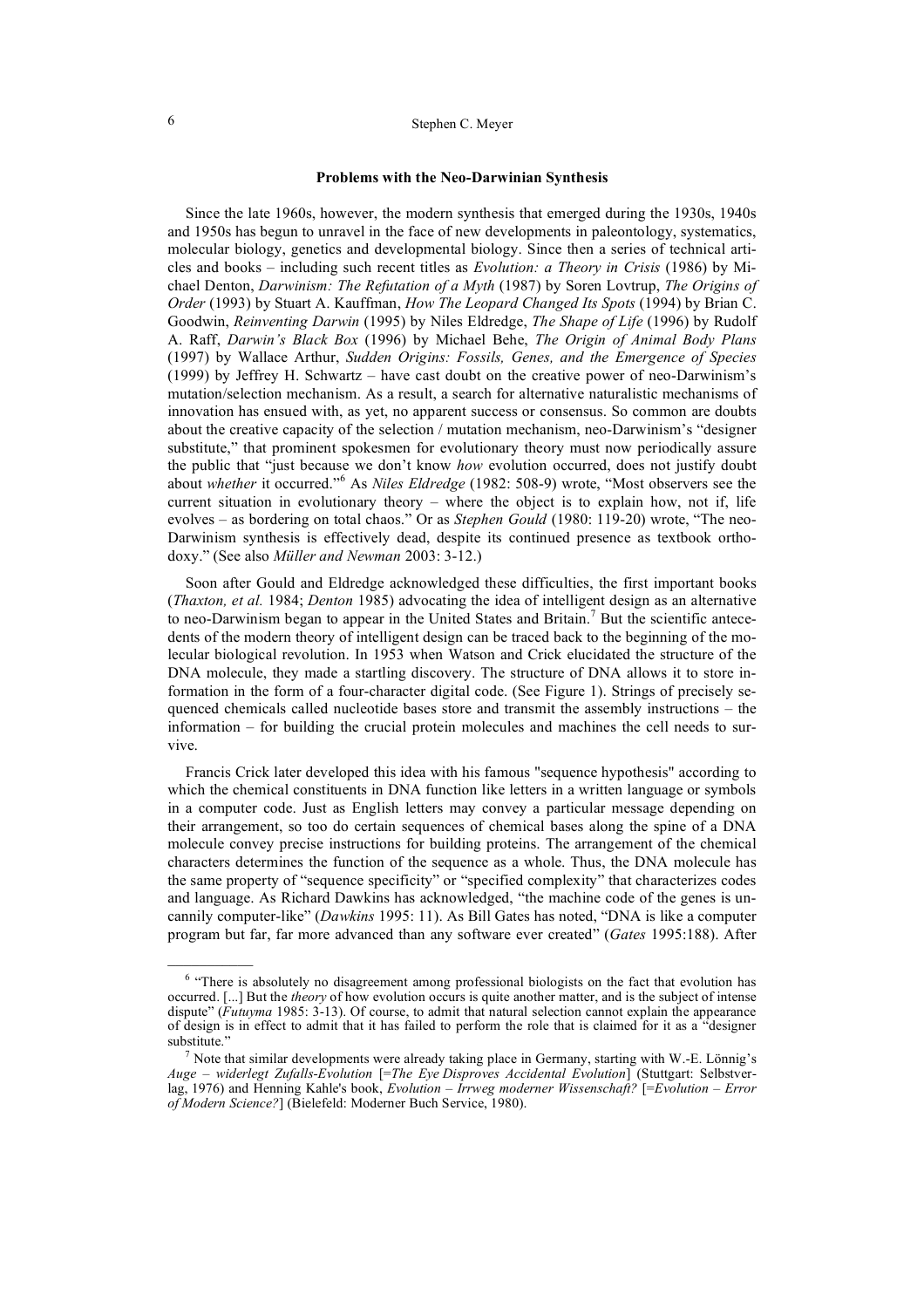# 6 Stephen C. Meyer

#### **Problems with the Neo-Darwinian Synthesis**

Since the late 1960s, however, the modern synthesis that emerged during the 1930s, 1940s and 1950s has begun to unravel in the face of new developments in paleontology, systematics, molecular biology, genetics and developmental biology. Since then a series of technical articles and books – including such recent titles as *Evolution: a Theory in Crisis* (1986) by Michael Denton, *Darwinism: The Refutation of a Myth* (1987) by Soren Lovtrup, *The Origins of Order* (1993) by Stuart A. Kauffman, *How The Leopard Changed Its Spots* (1994) by Brian C. Goodwin, *Reinventing Darwin* (1995) by Niles Eldredge, *The Shape of Life* (1996) by Rudolf A. Raff, *Darwin's Black Box* (1996) by Michael Behe, *The Origin of Animal Body Plans*  (1997) by Wallace Arthur, *Sudden Origins: Fossils, Genes, and the Emergence of Species* (1999) by Jeffrey H. Schwartz – have cast doubt on the creative power of neo-Darwinism's mutation/selection mechanism. As a result, a search for alternative naturalistic mechanisms of innovation has ensued with, as yet, no apparent success or consensus. So common are doubts about the creative capacity of the selection / mutation mechanism, neo-Darwinism's "designer substitute," that prominent spokesmen for evolutionary theory must now periodically assure the public that "just because we don't know *how* evolution occurred, does not justify doubt about *whether* it occurred."<sup>6</sup> As *Niles Eldredge* (1982: 508-9) wrote, "Most observers see the current situation in evolutionary theory – where the object is to explain how, not if, life evolves – as bordering on total chaos." Or as *Stephen Gould* (1980: 119-20) wrote, "The neo-Darwinism synthesis is effectively dead, despite its continued presence as textbook orthodoxy." (See also *Müller and Newman* 2003: 3-12.)

Soon after Gould and Eldredge acknowledged these difficulties, the first important books (*Thaxton, et al.* 1984; *Denton* 1985) advocating the idea of intelligent design as an alternative to neo-Darwinism began to appear in the United States and Britain.<sup>7</sup> But the scientific antecedents of the modern theory of intelligent design can be traced back to the beginning of the molecular biological revolution. In 1953 when Watson and Crick elucidated the structure of the DNA molecule, they made a startling discovery. The structure of DNA allows it to store information in the form of a four-character digital code. (See Figure 1). Strings of precisely sequenced chemicals called nucleotide bases store and transmit the assembly instructions – the information – for building the crucial protein molecules and machines the cell needs to survive.

Francis Crick later developed this idea with his famous "sequence hypothesis" according to which the chemical constituents in DNA function like letters in a written language or symbols in a computer code. Just as English letters may convey a particular message depending on their arrangement, so too do certain sequences of chemical bases along the spine of a DNA molecule convey precise instructions for building proteins. The arrangement of the chemical characters determines the function of the sequence as a whole. Thus, the DNA molecule has the same property of "sequence specificity" or "specified complexity" that characterizes codes and language. As Richard Dawkins has acknowledged, "the machine code of the genes is uncannily computer-like" (*Dawkins* 1995: 11). As Bill Gates has noted, "DNA is like a computer program but far, far more advanced than any software ever created" (*Gates* 1995:188). After

 $\mathcal{L}=\mathcal{L}$ 

<sup>&</sup>lt;sup>6</sup> "There is absolutely no disagreement among professional biologists on the fact that evolution has occurred. [...] But the *theory* of how evolution occurs is quite another matter, and is the subject of intense dispute" (*Futuyma* 1985: 3-13). Of course, to admit that natural selection cannot explain the appearance of design is in effect to admit that it has failed to perform the role that is claimed for it as a "designer substitute."

<sup>&</sup>lt;sup>7</sup> Note that similar developments were already taking place in Germany, starting with W.-E. Lönnig's *Auge – widerlegt Zufalls-Evolution* [=*The Eye Disproves Accidental Evolution*] (Stuttgart: Selbstverlag, 1976) and Henning Kahle's book, *Evolution – Irrweg moderner Wissenschaft?* [=*Evolution – Error of Modern Science?*] (Bielefeld: Moderner Buch Service, 1980).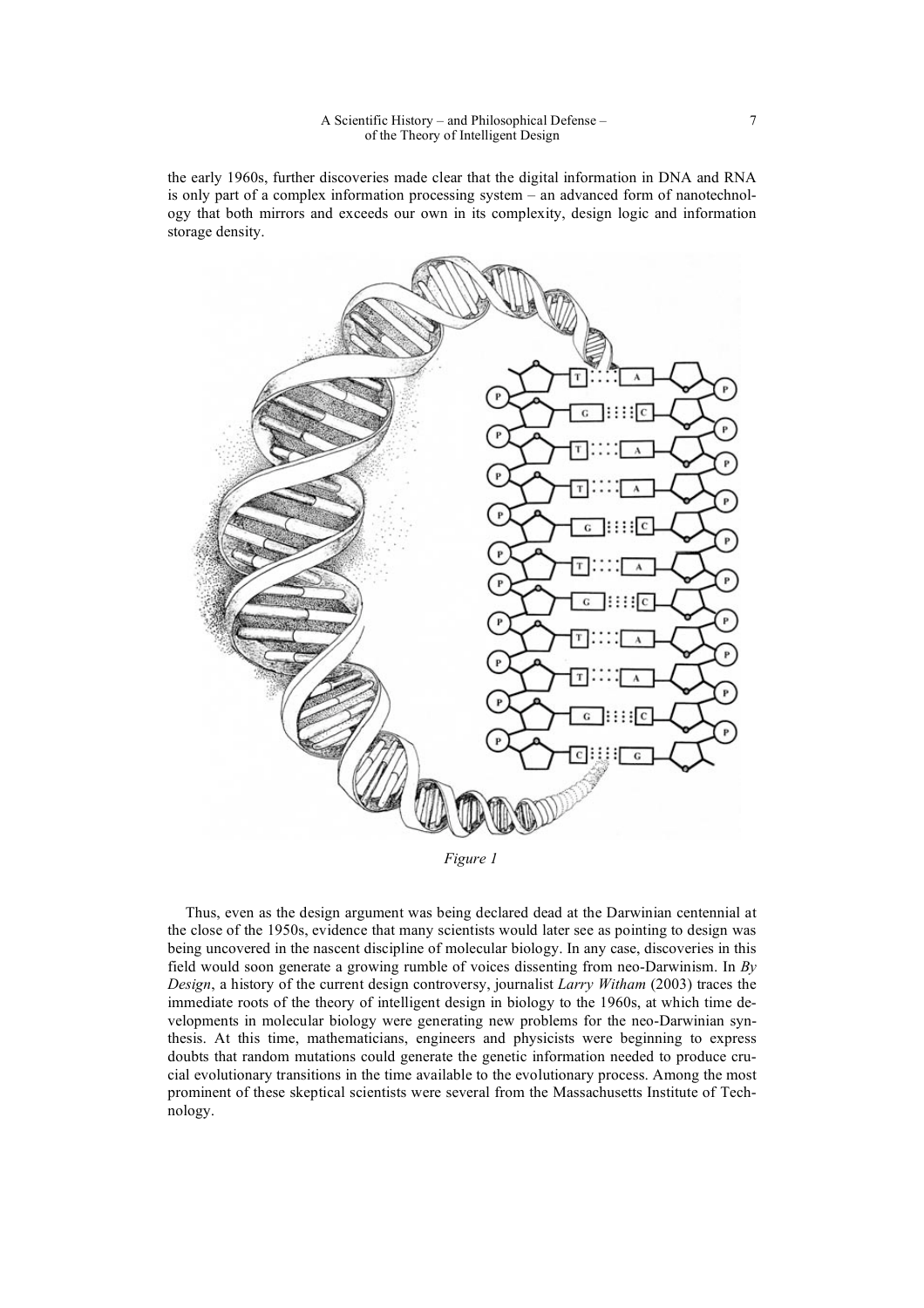the early 1960s, further discoveries made clear that the digital information in DNA and RNA is only part of a complex information processing system – an advanced form of nanotechnology that both mirrors and exceeds our own in its complexity, design logic and information storage density.



*Figure 1*

Thus, even as the design argument was being declared dead at the Darwinian centennial at the close of the 1950s, evidence that many scientists would later see as pointing to design was being uncovered in the nascent discipline of molecular biology. In any case, discoveries in this field would soon generate a growing rumble of voices dissenting from neo-Darwinism. In *By Design*, a history of the current design controversy, journalist *Larry Witham* (2003) traces the immediate roots of the theory of intelligent design in biology to the 1960s, at which time developments in molecular biology were generating new problems for the neo-Darwinian synthesis. At this time, mathematicians, engineers and physicists were beginning to express doubts that random mutations could generate the genetic information needed to produce crucial evolutionary transitions in the time available to the evolutionary process. Among the most prominent of these skeptical scientists were several from the Massachusetts Institute of Technology.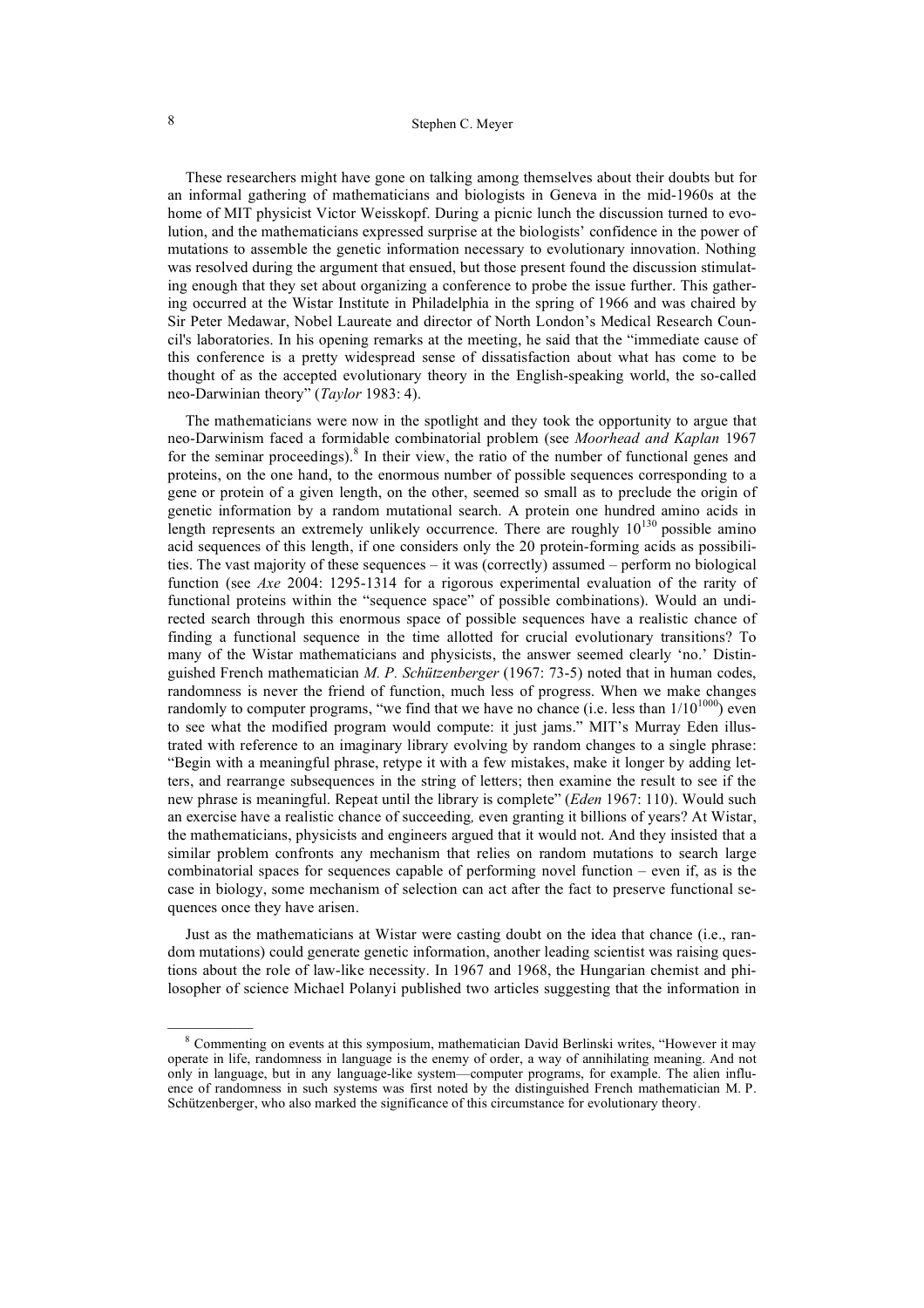# 8 Stephen C. Meyer

These researchers might have gone on talking among themselves about their doubts but for an informal gathering of mathematicians and biologists in Geneva in the mid-1960s at the home of MIT physicist Victor Weisskopf. During a picnic lunch the discussion turned to evolution, and the mathematicians expressed surprise at the biologists' confidence in the power of mutations to assemble the genetic information necessary to evolutionary innovation. Nothing was resolved during the argument that ensued, but those present found the discussion stimulating enough that they set about organizing a conference to probe the issue further. This gathering occurred at the Wistar Institute in Philadelphia in the spring of 1966 and was chaired by Sir Peter Medawar, Nobel Laureate and director of North London's Medical Research Council's laboratories. In his opening remarks at the meeting, he said that the "immediate cause of this conference is a pretty widespread sense of dissatisfaction about what has come to be thought of as the accepted evolutionary theory in the English-speaking world, the so-called neo-Darwinian theory" (*Taylor* 1983: 4).

The mathematicians were now in the spotlight and they took the opportunity to argue that neo-Darwinism faced a formidable combinatorial problem (see *Moorhead and Kaplan* 1967 for the seminar proceedings). $8$  In their view, the ratio of the number of functional genes and proteins, on the one hand, to the enormous number of possible sequences corresponding to a gene or protein of a given length, on the other, seemed so small as to preclude the origin of genetic information by a random mutational search. A protein one hundred amino acids in length represents an extremely unlikely occurrence. There are roughly  $10^{130}$  possible amino acid sequences of this length, if one considers only the 20 protein-forming acids as possibilities. The vast majority of these sequences – it was (correctly) assumed – perform no biological function (see *Axe* 2004: 1295-1314 for a rigorous experimental evaluation of the rarity of functional proteins within the "sequence space" of possible combinations). Would an undirected search through this enormous space of possible sequences have a realistic chance of finding a functional sequence in the time allotted for crucial evolutionary transitions? To many of the Wistar mathematicians and physicists, the answer seemed clearly 'no.' Distinguished French mathematician *M. P. Schützenberger* (1967: 73-5) noted that in human codes, randomness is never the friend of function, much less of progress. When we make changes randomly to computer programs, "we find that we have no chance (i.e. less than  $1/10^{1000}$ ) even to see what the modified program would compute: it just jams." MIT's Murray Eden illustrated with reference to an imaginary library evolving by random changes to a single phrase: "Begin with a meaningful phrase, retype it with a few mistakes, make it longer by adding letters, and rearrange subsequences in the string of letters; then examine the result to see if the new phrase is meaningful. Repeat until the library is complete" (*Eden* 1967: 110). Would such an exercise have a realistic chance of succeeding*,* even granting it billions of years? At Wistar, the mathematicians, physicists and engineers argued that it would not. And they insisted that a similar problem confronts any mechanism that relies on random mutations to search large combinatorial spaces for sequences capable of performing novel function – even if, as is the case in biology, some mechanism of selection can act after the fact to preserve functional sequences once they have arisen.

Just as the mathematicians at Wistar were casting doubt on the idea that chance (i.e., random mutations) could generate genetic information, another leading scientist was raising questions about the role of law-like necessity. In 1967 and 1968, the Hungarian chemist and philosopher of science Michael Polanyi published two articles suggesting that the information in

<sup>&</sup>lt;sup>8</sup> Commenting on events at this symposium, mathematician David Berlinski writes, "However it may operate in life, randomness in language is the enemy of order, a way of annihilating meaning. And not only in language, but in any language-like system—computer programs, for example. The alien influence of randomness in such systems was first noted by the distinguished French mathematician M. P. Schützenberger, who also marked the significance of this circumstance for evolutionary theory.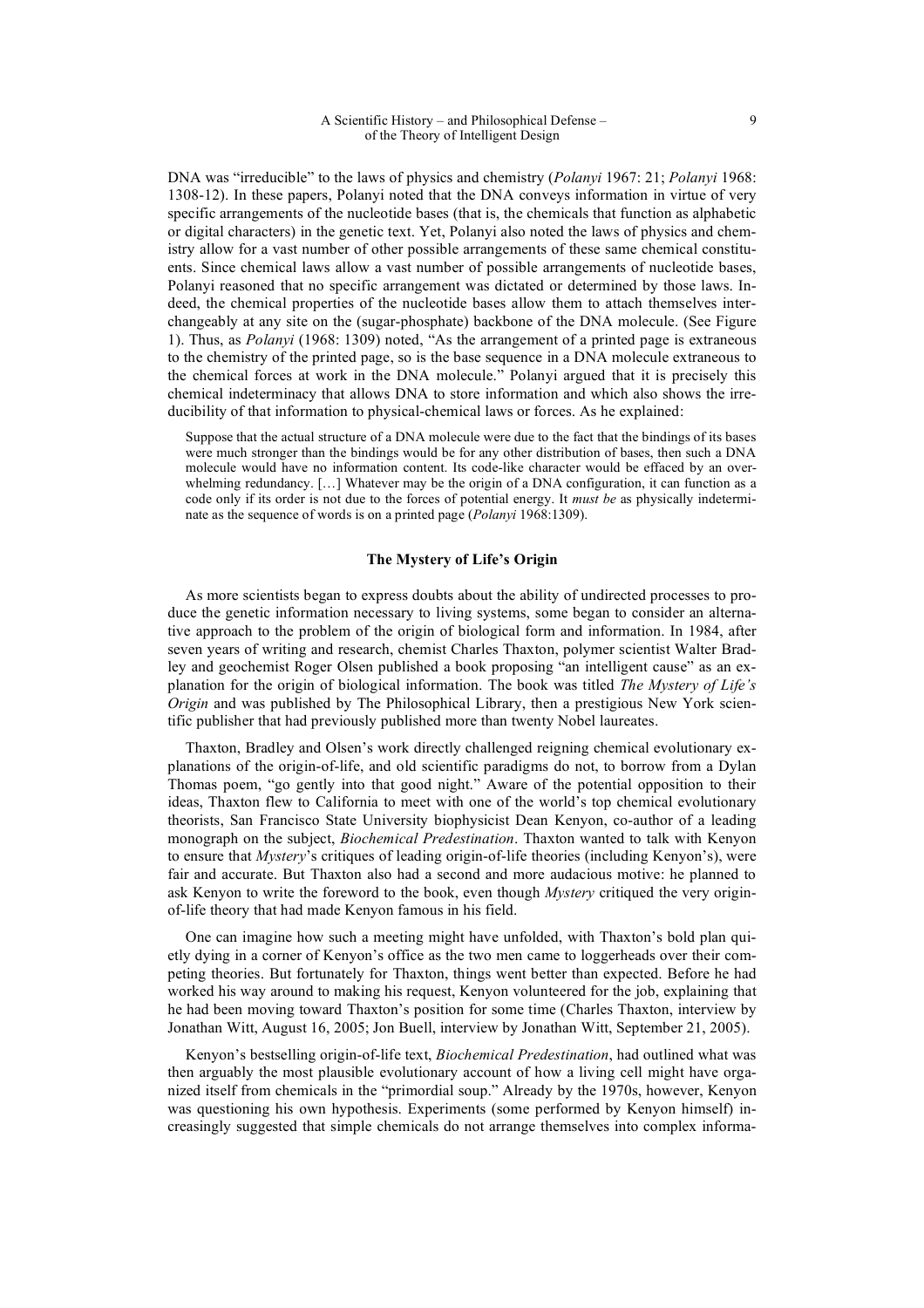DNA was "irreducible" to the laws of physics and chemistry (*Polanyi* 1967: 21; *Polanyi* 1968: 1308-12). In these papers, Polanyi noted that the DNA conveys information in virtue of very specific arrangements of the nucleotide bases (that is, the chemicals that function as alphabetic or digital characters) in the genetic text. Yet, Polanyi also noted the laws of physics and chemistry allow for a vast number of other possible arrangements of these same chemical constituents. Since chemical laws allow a vast number of possible arrangements of nucleotide bases, Polanyi reasoned that no specific arrangement was dictated or determined by those laws. Indeed, the chemical properties of the nucleotide bases allow them to attach themselves interchangeably at any site on the (sugar-phosphate) backbone of the DNA molecule. (See Figure 1). Thus, as *Polanyi* (1968: 1309) noted, "As the arrangement of a printed page is extraneous to the chemistry of the printed page, so is the base sequence in a DNA molecule extraneous to the chemical forces at work in the DNA molecule." Polanyi argued that it is precisely this chemical indeterminacy that allows DNA to store information and which also shows the irreducibility of that information to physical-chemical laws or forces. As he explained:

Suppose that the actual structure of a DNA molecule were due to the fact that the bindings of its bases were much stronger than the bindings would be for any other distribution of bases, then such a DNA molecule would have no information content. Its code-like character would be effaced by an overwhelming redundancy. […] Whatever may be the origin of a DNA configuration, it can function as a code only if its order is not due to the forces of potential energy. It *must be* as physically indeterminate as the sequence of words is on a printed page (*Polanyi* 1968:1309).

# **The Mystery of Life's Origin**

As more scientists began to express doubts about the ability of undirected processes to produce the genetic information necessary to living systems, some began to consider an alternative approach to the problem of the origin of biological form and information. In 1984, after seven years of writing and research, chemist Charles Thaxton, polymer scientist Walter Bradley and geochemist Roger Olsen published a book proposing "an intelligent cause" as an explanation for the origin of biological information. The book was titled *The Mystery of Life's Origin* and was published by The Philosophical Library, then a prestigious New York scientific publisher that had previously published more than twenty Nobel laureates.

Thaxton, Bradley and Olsen's work directly challenged reigning chemical evolutionary explanations of the origin-of-life, and old scientific paradigms do not, to borrow from a Dylan Thomas poem, "go gently into that good night." Aware of the potential opposition to their ideas, Thaxton flew to California to meet with one of the world's top chemical evolutionary theorists, San Francisco State University biophysicist Dean Kenyon, co-author of a leading monograph on the subject, *Biochemical Predestination*. Thaxton wanted to talk with Kenyon to ensure that *Mystery*'s critiques of leading origin-of-life theories (including Kenyon's), were fair and accurate. But Thaxton also had a second and more audacious motive: he planned to ask Kenyon to write the foreword to the book, even though *Mystery* critiqued the very originof-life theory that had made Kenyon famous in his field.

One can imagine how such a meeting might have unfolded, with Thaxton's bold plan quietly dying in a corner of Kenyon's office as the two men came to loggerheads over their competing theories. But fortunately for Thaxton, things went better than expected. Before he had worked his way around to making his request, Kenyon volunteered for the job, explaining that he had been moving toward Thaxton's position for some time (Charles Thaxton, interview by Jonathan Witt, August 16, 2005; Jon Buell, interview by Jonathan Witt, September 21, 2005).

Kenyon's bestselling origin-of-life text, *Biochemical Predestination*, had outlined what was then arguably the most plausible evolutionary account of how a living cell might have organized itself from chemicals in the "primordial soup." Already by the 1970s, however, Kenyon was questioning his own hypothesis. Experiments (some performed by Kenyon himself) increasingly suggested that simple chemicals do not arrange themselves into complex informa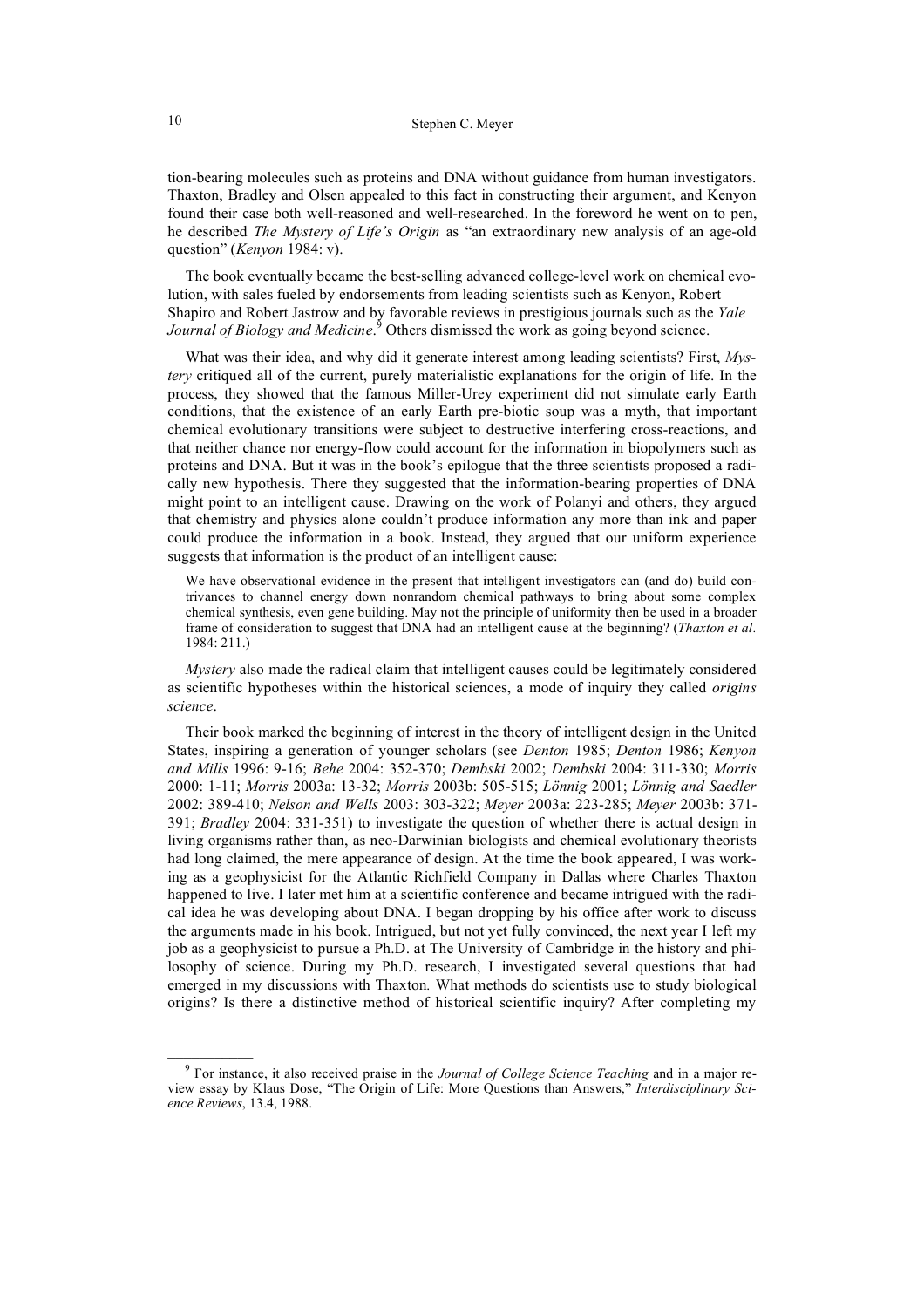tion-bearing molecules such as proteins and DNA without guidance from human investigators. Thaxton, Bradley and Olsen appealed to this fact in constructing their argument, and Kenyon found their case both well-reasoned and well-researched. In the foreword he went on to pen, he described *The Mystery of Life's Origin* as "an extraordinary new analysis of an age-old question" (*Kenyon* 1984: v).

The book eventually became the best-selling advanced college-level work on chemical evolution, with sales fueled by endorsements from leading scientists such as Kenyon, Robert Shapiro and Robert Jastrow and by favorable reviews in prestigious journals such as the *Yale*  Journal of Biology and Medicine.<sup>9</sup> Others dismissed the work as going beyond science.

What was their idea, and why did it generate interest among leading scientists? First, *Mystery* critiqued all of the current, purely materialistic explanations for the origin of life. In the process, they showed that the famous Miller-Urey experiment did not simulate early Earth conditions, that the existence of an early Earth pre-biotic soup was a myth, that important chemical evolutionary transitions were subject to destructive interfering cross-reactions, and that neither chance nor energy-flow could account for the information in biopolymers such as proteins and DNA. But it was in the book's epilogue that the three scientists proposed a radically new hypothesis. There they suggested that the information-bearing properties of DNA might point to an intelligent cause. Drawing on the work of Polanyi and others, they argued that chemistry and physics alone couldn't produce information any more than ink and paper could produce the information in a book. Instead, they argued that our uniform experience suggests that information is the product of an intelligent cause:

We have observational evidence in the present that intelligent investigators can (and do) build contrivances to channel energy down nonrandom chemical pathways to bring about some complex chemical synthesis, even gene building. May not the principle of uniformity then be used in a broader frame of consideration to suggest that DNA had an intelligent cause at the beginning? (*Thaxton et al.* 1984: 211.)

*Mystery* also made the radical claim that intelligent causes could be legitimately considered as scientific hypotheses within the historical sciences, a mode of inquiry they called *origins science*.

Their book marked the beginning of interest in the theory of intelligent design in the United States, inspiring a generation of younger scholars (see *Denton* 1985; *Denton* 1986; *Kenyon and Mills* 1996: 9-16; *Behe* 2004: 352-370; *Dembski* 2002; *Dembski* 2004: 311-330; *Morris* 2000: 1-11; *Morris* 2003a: 13-32; *Morris* 2003b: 505-515; *Lönnig* 2001; *Lönnig and Saedler* 2002: 389-410; *Nelson and Wells* 2003: 303-322; *Meyer* 2003a: 223-285; *Meyer* 2003b: 371- 391; *Bradley* 2004: 331-351) to investigate the question of whether there is actual design in living organisms rather than, as neo-Darwinian biologists and chemical evolutionary theorists had long claimed, the mere appearance of design. At the time the book appeared, I was working as a geophysicist for the Atlantic Richfield Company in Dallas where Charles Thaxton happened to live. I later met him at a scientific conference and became intrigued with the radical idea he was developing about DNA. I began dropping by his office after work to discuss the arguments made in his book. Intrigued, but not yet fully convinced, the next year I left my job as a geophysicist to pursue a Ph.D. at The University of Cambridge in the history and philosophy of science. During my Ph.D. research, I investigated several questions that had emerged in my discussions with Thaxton*.* What methods do scientists use to study biological origins? Is there a distinctive method of historical scientific inquiry? After completing my

 $\mathcal{L}=\mathcal{L}$ 

<sup>9</sup> For instance, it also received praise in the *Journal of College Science Teaching* and in a major review essay by Klaus Dose, "The Origin of Life: More Questions than Answers," *Interdisciplinary Science Reviews*, 13.4, 1988.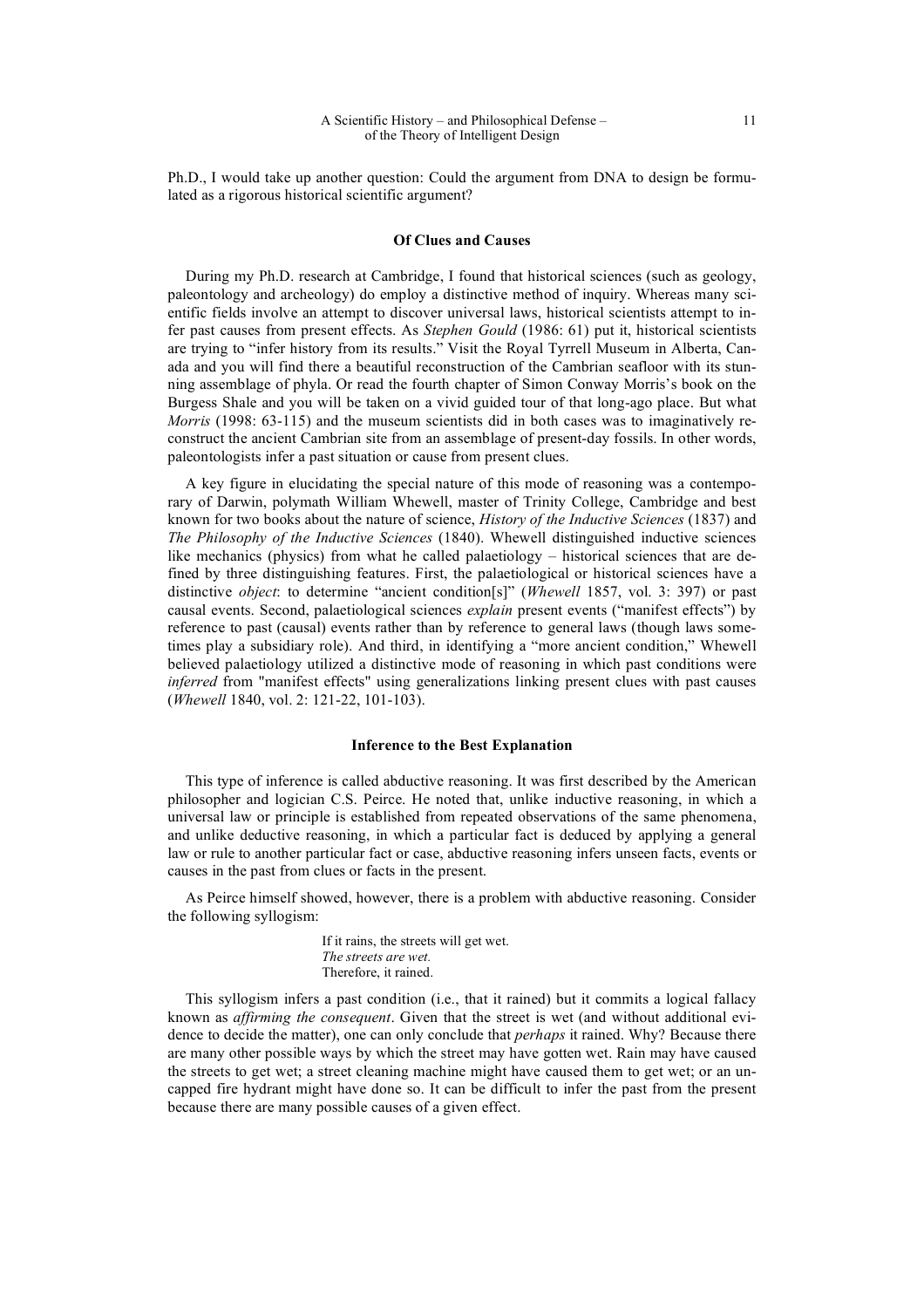Ph.D., I would take up another question: Could the argument from DNA to design be formulated as a rigorous historical scientific argument?

### **Of Clues and Causes**

During my Ph.D. research at Cambridge, I found that historical sciences (such as geology, paleontology and archeology) do employ a distinctive method of inquiry. Whereas many scientific fields involve an attempt to discover universal laws, historical scientists attempt to infer past causes from present effects. As *Stephen Gould* (1986: 61) put it, historical scientists are trying to "infer history from its results." Visit the Royal Tyrrell Museum in Alberta, Canada and you will find there a beautiful reconstruction of the Cambrian seafloor with its stunning assemblage of phyla. Or read the fourth chapter of Simon Conway Morris's book on the Burgess Shale and you will be taken on a vivid guided tour of that long-ago place. But what *Morris* (1998: 63-115) and the museum scientists did in both cases was to imaginatively reconstruct the ancient Cambrian site from an assemblage of present-day fossils. In other words, paleontologists infer a past situation or cause from present clues.

A key figure in elucidating the special nature of this mode of reasoning was a contemporary of Darwin, polymath William Whewell, master of Trinity College, Cambridge and best known for two books about the nature of science, *History of the Inductive Sciences* (1837) and *The Philosophy of the Inductive Sciences* (1840). Whewell distinguished inductive sciences like mechanics (physics) from what he called palaetiology – historical sciences that are defined by three distinguishing features. First, the palaetiological or historical sciences have a distinctive *object*: to determine "ancient condition[s]" (*Whewell* 1857, vol. 3: 397) or past causal events. Second, palaetiological sciences *explain* present events ("manifest effects") by reference to past (causal) events rather than by reference to general laws (though laws sometimes play a subsidiary role). And third, in identifying a "more ancient condition," Whewell believed palaetiology utilized a distinctive mode of reasoning in which past conditions were *inferred* from "manifest effects" using generalizations linking present clues with past causes (*Whewell* 1840, vol. 2: 121-22, 101-103).

### **Inference to the Best Explanation**

This type of inference is called abductive reasoning. It was first described by the American philosopher and logician C.S. Peirce. He noted that, unlike inductive reasoning, in which a universal law or principle is established from repeated observations of the same phenomena, and unlike deductive reasoning, in which a particular fact is deduced by applying a general law or rule to another particular fact or case, abductive reasoning infers unseen facts, events or causes in the past from clues or facts in the present.

As Peirce himself showed, however, there is a problem with abductive reasoning. Consider the following syllogism:

> If it rains, the streets will get wet. *The streets are wet.* Therefore, it rained.

This syllogism infers a past condition (i.e., that it rained) but it commits a logical fallacy known as *affirming the consequent*. Given that the street is wet (and without additional evidence to decide the matter), one can only conclude that *perhaps* it rained. Why? Because there are many other possible ways by which the street may have gotten wet. Rain may have caused the streets to get wet; a street cleaning machine might have caused them to get wet; or an uncapped fire hydrant might have done so. It can be difficult to infer the past from the present because there are many possible causes of a given effect.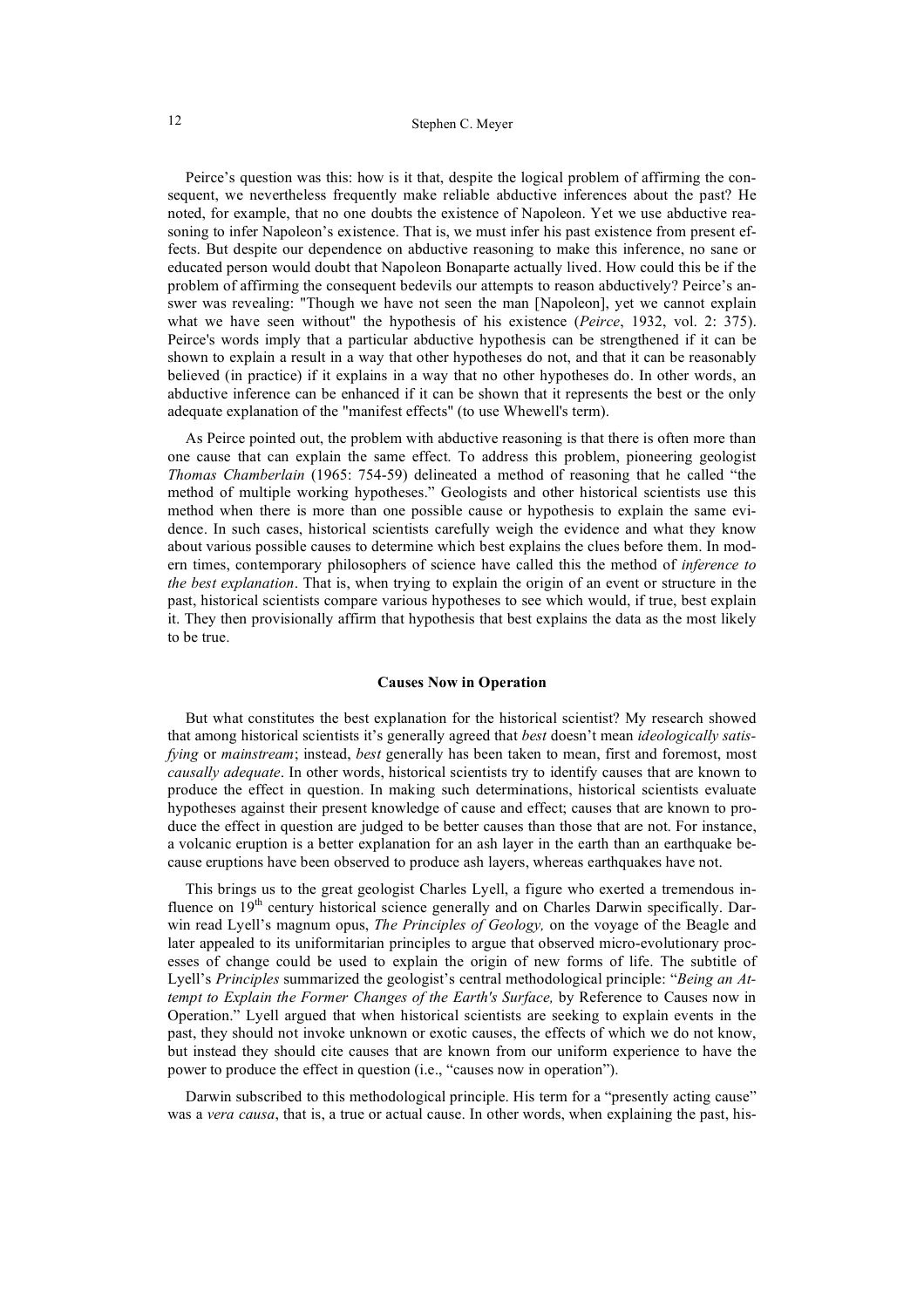# 12 Stephen C. Meyer

Peirce's question was this: how is it that, despite the logical problem of affirming the consequent, we nevertheless frequently make reliable abductive inferences about the past? He noted, for example, that no one doubts the existence of Napoleon. Yet we use abductive reasoning to infer Napoleon's existence. That is, we must infer his past existence from present effects. But despite our dependence on abductive reasoning to make this inference, no sane or educated person would doubt that Napoleon Bonaparte actually lived. How could this be if the problem of affirming the consequent bedevils our attempts to reason abductively? Peirce's answer was revealing: "Though we have not seen the man [Napoleon], yet we cannot explain what we have seen without" the hypothesis of his existence (*Peirce*, 1932, vol. 2: 375). Peirce's words imply that a particular abductive hypothesis can be strengthened if it can be shown to explain a result in a way that other hypotheses do not, and that it can be reasonably believed (in practice) if it explains in a way that no other hypotheses do. In other words, an abductive inference can be enhanced if it can be shown that it represents the best or the only adequate explanation of the "manifest effects" (to use Whewell's term).

As Peirce pointed out, the problem with abductive reasoning is that there is often more than one cause that can explain the same effect. To address this problem, pioneering geologist *Thomas Chamberlain* (1965: 754-59) delineated a method of reasoning that he called "the method of multiple working hypotheses." Geologists and other historical scientists use this method when there is more than one possible cause or hypothesis to explain the same evidence. In such cases, historical scientists carefully weigh the evidence and what they know about various possible causes to determine which best explains the clues before them. In modern times, contemporary philosophers of science have called this the method of *inference to the best explanation*. That is, when trying to explain the origin of an event or structure in the past, historical scientists compare various hypotheses to see which would, if true, best explain it. They then provisionally affirm that hypothesis that best explains the data as the most likely to be true.

#### **Causes Now in Operation**

But what constitutes the best explanation for the historical scientist? My research showed that among historical scientists it's generally agreed that *best* doesn't mean *ideologically satisfying* or *mainstream*; instead, *best* generally has been taken to mean, first and foremost, most *causally adequate*. In other words, historical scientists try to identify causes that are known to produce the effect in question. In making such determinations, historical scientists evaluate hypotheses against their present knowledge of cause and effect; causes that are known to produce the effect in question are judged to be better causes than those that are not. For instance, a volcanic eruption is a better explanation for an ash layer in the earth than an earthquake because eruptions have been observed to produce ash layers, whereas earthquakes have not.

This brings us to the great geologist Charles Lyell, a figure who exerted a tremendous influence on  $19<sup>th</sup>$  century historical science generally and on Charles Darwin specifically. Darwin read Lyell's magnum opus, *The Principles of Geology,* on the voyage of the Beagle and later appealed to its uniformitarian principles to argue that observed micro-evolutionary processes of change could be used to explain the origin of new forms of life. The subtitle of Lyell's *Principles* summarized the geologist's central methodological principle: "*Being an Attempt to Explain the Former Changes of the Earth's Surface, by Reference to Causes now in* Operation." Lyell argued that when historical scientists are seeking to explain events in the past, they should not invoke unknown or exotic causes, the effects of which we do not know, but instead they should cite causes that are known from our uniform experience to have the power to produce the effect in question (i.e., "causes now in operation").

Darwin subscribed to this methodological principle. His term for a "presently acting cause" was a *vera causa*, that is, a true or actual cause. In other words, when explaining the past, his-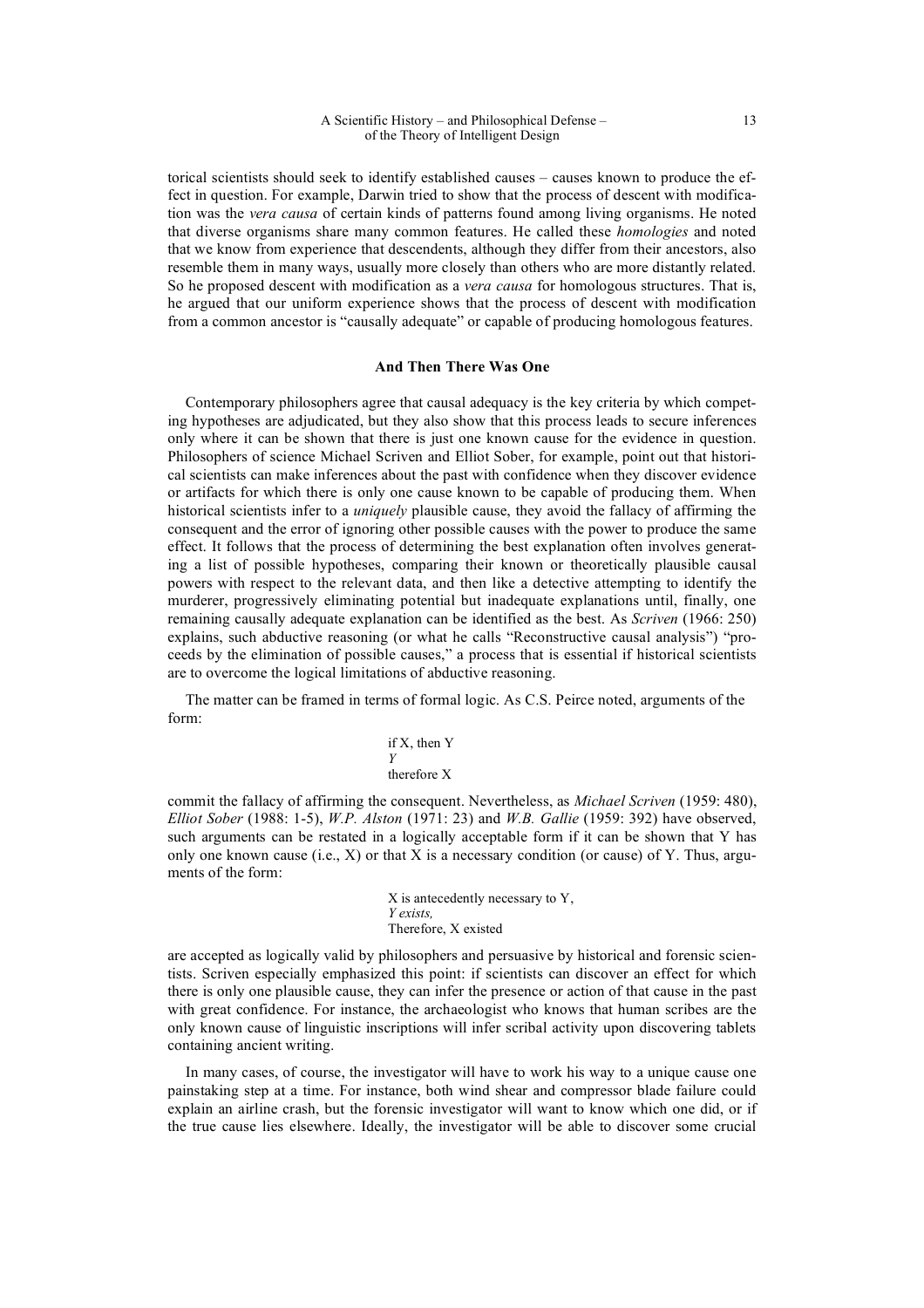torical scientists should seek to identify established causes – causes known to produce the effect in question. For example, Darwin tried to show that the process of descent with modification was the *vera causa* of certain kinds of patterns found among living organisms. He noted that diverse organisms share many common features. He called these *homologies* and noted that we know from experience that descendents, although they differ from their ancestors, also resemble them in many ways, usually more closely than others who are more distantly related. So he proposed descent with modification as a *vera causa* for homologous structures. That is, he argued that our uniform experience shows that the process of descent with modification from a common ancestor is "causally adequate" or capable of producing homologous features.

## **And Then There Was One**

Contemporary philosophers agree that causal adequacy is the key criteria by which competing hypotheses are adjudicated, but they also show that this process leads to secure inferences only where it can be shown that there is just one known cause for the evidence in question. Philosophers of science Michael Scriven and Elliot Sober, for example, point out that historical scientists can make inferences about the past with confidence when they discover evidence or artifacts for which there is only one cause known to be capable of producing them. When historical scientists infer to a *uniquely* plausible cause, they avoid the fallacy of affirming the consequent and the error of ignoring other possible causes with the power to produce the same effect. It follows that the process of determining the best explanation often involves generating a list of possible hypotheses, comparing their known or theoretically plausible causal powers with respect to the relevant data, and then like a detective attempting to identify the murderer, progressively eliminating potential but inadequate explanations until, finally, one remaining causally adequate explanation can be identified as the best. As *Scriven* (1966: 250) explains, such abductive reasoning (or what he calls "Reconstructive causal analysis") "proceeds by the elimination of possible causes," a process that is essential if historical scientists are to overcome the logical limitations of abductive reasoning.

The matter can be framed in terms of formal logic. As C.S. Peirce noted, arguments of the form:

if X, then Y  

$$
Y
$$
therefore X

commit the fallacy of affirming the consequent. Nevertheless, as *Michael Scriven* (1959: 480), *Elliot Sober* (1988: 1-5), *W.P. Alston* (1971: 23) and *W.B. Gallie* (1959: 392) have observed, such arguments can be restated in a logically acceptable form if it can be shown that Y has only one known cause (i.e.,  $X$ ) or that X is a necessary condition (or cause) of Y. Thus, arguments of the form:

> X is antecedently necessary to Y, *Y exists,* Therefore, X existed

are accepted as logically valid by philosophers and persuasive by historical and forensic scientists. Scriven especially emphasized this point: if scientists can discover an effect for which there is only one plausible cause, they can infer the presence or action of that cause in the past with great confidence. For instance, the archaeologist who knows that human scribes are the only known cause of linguistic inscriptions will infer scribal activity upon discovering tablets containing ancient writing.

In many cases, of course, the investigator will have to work his way to a unique cause one painstaking step at a time. For instance, both wind shear and compressor blade failure could explain an airline crash, but the forensic investigator will want to know which one did, or if the true cause lies elsewhere. Ideally, the investigator will be able to discover some crucial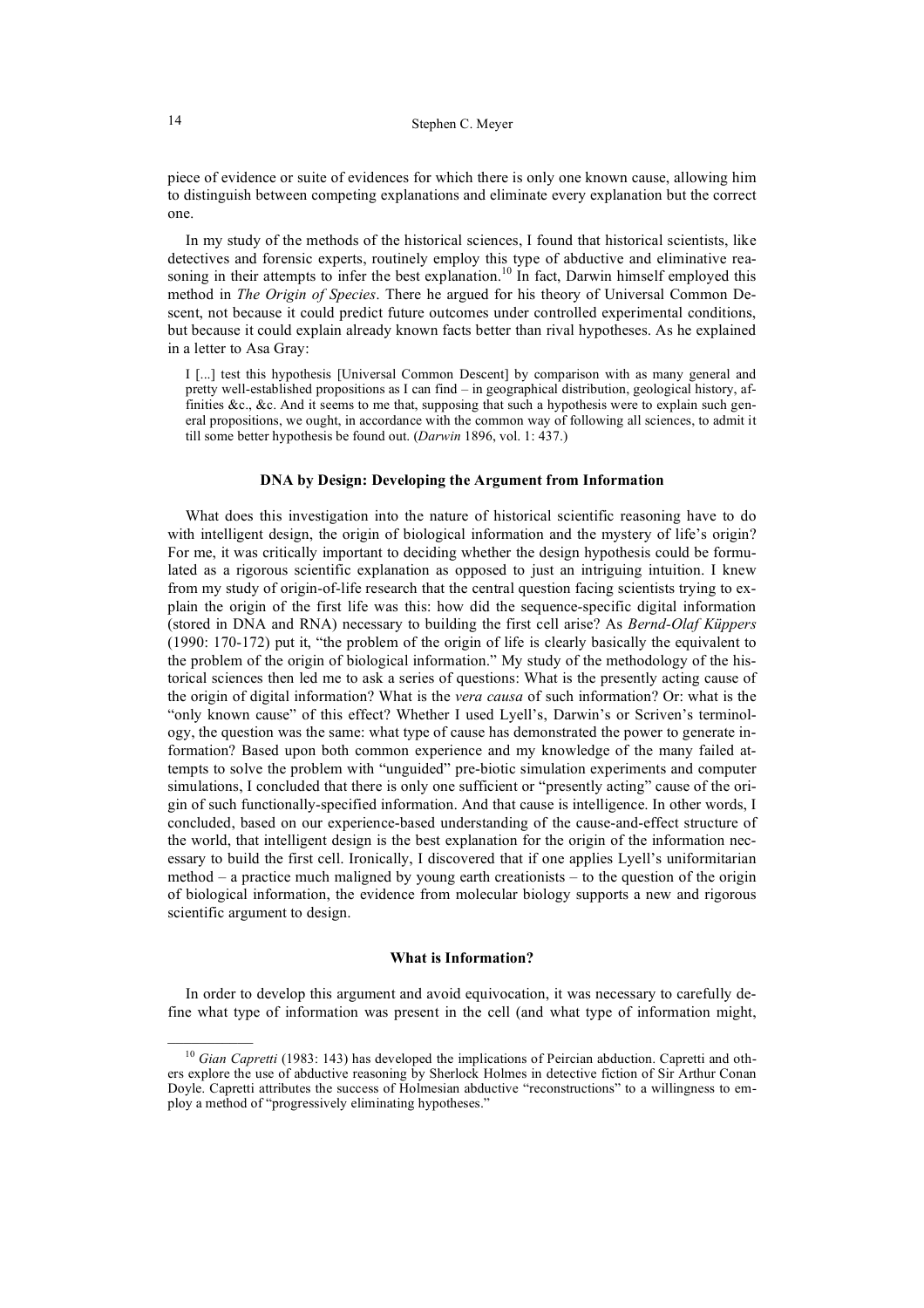piece of evidence or suite of evidences for which there is only one known cause, allowing him to distinguish between competing explanations and eliminate every explanation but the correct one.

In my study of the methods of the historical sciences, I found that historical scientists, like detectives and forensic experts, routinely employ this type of abductive and eliminative reasoning in their attempts to infer the best explanation.<sup>10</sup> In fact, Darwin himself employed this method in *The Origin of Species*. There he argued for his theory of Universal Common Descent, not because it could predict future outcomes under controlled experimental conditions, but because it could explain already known facts better than rival hypotheses. As he explained in a letter to Asa Gray:

I [...] test this hypothesis [Universal Common Descent] by comparison with as many general and pretty well-established propositions as I can find – in geographical distribution, geological history, affinities &c., &c. And it seems to me that, supposing that such a hypothesis were to explain such general propositions, we ought, in accordance with the common way of following all sciences, to admit it till some better hypothesis be found out. (*Darwin* 1896, vol. 1: 437.)

#### **DNA by Design: Developing the Argument from Information**

What does this investigation into the nature of historical scientific reasoning have to do with intelligent design, the origin of biological information and the mystery of life's origin? For me, it was critically important to deciding whether the design hypothesis could be formulated as a rigorous scientific explanation as opposed to just an intriguing intuition. I knew from my study of origin-of-life research that the central question facing scientists trying to explain the origin of the first life was this: how did the sequence-specific digital information (stored in DNA and RNA) necessary to building the first cell arise? As *Bernd-Olaf Küppers* (1990: 170-172) put it, "the problem of the origin of life is clearly basically the equivalent to the problem of the origin of biological information." My study of the methodology of the historical sciences then led me to ask a series of questions: What is the presently acting cause of the origin of digital information? What is the *vera causa* of such information? Or: what is the "only known cause" of this effect? Whether I used Lyell's, Darwin's or Scriven's terminology, the question was the same: what type of cause has demonstrated the power to generate information? Based upon both common experience and my knowledge of the many failed attempts to solve the problem with "unguided" pre-biotic simulation experiments and computer simulations, I concluded that there is only one sufficient or "presently acting" cause of the origin of such functionally-specified information. And that cause is intelligence. In other words, I concluded, based on our experience-based understanding of the cause-and-effect structure of the world, that intelligent design is the best explanation for the origin of the information necessary to build the first cell. Ironically, I discovered that if one applies Lyell's uniformitarian method – a practice much maligned by young earth creationists – to the question of the origin of biological information, the evidence from molecular biology supports a new and rigorous scientific argument to design.

### **What is Information?**

In order to develop this argument and avoid equivocation, it was necessary to carefully define what type of information was present in the cell (and what type of information might,

 $\mathcal{L}=\mathcal{L}$ 

<sup>&</sup>lt;sup>10</sup> *Gian Capretti* (1983: 143) has developed the implications of Peircian abduction. Capretti and others explore the use of abductive reasoning by Sherlock Holmes in detective fiction of Sir Arthur Conan Doyle. Capretti attributes the success of Holmesian abductive "reconstructions" to a willingness to employ a method of "progressively eliminating hypotheses."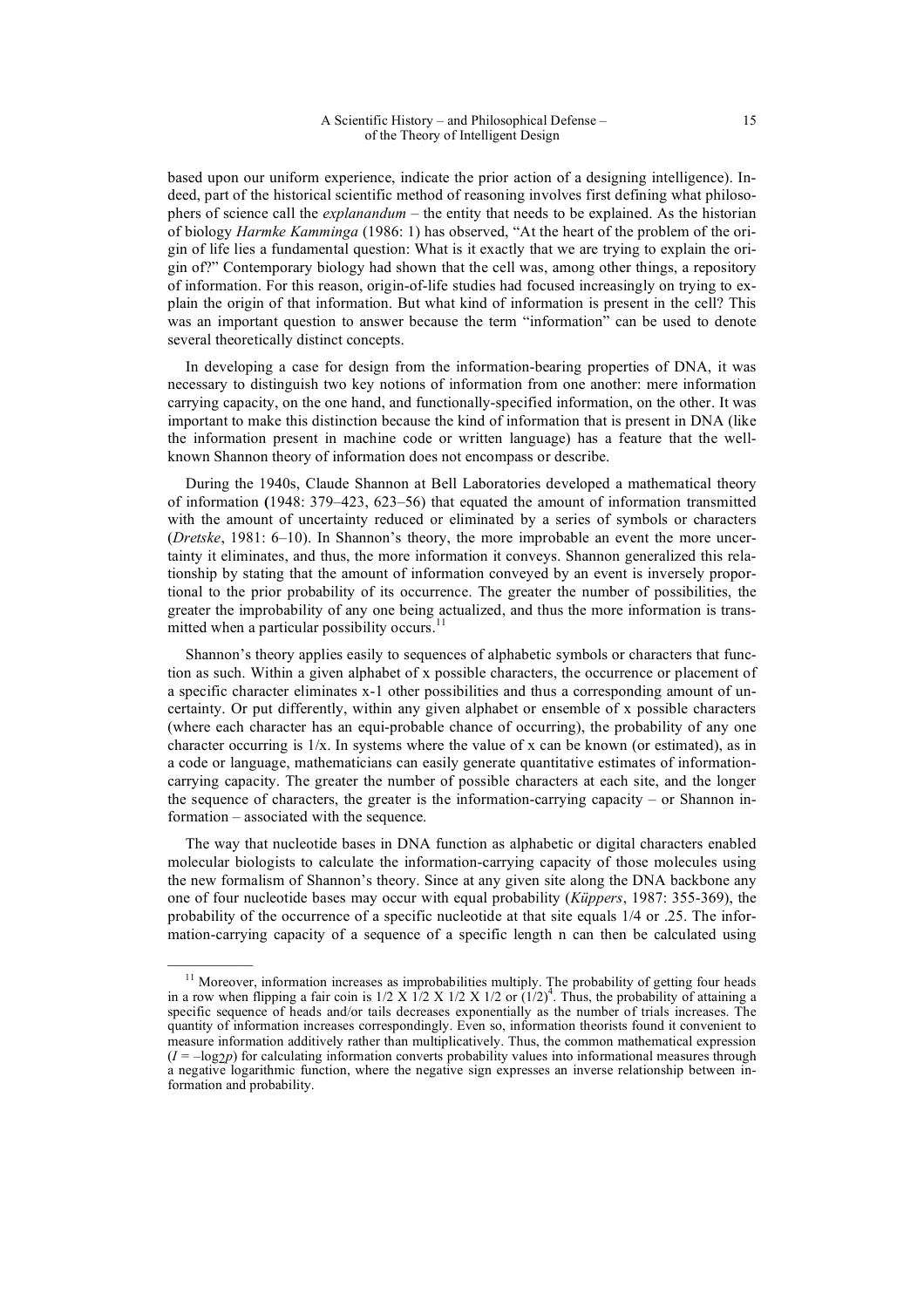based upon our uniform experience, indicate the prior action of a designing intelligence). Indeed, part of the historical scientific method of reasoning involves first defining what philosophers of science call the *explanandum* – the entity that needs to be explained. As the historian of biology *Harmke Kamminga* (1986: 1) has observed, "At the heart of the problem of the origin of life lies a fundamental question: What is it exactly that we are trying to explain the origin of?" Contemporary biology had shown that the cell was, among other things, a repository of information. For this reason, origin-of-life studies had focused increasingly on trying to explain the origin of that information. But what kind of information is present in the cell? This was an important question to answer because the term "information" can be used to denote several theoretically distinct concepts.

In developing a case for design from the information-bearing properties of DNA, it was necessary to distinguish two key notions of information from one another: mere information carrying capacity, on the one hand, and functionally-specified information, on the other. It was important to make this distinction because the kind of information that is present in DNA (like the information present in machine code or written language) has a feature that the wellknown Shannon theory of information does not encompass or describe.

During the 1940s, Claude Shannon at Bell Laboratories developed a mathematical theory of information **(**1948: 379–423, 623–56) that equated the amount of information transmitted with the amount of uncertainty reduced or eliminated by a series of symbols or characters (*Dretske*, 1981: 6–10). In Shannon's theory, the more improbable an event the more uncertainty it eliminates, and thus, the more information it conveys. Shannon generalized this relationship by stating that the amount of information conveyed by an event is inversely proportional to the prior probability of its occurrence. The greater the number of possibilities, the greater the improbability of any one being actualized, and thus the more information is transmitted when a particular possibility occurs.

Shannon's theory applies easily to sequences of alphabetic symbols or characters that function as such. Within a given alphabet of x possible characters, the occurrence or placement of a specific character eliminates x-1 other possibilities and thus a corresponding amount of uncertainty. Or put differently, within any given alphabet or ensemble of x possible characters (where each character has an equi-probable chance of occurring), the probability of any one character occurring is  $1/x$ . In systems where the value of x can be known (or estimated), as in a code or language, mathematicians can easily generate quantitative estimates of informationcarrying capacity. The greater the number of possible characters at each site, and the longer the sequence of characters, the greater is the information-carrying capacity – or Shannon information – associated with the sequence.

The way that nucleotide bases in DNA function as alphabetic or digital characters enabled molecular biologists to calculate the information-carrying capacity of those molecules using the new formalism of Shannon's theory. Since at any given site along the DNA backbone any one of four nucleotide bases may occur with equal probability (*Küppers*, 1987: 355-369), the probability of the occurrence of a specific nucleotide at that site equals 1/4 or .25. The information-carrying capacity of a sequence of a specific length n can then be calculated using

 $\mathcal{L}=\mathcal{L}$ 

<sup>&</sup>lt;sup>11</sup> Moreover, information increases as improbabilities multiply. The probability of getting four heads in a row when flipping a fair coin is  $1/2 \times 1/2 \times 1/2 \times 1/2$  or  $(1/2)^4$ . Thus, the probability of attaining a specific sequence of heads and/or tails decreases exponentially as the number of trials increases. The quantity of information increases correspondingly. Even so, information theorists found it convenient to measure information additively rather than multiplicatively. Thus, the common mathematical expression  $(I = -\log_2 p)$  for calculating information converts probability values into informational measures through a negative logarithmic function, where the negative sign expresses an inverse relationship between information and probability.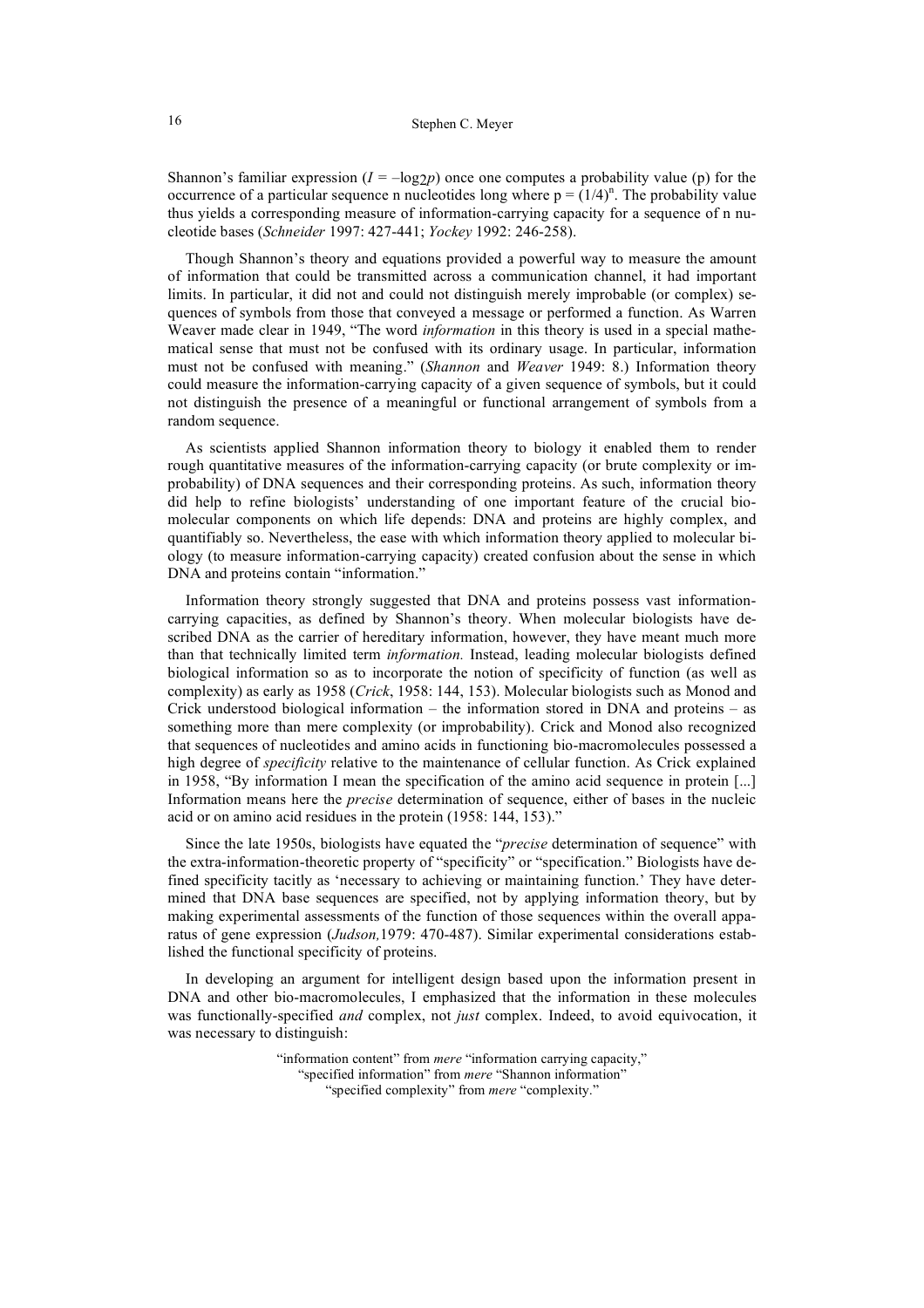Shannon's familiar expression  $(I = -\log_2 p)$  once one computes a probability value (p) for the occurrence of a particular sequence n nucleotides long where  $p = (1/4)^n$ . The probability value thus yields a corresponding measure of information-carrying capacity for a sequence of n nucleotide bases (*Schneider* 1997: 427-441; *Yockey* 1992: 246-258).

Though Shannon's theory and equations provided a powerful way to measure the amount of information that could be transmitted across a communication channel, it had important limits. In particular, it did not and could not distinguish merely improbable (or complex) sequences of symbols from those that conveyed a message or performed a function. As Warren Weaver made clear in 1949, "The word *information* in this theory is used in a special mathematical sense that must not be confused with its ordinary usage. In particular, information must not be confused with meaning." (*Shannon* and *Weaver* 1949: 8.) Information theory could measure the information-carrying capacity of a given sequence of symbols, but it could not distinguish the presence of a meaningful or functional arrangement of symbols from a random sequence.

As scientists applied Shannon information theory to biology it enabled them to render rough quantitative measures of the information-carrying capacity (or brute complexity or improbability) of DNA sequences and their corresponding proteins. As such, information theory did help to refine biologists' understanding of one important feature of the crucial biomolecular components on which life depends: DNA and proteins are highly complex, and quantifiably so. Nevertheless, the ease with which information theory applied to molecular biology (to measure information-carrying capacity) created confusion about the sense in which DNA and proteins contain "information."

Information theory strongly suggested that DNA and proteins possess vast informationcarrying capacities, as defined by Shannon's theory. When molecular biologists have described DNA as the carrier of hereditary information, however, they have meant much more than that technically limited term *information.* Instead, leading molecular biologists defined biological information so as to incorporate the notion of specificity of function (as well as complexity) as early as 1958 (*Crick*, 1958: 144, 153). Molecular biologists such as Monod and Crick understood biological information – the information stored in DNA and proteins – as something more than mere complexity (or improbability). Crick and Monod also recognized that sequences of nucleotides and amino acids in functioning bio-macromolecules possessed a high degree of *specificity* relative to the maintenance of cellular function. As Crick explained in 1958, "By information I mean the specification of the amino acid sequence in protein [...] Information means here the *precise* determination of sequence, either of bases in the nucleic acid or on amino acid residues in the protein (1958: 144, 153)."

Since the late 1950s, biologists have equated the "*precise* determination of sequence" with the extra-information-theoretic property of "specificity" or "specification." Biologists have defined specificity tacitly as 'necessary to achieving or maintaining function.' They have determined that DNA base sequences are specified, not by applying information theory, but by making experimental assessments of the function of those sequences within the overall apparatus of gene expression (*Judson,*1979: 470-487). Similar experimental considerations established the functional specificity of proteins.

In developing an argument for intelligent design based upon the information present in DNA and other bio-macromolecules, I emphasized that the information in these molecules was functionally-specified *and* complex, not *just* complex. Indeed, to avoid equivocation, it was necessary to distinguish:

> "information content" from *mere* "information carrying capacity," "specified information" from *mere* "Shannon information" "specified complexity" from *mere* "complexity."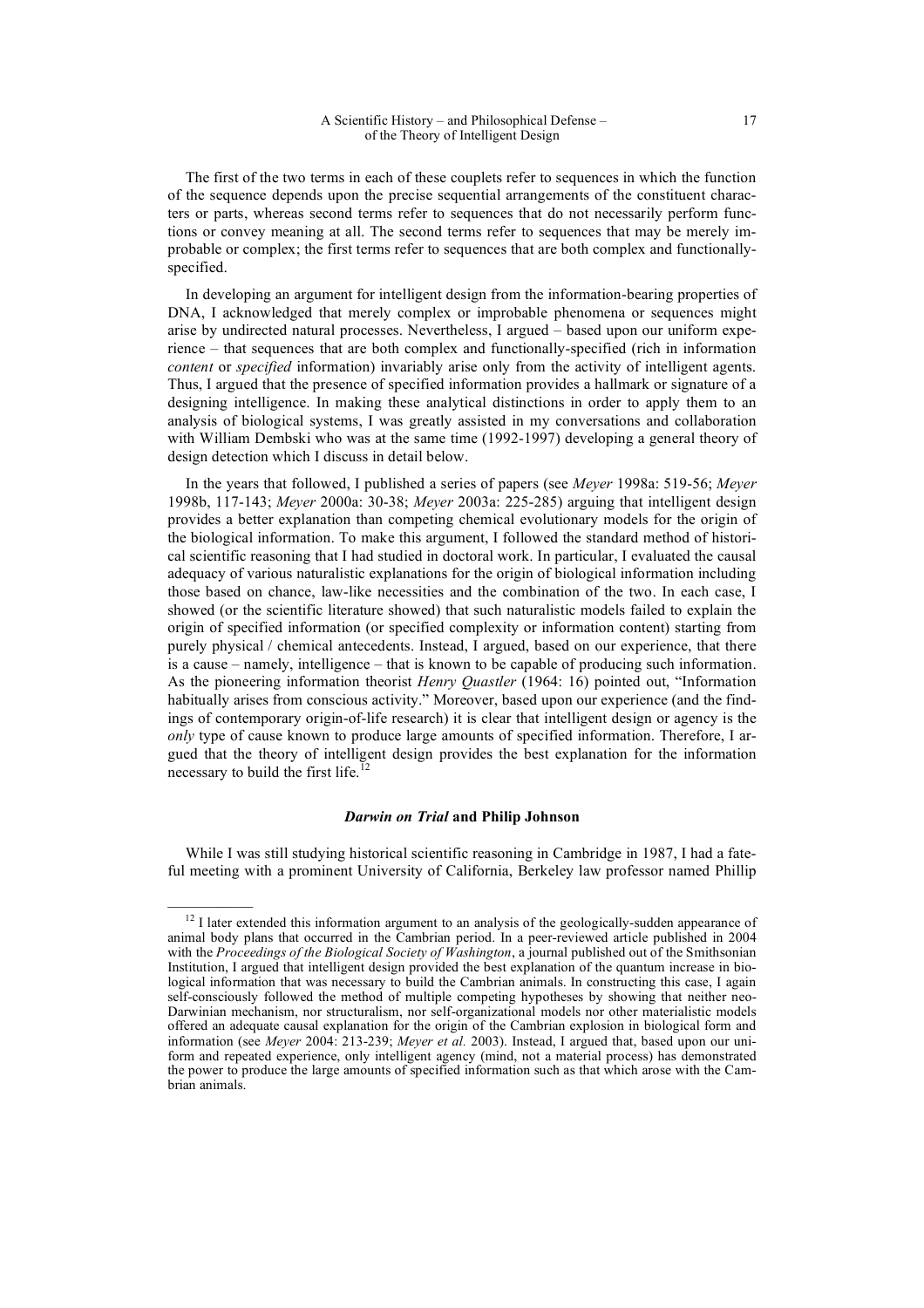The first of the two terms in each of these couplets refer to sequences in which the function of the sequence depends upon the precise sequential arrangements of the constituent characters or parts, whereas second terms refer to sequences that do not necessarily perform functions or convey meaning at all. The second terms refer to sequences that may be merely improbable or complex; the first terms refer to sequences that are both complex and functionallyspecified.

In developing an argument for intelligent design from the information-bearing properties of DNA, I acknowledged that merely complex or improbable phenomena or sequences might arise by undirected natural processes. Nevertheless, I argued – based upon our uniform experience – that sequences that are both complex and functionally-specified (rich in information *content* or *specified* information) invariably arise only from the activity of intelligent agents. Thus, I argued that the presence of specified information provides a hallmark or signature of a designing intelligence. In making these analytical distinctions in order to apply them to an analysis of biological systems, I was greatly assisted in my conversations and collaboration with William Dembski who was at the same time (1992-1997) developing a general theory of design detection which I discuss in detail below.

In the years that followed, I published a series of papers (see *Meyer* 1998a: 519-56; *Meyer* 1998b, 117-143; *Meyer* 2000a: 30-38; *Meyer* 2003a: 225-285) arguing that intelligent design provides a better explanation than competing chemical evolutionary models for the origin of the biological information. To make this argument, I followed the standard method of historical scientific reasoning that I had studied in doctoral work. In particular, I evaluated the causal adequacy of various naturalistic explanations for the origin of biological information including those based on chance, law-like necessities and the combination of the two. In each case, I showed (or the scientific literature showed) that such naturalistic models failed to explain the origin of specified information (or specified complexity or information content) starting from purely physical / chemical antecedents. Instead, I argued, based on our experience, that there is a cause – namely, intelligence – that is known to be capable of producing such information. As the pioneering information theorist *Henry Quastler* (1964: 16) pointed out, "Information habitually arises from conscious activity." Moreover, based upon our experience (and the findings of contemporary origin-of-life research) it is clear that intelligent design or agency is the *only* type of cause known to produce large amounts of specified information. Therefore, I argued that the theory of intelligent design provides the best explanation for the information necessary to build the first life. $<sup>1</sup>$ </sup>

### *Darwin on Trial* **and Philip Johnson**

While I was still studying historical scientific reasoning in Cambridge in 1987, I had a fateful meeting with a prominent University of California, Berkeley law professor named Phillip

<sup>&</sup>lt;sup>12</sup> I later extended this information argument to an analysis of the geologically-sudden appearance of animal body plans that occurred in the Cambrian period. In a peer-reviewed article published in 2004 with the *Proceedings of the Biological Society of Washington*, a journal published out of the Smithsonian Institution, I argued that intelligent design provided the best explanation of the quantum increase in biological information that was necessary to build the Cambrian animals. In constructing this case, I again self-consciously followed the method of multiple competing hypotheses by showing that neither neo-Darwinian mechanism, nor structuralism, nor self-organizational models nor other materialistic models offered an adequate causal explanation for the origin of the Cambrian explosion in biological form and information (see *Meyer* 2004: 213-239; *Meyer et al.* 2003). Instead, I argued that, based upon our uniform and repeated experience, only intelligent agency (mind, not a material process) has demonstrated the power to produce the large amounts of specified information such as that which arose with the Cambrian animals.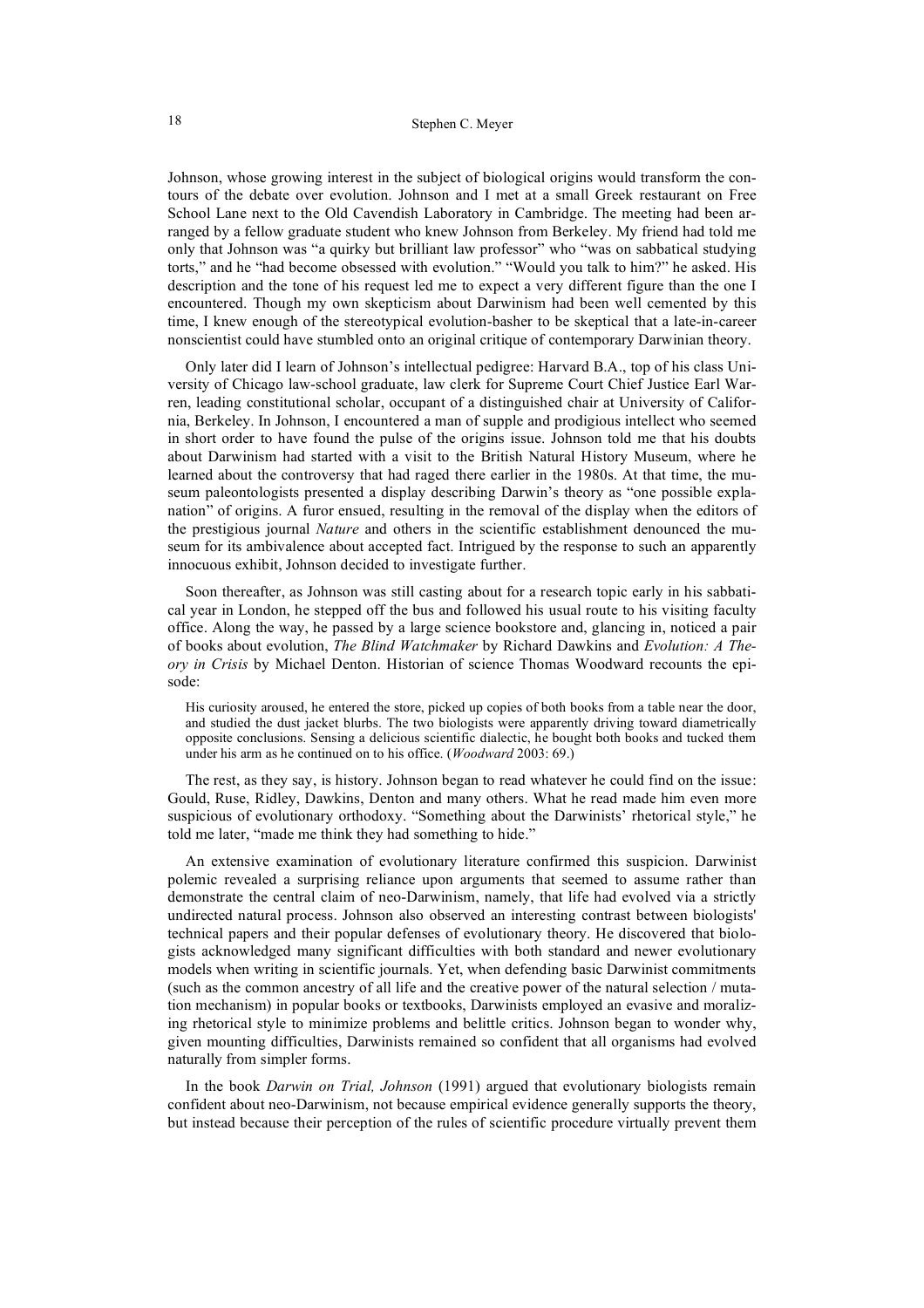Johnson, whose growing interest in the subject of biological origins would transform the contours of the debate over evolution. Johnson and I met at a small Greek restaurant on Free School Lane next to the Old Cavendish Laboratory in Cambridge. The meeting had been arranged by a fellow graduate student who knew Johnson from Berkeley. My friend had told me only that Johnson was "a quirky but brilliant law professor" who "was on sabbatical studying torts," and he "had become obsessed with evolution." "Would you talk to him?" he asked. His description and the tone of his request led me to expect a very different figure than the one I encountered. Though my own skepticism about Darwinism had been well cemented by this time, I knew enough of the stereotypical evolution-basher to be skeptical that a late-in-career nonscientist could have stumbled onto an original critique of contemporary Darwinian theory.

Only later did I learn of Johnson's intellectual pedigree: Harvard B.A., top of his class University of Chicago law-school graduate, law clerk for Supreme Court Chief Justice Earl Warren, leading constitutional scholar, occupant of a distinguished chair at University of California, Berkeley. In Johnson, I encountered a man of supple and prodigious intellect who seemed in short order to have found the pulse of the origins issue. Johnson told me that his doubts about Darwinism had started with a visit to the British Natural History Museum, where he learned about the controversy that had raged there earlier in the 1980s. At that time, the museum paleontologists presented a display describing Darwin's theory as "one possible explanation" of origins. A furor ensued, resulting in the removal of the display when the editors of the prestigious journal *Nature* and others in the scientific establishment denounced the museum for its ambivalence about accepted fact. Intrigued by the response to such an apparently innocuous exhibit, Johnson decided to investigate further.

Soon thereafter, as Johnson was still casting about for a research topic early in his sabbatical year in London, he stepped off the bus and followed his usual route to his visiting faculty office. Along the way, he passed by a large science bookstore and, glancing in, noticed a pair of books about evolution, *The Blind Watchmaker* by Richard Dawkins and *Evolution: A Theory in Crisis* by Michael Denton. Historian of science Thomas Woodward recounts the episode:

His curiosity aroused, he entered the store, picked up copies of both books from a table near the door, and studied the dust jacket blurbs. The two biologists were apparently driving toward diametrically opposite conclusions. Sensing a delicious scientific dialectic, he bought both books and tucked them under his arm as he continued on to his office. (*Woodward* 2003: 69.)

The rest, as they say, is history. Johnson began to read whatever he could find on the issue: Gould, Ruse, Ridley, Dawkins, Denton and many others. What he read made him even more suspicious of evolutionary orthodoxy. "Something about the Darwinists' rhetorical style," he told me later, "made me think they had something to hide."

An extensive examination of evolutionary literature confirmed this suspicion. Darwinist polemic revealed a surprising reliance upon arguments that seemed to assume rather than demonstrate the central claim of neo-Darwinism, namely, that life had evolved via a strictly undirected natural process. Johnson also observed an interesting contrast between biologists' technical papers and their popular defenses of evolutionary theory. He discovered that biologists acknowledged many significant difficulties with both standard and newer evolutionary models when writing in scientific journals. Yet, when defending basic Darwinist commitments (such as the common ancestry of all life and the creative power of the natural selection / mutation mechanism) in popular books or textbooks, Darwinists employed an evasive and moralizing rhetorical style to minimize problems and belittle critics. Johnson began to wonder why, given mounting difficulties, Darwinists remained so confident that all organisms had evolved naturally from simpler forms.

In the book *Darwin on Trial, Johnson* (1991) argued that evolutionary biologists remain confident about neo-Darwinism, not because empirical evidence generally supports the theory, but instead because their perception of the rules of scientific procedure virtually prevent them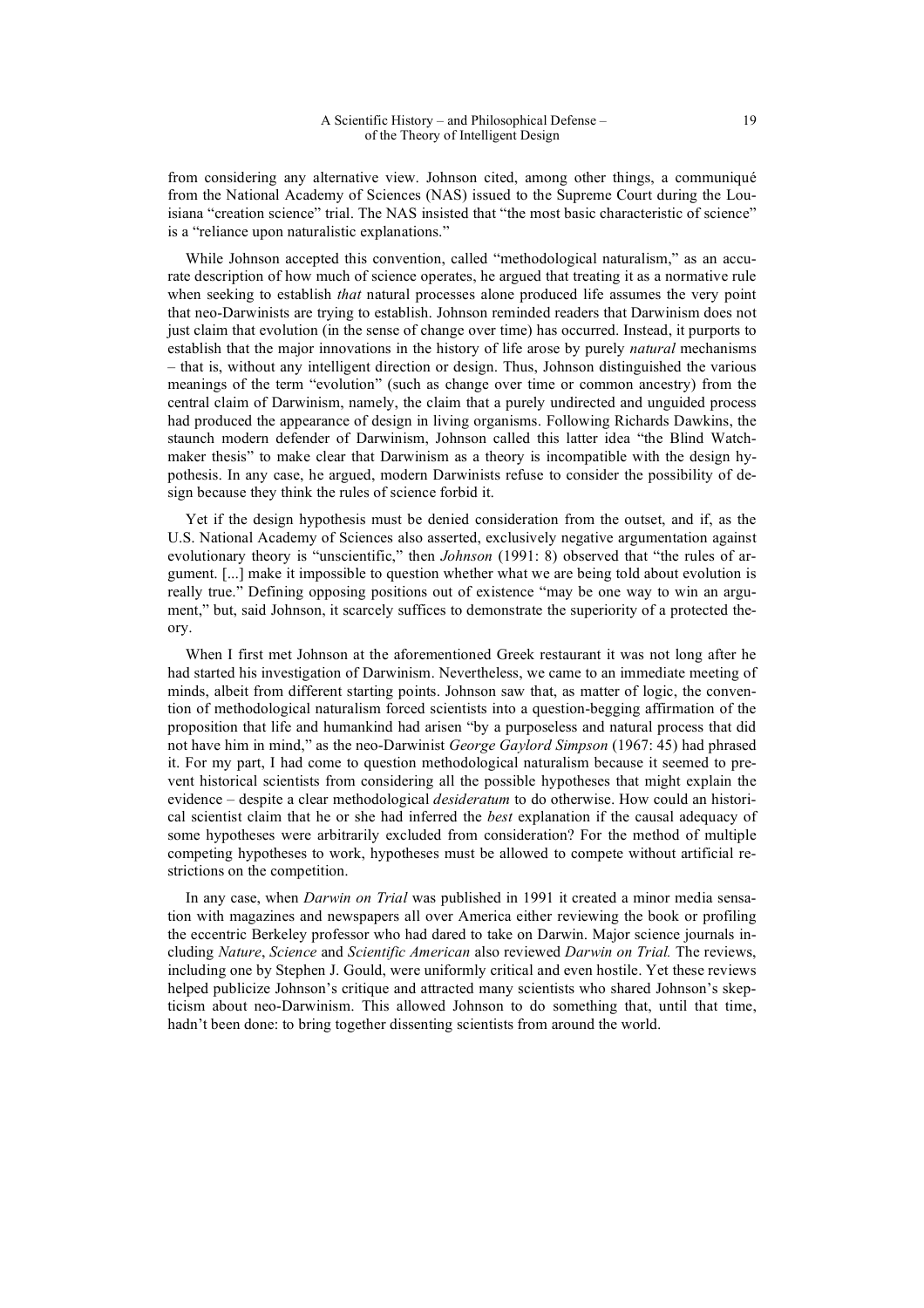from considering any alternative view. Johnson cited, among other things, a communiqué from the National Academy of Sciences (NAS) issued to the Supreme Court during the Louisiana "creation science" trial. The NAS insisted that "the most basic characteristic of science" is a "reliance upon naturalistic explanations."

While Johnson accepted this convention, called "methodological naturalism," as an accurate description of how much of science operates, he argued that treating it as a normative rule when seeking to establish *that* natural processes alone produced life assumes the very point that neo-Darwinists are trying to establish. Johnson reminded readers that Darwinism does not just claim that evolution (in the sense of change over time) has occurred. Instead, it purports to establish that the major innovations in the history of life arose by purely *natural* mechanisms – that is, without any intelligent direction or design. Thus, Johnson distinguished the various meanings of the term "evolution" (such as change over time or common ancestry) from the central claim of Darwinism, namely, the claim that a purely undirected and unguided process had produced the appearance of design in living organisms. Following Richards Dawkins, the staunch modern defender of Darwinism, Johnson called this latter idea "the Blind Watchmaker thesis" to make clear that Darwinism as a theory is incompatible with the design hypothesis. In any case, he argued, modern Darwinists refuse to consider the possibility of design because they think the rules of science forbid it.

Yet if the design hypothesis must be denied consideration from the outset, and if, as the U.S. National Academy of Sciences also asserted, exclusively negative argumentation against evolutionary theory is "unscientific," then *Johnson* (1991: 8) observed that "the rules of argument. [...] make it impossible to question whether what we are being told about evolution is really true." Defining opposing positions out of existence "may be one way to win an argument," but, said Johnson, it scarcely suffices to demonstrate the superiority of a protected theory.

When I first met Johnson at the aforementioned Greek restaurant it was not long after he had started his investigation of Darwinism. Nevertheless, we came to an immediate meeting of minds, albeit from different starting points. Johnson saw that, as matter of logic, the convention of methodological naturalism forced scientists into a question-begging affirmation of the proposition that life and humankind had arisen "by a purposeless and natural process that did not have him in mind," as the neo-Darwinist *George Gaylord Simpson* (1967: 45) had phrased it. For my part, I had come to question methodological naturalism because it seemed to prevent historical scientists from considering all the possible hypotheses that might explain the evidence – despite a clear methodological *desideratum* to do otherwise. How could an historical scientist claim that he or she had inferred the *best* explanation if the causal adequacy of some hypotheses were arbitrarily excluded from consideration? For the method of multiple competing hypotheses to work, hypotheses must be allowed to compete without artificial restrictions on the competition.

In any case, when *Darwin on Trial* was published in 1991 it created a minor media sensation with magazines and newspapers all over America either reviewing the book or profiling the eccentric Berkeley professor who had dared to take on Darwin. Major science journals including *Nature*, *Science* and *Scientific American* also reviewed *Darwin on Trial.* The reviews, including one by Stephen J. Gould, were uniformly critical and even hostile. Yet these reviews helped publicize Johnson's critique and attracted many scientists who shared Johnson's skepticism about neo-Darwinism. This allowed Johnson to do something that, until that time, hadn't been done: to bring together dissenting scientists from around the world.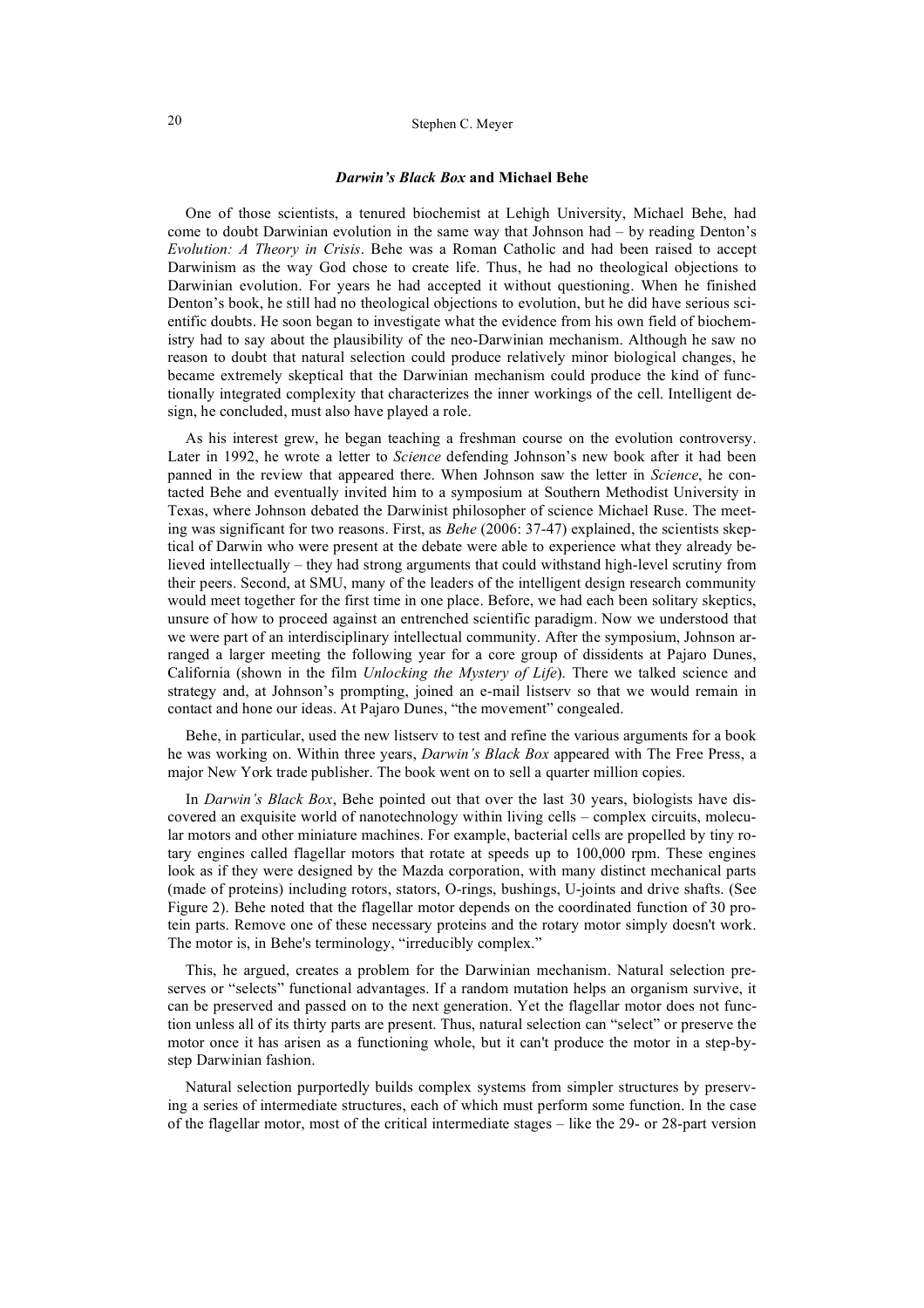# 20 Stephen C. Meyer

#### *Darwin's Black Box* **and Michael Behe**

One of those scientists, a tenured biochemist at Lehigh University, Michael Behe, had come to doubt Darwinian evolution in the same way that Johnson had – by reading Denton's *Evolution: A Theory in Crisis*. Behe was a Roman Catholic and had been raised to accept Darwinism as the way God chose to create life. Thus, he had no theological objections to Darwinian evolution. For years he had accepted it without questioning. When he finished Denton's book, he still had no theological objections to evolution, but he did have serious scientific doubts. He soon began to investigate what the evidence from his own field of biochemistry had to say about the plausibility of the neo-Darwinian mechanism. Although he saw no reason to doubt that natural selection could produce relatively minor biological changes, he became extremely skeptical that the Darwinian mechanism could produce the kind of functionally integrated complexity that characterizes the inner workings of the cell. Intelligent design, he concluded, must also have played a role.

As his interest grew, he began teaching a freshman course on the evolution controversy. Later in 1992, he wrote a letter to *Science* defending Johnson's new book after it had been panned in the review that appeared there. When Johnson saw the letter in *Science*, he contacted Behe and eventually invited him to a symposium at Southern Methodist University in Texas, where Johnson debated the Darwinist philosopher of science Michael Ruse. The meeting was significant for two reasons. First, as *Behe* (2006: 37-47) explained, the scientists skeptical of Darwin who were present at the debate were able to experience what they already believed intellectually – they had strong arguments that could withstand high-level scrutiny from their peers. Second, at SMU, many of the leaders of the intelligent design research community would meet together for the first time in one place. Before, we had each been solitary skeptics, unsure of how to proceed against an entrenched scientific paradigm. Now we understood that we were part of an interdisciplinary intellectual community. After the symposium, Johnson arranged a larger meeting the following year for a core group of dissidents at Pajaro Dunes, California (shown in the film *Unlocking the Mystery of Life*). There we talked science and strategy and, at Johnson's prompting, joined an e-mail listserv so that we would remain in contact and hone our ideas. At Pajaro Dunes, "the movement" congealed.

Behe, in particular, used the new listserv to test and refine the various arguments for a book he was working on. Within three years, *Darwin's Black Box* appeared with The Free Press, a major New York trade publisher. The book went on to sell a quarter million copies.

In *Darwin's Black Box*, Behe pointed out that over the last 30 years, biologists have discovered an exquisite world of nanotechnology within living cells – complex circuits, molecular motors and other miniature machines. For example, bacterial cells are propelled by tiny rotary engines called flagellar motors that rotate at speeds up to 100,000 rpm. These engines look as if they were designed by the Mazda corporation, with many distinct mechanical parts (made of proteins) including rotors, stators, O-rings, bushings, U-joints and drive shafts. (See Figure 2). Behe noted that the flagellar motor depends on the coordinated function of 30 protein parts. Remove one of these necessary proteins and the rotary motor simply doesn't work. The motor is, in Behe's terminology, "irreducibly complex."

This, he argued, creates a problem for the Darwinian mechanism. Natural selection preserves or "selects" functional advantages. If a random mutation helps an organism survive, it can be preserved and passed on to the next generation. Yet the flagellar motor does not function unless all of its thirty parts are present. Thus, natural selection can "select" or preserve the motor once it has arisen as a functioning whole, but it can't produce the motor in a step-bystep Darwinian fashion.

Natural selection purportedly builds complex systems from simpler structures by preserving a series of intermediate structures, each of which must perform some function. In the case of the flagellar motor, most of the critical intermediate stages – like the 29- or 28-part version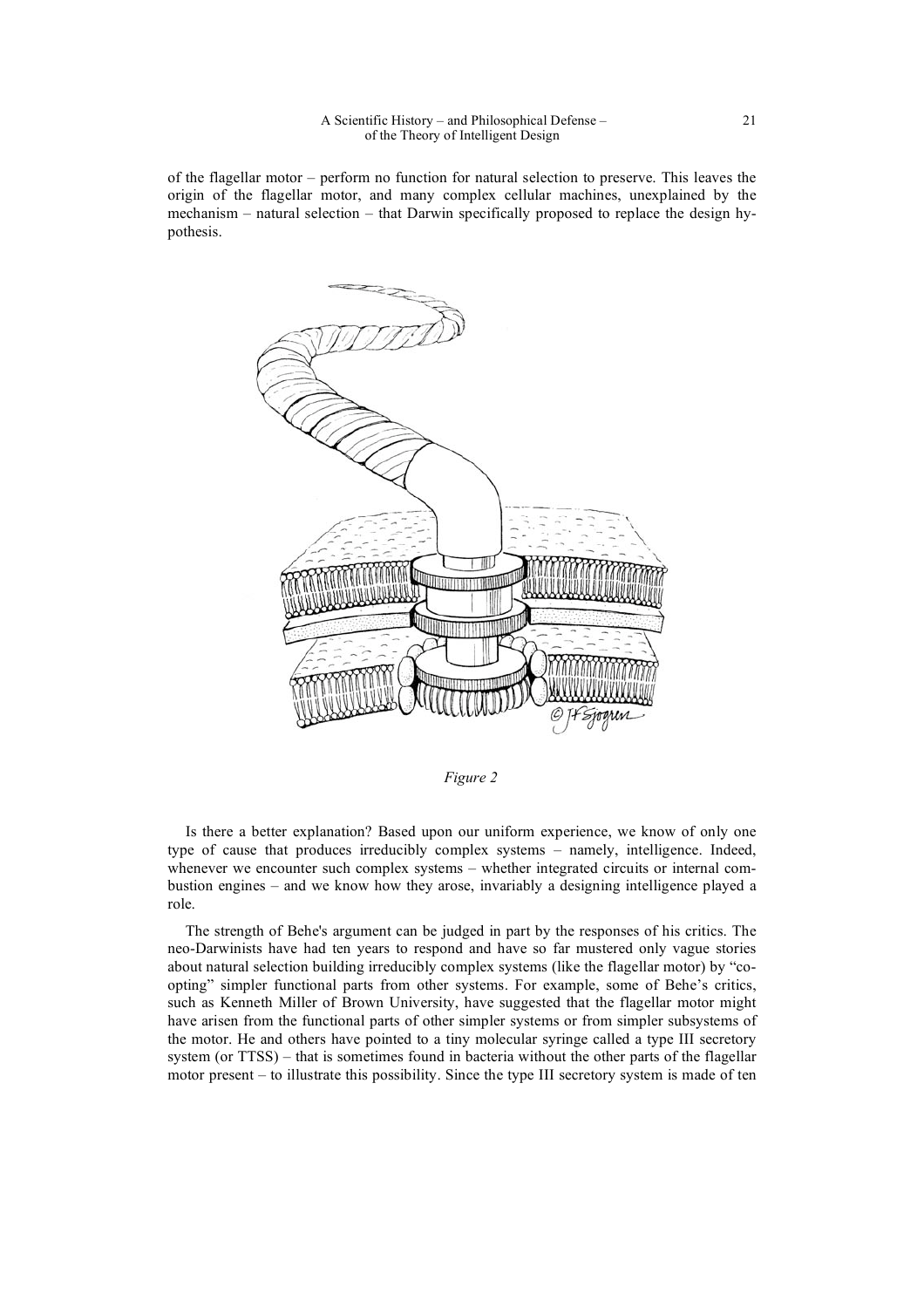of the flagellar motor – perform no function for natural selection to preserve. This leaves the origin of the flagellar motor, and many complex cellular machines, unexplained by the mechanism – natural selection – that Darwin specifically proposed to replace the design hypothesis.



*Figure 2*

Is there a better explanation? Based upon our uniform experience, we know of only one type of cause that produces irreducibly complex systems – namely, intelligence. Indeed, whenever we encounter such complex systems – whether integrated circuits or internal combustion engines – and we know how they arose, invariably a designing intelligence played a role.

The strength of Behe's argument can be judged in part by the responses of his critics. The neo-Darwinists have had ten years to respond and have so far mustered only vague stories about natural selection building irreducibly complex systems (like the flagellar motor) by "coopting" simpler functional parts from other systems. For example, some of Behe's critics, such as Kenneth Miller of Brown University, have suggested that the flagellar motor might have arisen from the functional parts of other simpler systems or from simpler subsystems of the motor. He and others have pointed to a tiny molecular syringe called a type III secretory system (or TTSS) – that is sometimes found in bacteria without the other parts of the flagellar motor present – to illustrate this possibility. Since the type III secretory system is made of ten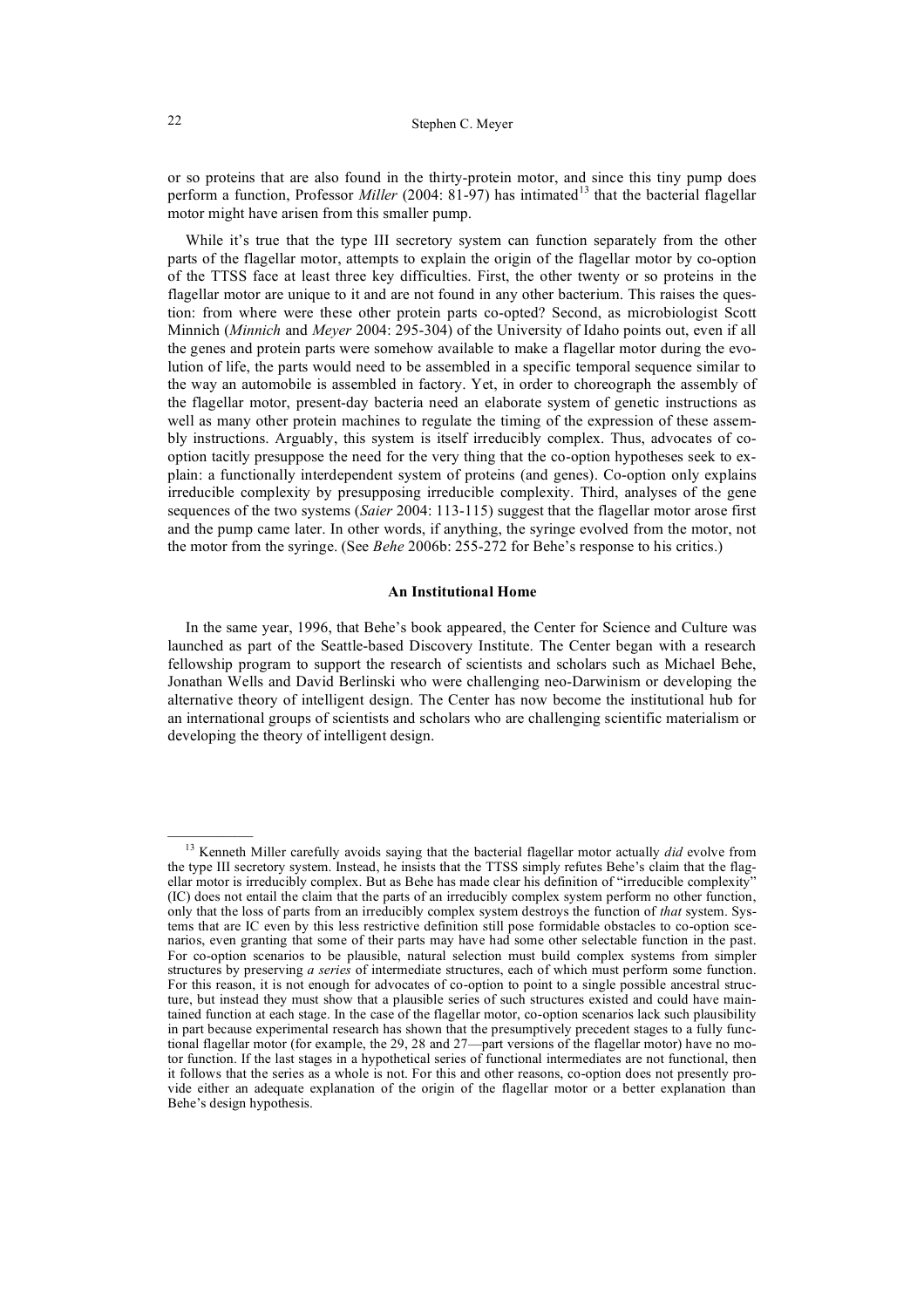or so proteins that are also found in the thirty-protein motor, and since this tiny pump does perform a function, Professor *Miller* (2004: 81-97) has intimated<sup>13</sup> that the bacterial flagellar motor might have arisen from this smaller pump.

While it's true that the type III secretory system can function separately from the other parts of the flagellar motor, attempts to explain the origin of the flagellar motor by co-option of the TTSS face at least three key difficulties. First, the other twenty or so proteins in the flagellar motor are unique to it and are not found in any other bacterium. This raises the question: from where were these other protein parts co-opted? Second, as microbiologist Scott Minnich (*Minnich* and *Meyer* 2004: 295-304) of the University of Idaho points out, even if all the genes and protein parts were somehow available to make a flagellar motor during the evolution of life, the parts would need to be assembled in a specific temporal sequence similar to the way an automobile is assembled in factory. Yet, in order to choreograph the assembly of the flagellar motor, present-day bacteria need an elaborate system of genetic instructions as well as many other protein machines to regulate the timing of the expression of these assembly instructions. Arguably, this system is itself irreducibly complex. Thus, advocates of cooption tacitly presuppose the need for the very thing that the co-option hypotheses seek to explain: a functionally interdependent system of proteins (and genes). Co-option only explains irreducible complexity by presupposing irreducible complexity. Third, analyses of the gene sequences of the two systems (*Saier* 2004: 113-115) suggest that the flagellar motor arose first and the pump came later. In other words, if anything, the syringe evolved from the motor, not the motor from the syringe. (See *Behe* 2006b: 255-272 for Behe's response to his critics.)

### **An Institutional Home**

In the same year, 1996, that Behe's book appeared, the Center for Science and Culture was launched as part of the Seattle-based Discovery Institute. The Center began with a research fellowship program to support the research of scientists and scholars such as Michael Behe, Jonathan Wells and David Berlinski who were challenging neo-Darwinism or developing the alternative theory of intelligent design. The Center has now become the institutional hub for an international groups of scientists and scholars who are challenging scientific materialism or developing the theory of intelligent design.

<sup>&</sup>lt;sup>13</sup> Kenneth Miller carefully avoids saying that the bacterial flagellar motor actually *did* evolve from the type III secretory system. Instead, he insists that the TTSS simply refutes Behe's claim that the flagellar motor is irreducibly complex. But as Behe has made clear his definition of "irreducible complexity" (IC) does not entail the claim that the parts of an irreducibly complex system perform no other function, only that the loss of parts from an irreducibly complex system destroys the function of *that* system. Systems that are IC even by this less restrictive definition still pose formidable obstacles to co-option scenarios, even granting that some of their parts may have had some other selectable function in the past. For co-option scenarios to be plausible, natural selection must build complex systems from simpler structures by preserving *a series* of intermediate structures, each of which must perform some function. For this reason, it is not enough for advocates of co-option to point to a single possible ancestral structure, but instead they must show that a plausible series of such structures existed and could have maintained function at each stage. In the case of the flagellar motor, co-option scenarios lack such plausibility in part because experimental research has shown that the presumptively precedent stages to a fully functional flagellar motor (for example, the 29, 28 and 27—part versions of the flagellar motor) have no motor function. If the last stages in a hypothetical series of functional intermediates are not functional, then it follows that the series as a whole is not. For this and other reasons, co-option does not presently provide either an adequate explanation of the origin of the flagellar motor or a better explanation than Behe's design hypothesis.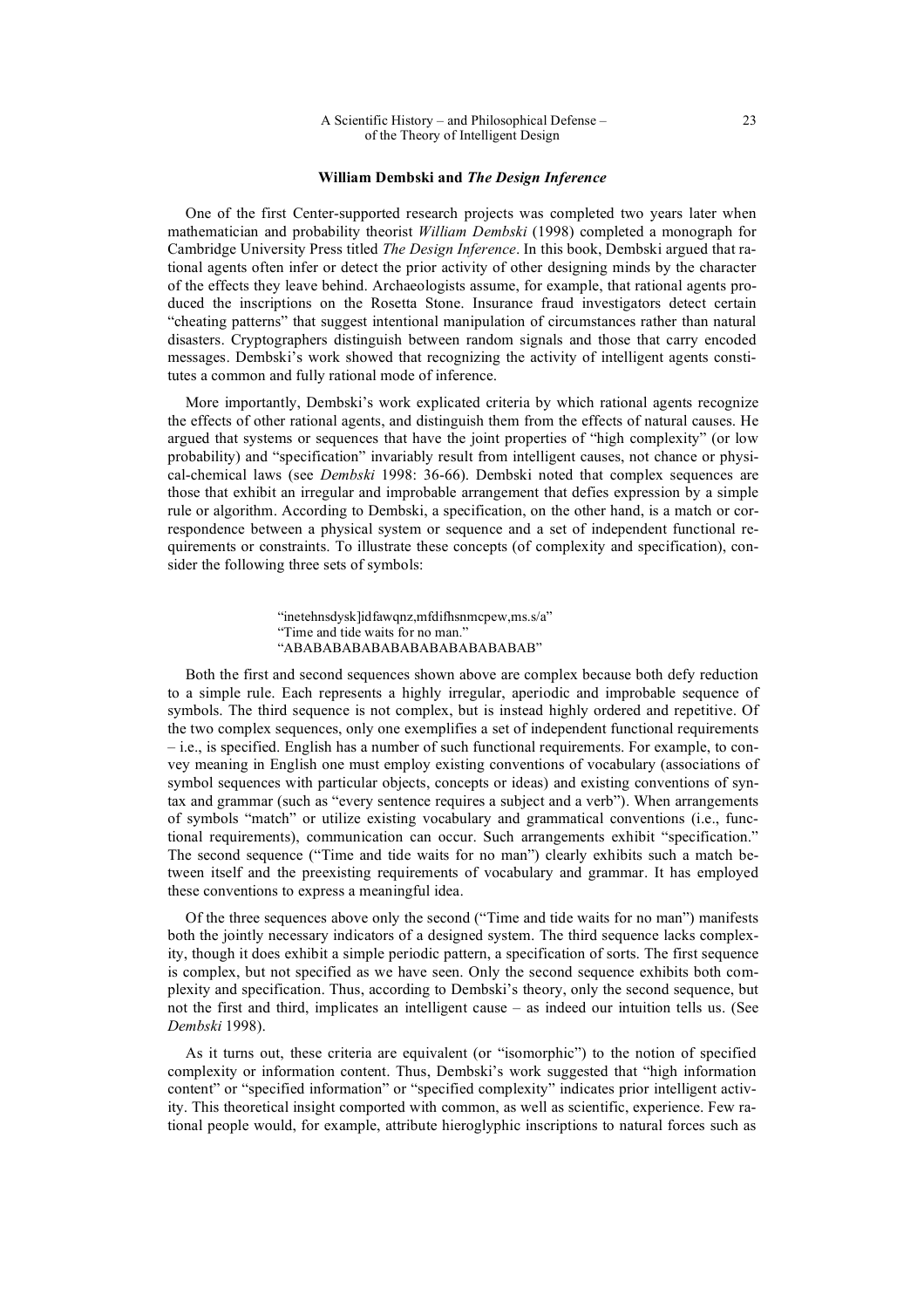#### **William Dembski and** *The Design Inference*

One of the first Center-supported research projects was completed two years later when mathematician and probability theorist *William Dembski* (1998) completed a monograph for Cambridge University Press titled *The Design Inference*. In this book, Dembski argued that rational agents often infer or detect the prior activity of other designing minds by the character of the effects they leave behind. Archaeologists assume, for example, that rational agents produced the inscriptions on the Rosetta Stone. Insurance fraud investigators detect certain "cheating patterns" that suggest intentional manipulation of circumstances rather than natural disasters. Cryptographers distinguish between random signals and those that carry encoded messages. Dembski's work showed that recognizing the activity of intelligent agents constitutes a common and fully rational mode of inference.

More importantly, Dembski's work explicated criteria by which rational agents recognize the effects of other rational agents, and distinguish them from the effects of natural causes. He argued that systems or sequences that have the joint properties of "high complexity" (or low probability) and "specification" invariably result from intelligent causes, not chance or physical-chemical laws (see *Dembski* 1998: 36-66). Dembski noted that complex sequences are those that exhibit an irregular and improbable arrangement that defies expression by a simple rule or algorithm. According to Dembski, a specification, on the other hand, is a match or correspondence between a physical system or sequence and a set of independent functional requirements or constraints. To illustrate these concepts (of complexity and specification), consider the following three sets of symbols:

> "inetehnsdysk]idfawqnz,mfdifhsnmcpew,ms.s/a" "Time and tide waits for no man." "ABABABABABABABABABABABABAB"

Both the first and second sequences shown above are complex because both defy reduction to a simple rule. Each represents a highly irregular, aperiodic and improbable sequence of symbols. The third sequence is not complex, but is instead highly ordered and repetitive. Of the two complex sequences, only one exemplifies a set of independent functional requirements – i.e., is specified. English has a number of such functional requirements. For example, to convey meaning in English one must employ existing conventions of vocabulary (associations of symbol sequences with particular objects, concepts or ideas) and existing conventions of syntax and grammar (such as "every sentence requires a subject and a verb"). When arrangements of symbols "match" or utilize existing vocabulary and grammatical conventions (i.e., functional requirements), communication can occur. Such arrangements exhibit "specification." The second sequence ("Time and tide waits for no man") clearly exhibits such a match between itself and the preexisting requirements of vocabulary and grammar. It has employed these conventions to express a meaningful idea.

Of the three sequences above only the second ("Time and tide waits for no man") manifests both the jointly necessary indicators of a designed system. The third sequence lacks complexity, though it does exhibit a simple periodic pattern, a specification of sorts. The first sequence is complex, but not specified as we have seen. Only the second sequence exhibits both complexity and specification. Thus, according to Dembski's theory, only the second sequence, but not the first and third, implicates an intelligent cause – as indeed our intuition tells us. (See *Dembski* 1998).

As it turns out, these criteria are equivalent (or "isomorphic") to the notion of specified complexity or information content. Thus, Dembski's work suggested that "high information content" or "specified information" or "specified complexity" indicates prior intelligent activity. This theoretical insight comported with common, as well as scientific, experience. Few rational people would, for example, attribute hieroglyphic inscriptions to natural forces such as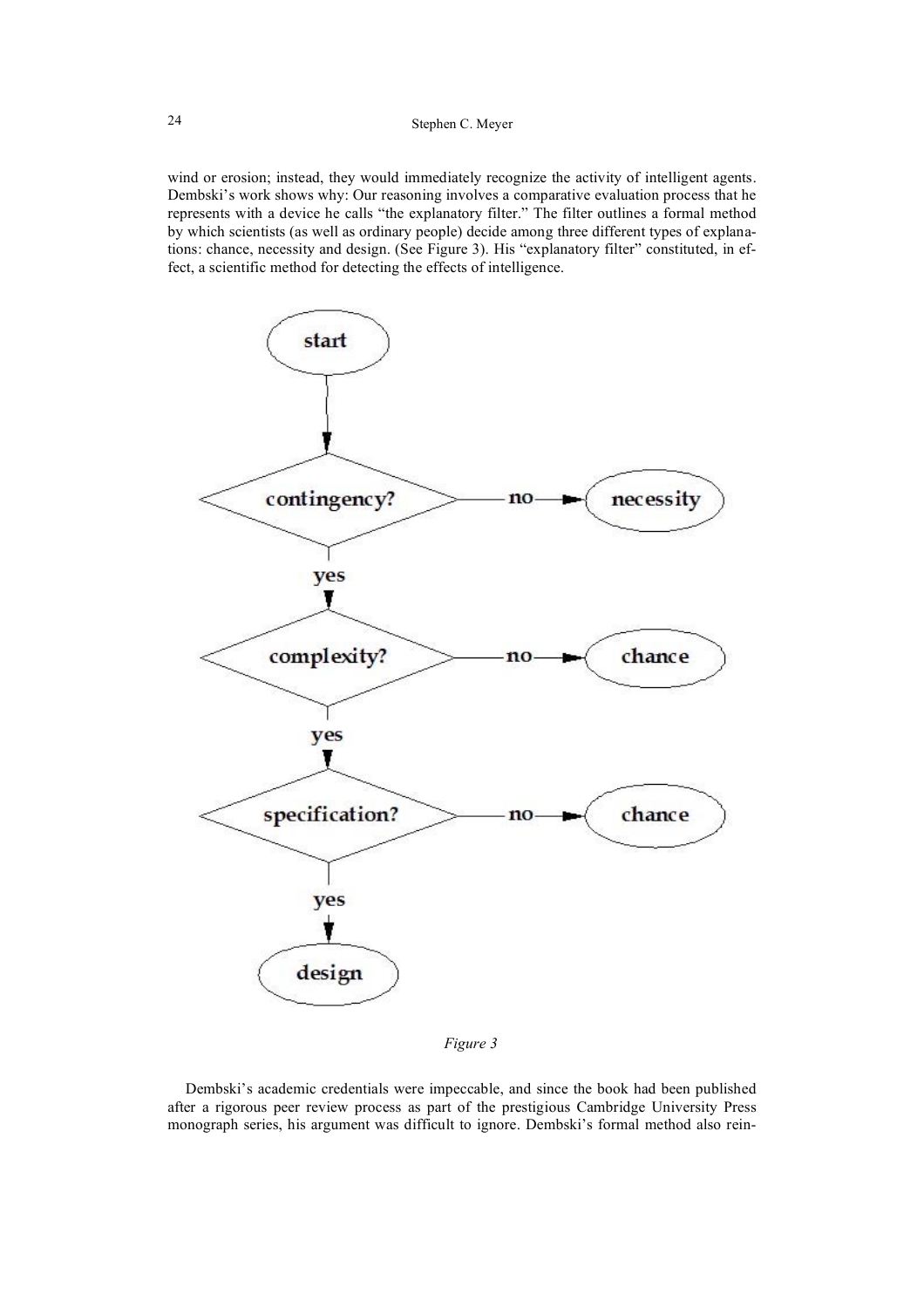wind or erosion; instead, they would immediately recognize the activity of intelligent agents. Dembski's work shows why: Our reasoning involves a comparative evaluation process that he represents with a device he calls "the explanatory filter." The filter outlines a formal method by which scientists (as well as ordinary people) decide among three different types of explanations: chance, necessity and design. (See Figure 3). His "explanatory filter" constituted, in effect, a scientific method for detecting the effects of intelligence.



*Figure 3*

Dembski's academic credentials were impeccable, and since the book had been published after a rigorous peer review process as part of the prestigious Cambridge University Press monograph series, his argument was difficult to ignore. Dembski's formal method also rein-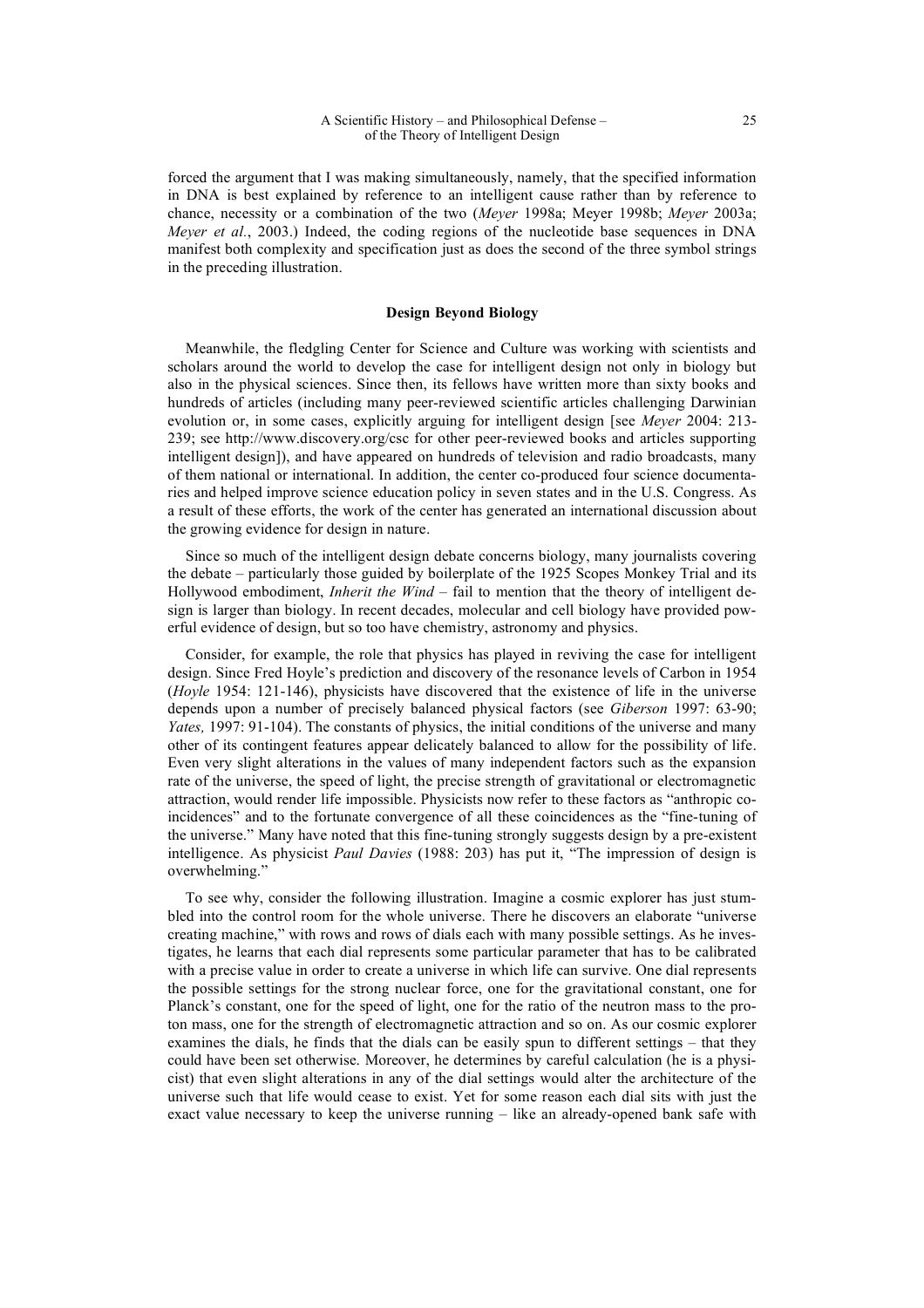forced the argument that I was making simultaneously, namely, that the specified information in DNA is best explained by reference to an intelligent cause rather than by reference to chance, necessity or a combination of the two (*Meyer* 1998a; Meyer 1998b; *Meyer* 2003a; *Meyer et al.*, 2003.) Indeed, the coding regions of the nucleotide base sequences in DNA manifest both complexity and specification just as does the second of the three symbol strings in the preceding illustration.

### **Design Beyond Biology**

Meanwhile, the fledgling Center for Science and Culture was working with scientists and scholars around the world to develop the case for intelligent design not only in biology but also in the physical sciences. Since then, its fellows have written more than sixty books and hundreds of articles (including many peer-reviewed scientific articles challenging Darwinian evolution or, in some cases, explicitly arguing for intelligent design [see *Meyer* 2004: 213- 239; see http://www.discovery.org/csc for other peer-reviewed books and articles supporting intelligent design]), and have appeared on hundreds of television and radio broadcasts, many of them national or international. In addition, the center co-produced four science documentaries and helped improve science education policy in seven states and in the U.S. Congress. As a result of these efforts, the work of the center has generated an international discussion about the growing evidence for design in nature.

Since so much of the intelligent design debate concerns biology, many journalists covering the debate – particularly those guided by boilerplate of the 1925 Scopes Monkey Trial and its Hollywood embodiment, *Inherit the Wind* – fail to mention that the theory of intelligent design is larger than biology. In recent decades, molecular and cell biology have provided powerful evidence of design, but so too have chemistry, astronomy and physics.

Consider, for example, the role that physics has played in reviving the case for intelligent design. Since Fred Hoyle's prediction and discovery of the resonance levels of Carbon in 1954 (*Hoyle* 1954: 121-146), physicists have discovered that the existence of life in the universe depends upon a number of precisely balanced physical factors (see *Giberson* 1997: 63-90; *Yates,* 1997: 91-104). The constants of physics, the initial conditions of the universe and many other of its contingent features appear delicately balanced to allow for the possibility of life. Even very slight alterations in the values of many independent factors such as the expansion rate of the universe, the speed of light, the precise strength of gravitational or electromagnetic attraction, would render life impossible. Physicists now refer to these factors as "anthropic coincidences" and to the fortunate convergence of all these coincidences as the "fine-tuning of the universe." Many have noted that this fine-tuning strongly suggests design by a pre-existent intelligence. As physicist *Paul Davies* (1988: 203) has put it, "The impression of design is overwhelming."

To see why, consider the following illustration. Imagine a cosmic explorer has just stumbled into the control room for the whole universe. There he discovers an elaborate "universe creating machine," with rows and rows of dials each with many possible settings. As he investigates, he learns that each dial represents some particular parameter that has to be calibrated with a precise value in order to create a universe in which life can survive. One dial represents the possible settings for the strong nuclear force, one for the gravitational constant, one for Planck's constant, one for the speed of light, one for the ratio of the neutron mass to the proton mass, one for the strength of electromagnetic attraction and so on. As our cosmic explorer examines the dials, he finds that the dials can be easily spun to different settings – that they could have been set otherwise. Moreover, he determines by careful calculation (he is a physicist) that even slight alterations in any of the dial settings would alter the architecture of the universe such that life would cease to exist. Yet for some reason each dial sits with just the exact value necessary to keep the universe running – like an already-opened bank safe with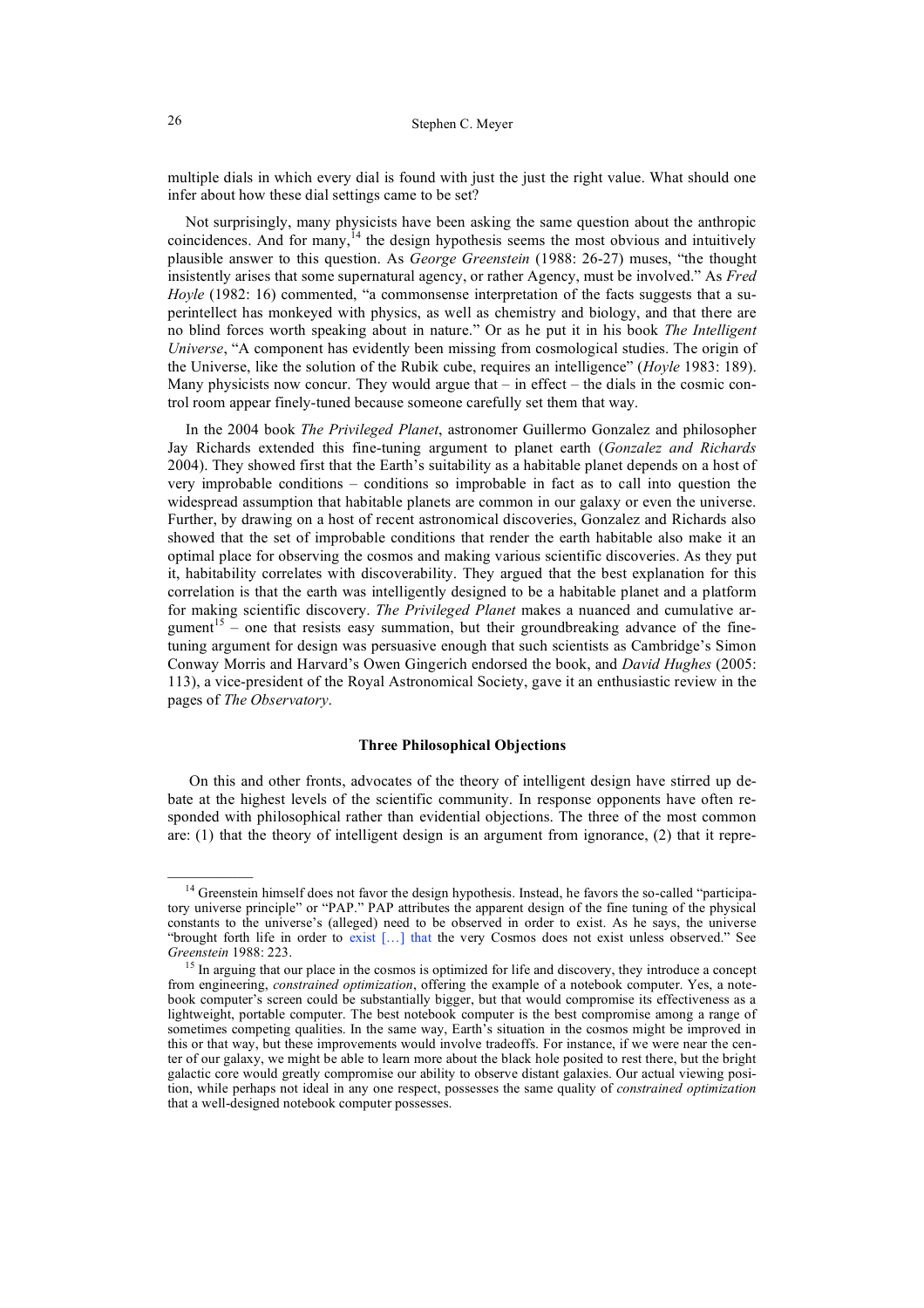multiple dials in which every dial is found with just the just the right value. What should one infer about how these dial settings came to be set?

Not surprisingly, many physicists have been asking the same question about the anthropic coincidences. And for many, $^{14}$  the design hypothesis seems the most obvious and intuitively plausible answer to this question. As *George Greenstein* (1988: 26-27) muses, "the thought insistently arises that some supernatural agency, or rather Agency, must be involved." As *Fred Hoyle* (1982: 16) commented, "a commonsense interpretation of the facts suggests that a superintellect has monkeyed with physics, as well as chemistry and biology, and that there are no blind forces worth speaking about in nature." Or as he put it in his book *The Intelligent Universe*, "A component has evidently been missing from cosmological studies. The origin of the Universe, like the solution of the Rubik cube, requires an intelligence" (*Hoyle* 1983: 189). Many physicists now concur. They would argue that  $-$  in effect  $-$  the dials in the cosmic control room appear finely-tuned because someone carefully set them that way.

In the 2004 book *The Privileged Planet*, astronomer Guillermo Gonzalez and philosopher Jay Richards extended this fine-tuning argument to planet earth (*Gonzalez and Richards* 2004). They showed first that the Earth's suitability as a habitable planet depends on a host of very improbable conditions – conditions so improbable in fact as to call into question the widespread assumption that habitable planets are common in our galaxy or even the universe. Further, by drawing on a host of recent astronomical discoveries, Gonzalez and Richards also showed that the set of improbable conditions that render the earth habitable also make it an optimal place for observing the cosmos and making various scientific discoveries. As they put it, habitability correlates with discoverability. They argued that the best explanation for this correlation is that the earth was intelligently designed to be a habitable planet and a platform for making scientific discovery. *The Privileged Planet* makes a nuanced and cumulative argument<sup>15</sup> – one that resists easy summation, but their groundbreaking advance of the finetuning argument for design was persuasive enough that such scientists as Cambridge's Simon Conway Morris and Harvard's Owen Gingerich endorsed the book, and *David Hughes* (2005: 113), a vice-president of the Royal Astronomical Society, gave it an enthusiastic review in the pages of *The Observatory*.

### **Three Philosophical Objections**

 On this and other fronts, advocates of the theory of intelligent design have stirred up debate at the highest levels of the scientific community. In response opponents have often responded with philosophical rather than evidential objections. The three of the most common are: (1) that the theory of intelligent design is an argument from ignorance, (2) that it repre-

 $\mathcal{L}=\mathcal{L}$ 

<sup>&</sup>lt;sup>14</sup> Greenstein himself does not favor the design hypothesis. Instead, he favors the so-called "participatory universe principle" or "PAP." PAP attributes the apparent design of the fine tuning of the physical constants to the universe's (alleged) need to be observed in order to exist. As he says, the universe "brought forth life in order to exist […] that the very Cosmos does not exist unless observed." See *Greenstein* 1988: 223.

<sup>&</sup>lt;sup>15</sup> In arguing that our place in the cosmos is optimized for life and discovery, they introduce a concept from engineering, *constrained optimization*, offering the example of a notebook computer. Yes, a notebook computer's screen could be substantially bigger, but that would compromise its effectiveness as a lightweight, portable computer. The best notebook computer is the best compromise among a range of sometimes competing qualities. In the same way, Earth's situation in the cosmos might be improved in this or that way, but these improvements would involve tradeoffs. For instance, if we were near the center of our galaxy, we might be able to learn more about the black hole posited to rest there, but the bright galactic core would greatly compromise our ability to observe distant galaxies. Our actual viewing position, while perhaps not ideal in any one respect, possesses the same quality of *constrained optimization*  that a well-designed notebook computer possesses.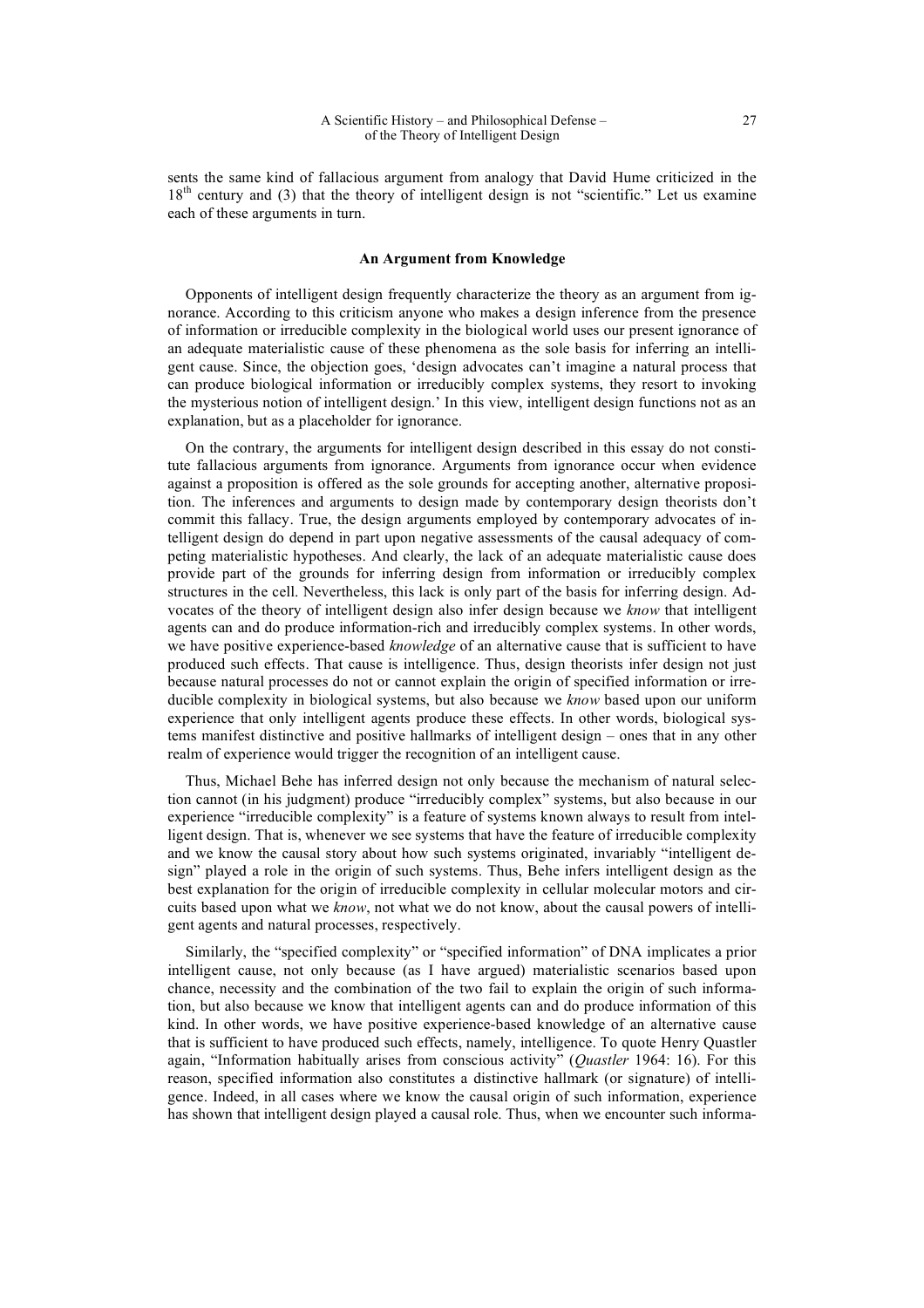sents the same kind of fallacious argument from analogy that David Hume criticized in the 18<sup>th</sup> century and (3) that the theory of intelligent design is not "scientific." Let us examine each of these arguments in turn.

### **An Argument from Knowledge**

Opponents of intelligent design frequently characterize the theory as an argument from ignorance. According to this criticism anyone who makes a design inference from the presence of information or irreducible complexity in the biological world uses our present ignorance of an adequate materialistic cause of these phenomena as the sole basis for inferring an intelligent cause. Since, the objection goes, 'design advocates can't imagine a natural process that can produce biological information or irreducibly complex systems, they resort to invoking the mysterious notion of intelligent design.' In this view, intelligent design functions not as an explanation, but as a placeholder for ignorance.

On the contrary, the arguments for intelligent design described in this essay do not constitute fallacious arguments from ignorance. Arguments from ignorance occur when evidence against a proposition is offered as the sole grounds for accepting another, alternative proposition. The inferences and arguments to design made by contemporary design theorists don't commit this fallacy. True, the design arguments employed by contemporary advocates of intelligent design do depend in part upon negative assessments of the causal adequacy of competing materialistic hypotheses. And clearly, the lack of an adequate materialistic cause does provide part of the grounds for inferring design from information or irreducibly complex structures in the cell. Nevertheless, this lack is only part of the basis for inferring design. Advocates of the theory of intelligent design also infer design because we *know* that intelligent agents can and do produce information-rich and irreducibly complex systems. In other words, we have positive experience-based *knowledge* of an alternative cause that is sufficient to have produced such effects. That cause is intelligence. Thus, design theorists infer design not just because natural processes do not or cannot explain the origin of specified information or irreducible complexity in biological systems, but also because we *know* based upon our uniform experience that only intelligent agents produce these effects. In other words, biological systems manifest distinctive and positive hallmarks of intelligent design – ones that in any other realm of experience would trigger the recognition of an intelligent cause.

Thus, Michael Behe has inferred design not only because the mechanism of natural selection cannot (in his judgment) produce "irreducibly complex" systems, but also because in our experience "irreducible complexity" is a feature of systems known always to result from intelligent design. That is, whenever we see systems that have the feature of irreducible complexity and we know the causal story about how such systems originated, invariably "intelligent design" played a role in the origin of such systems. Thus, Behe infers intelligent design as the best explanation for the origin of irreducible complexity in cellular molecular motors and circuits based upon what we *know*, not what we do not know, about the causal powers of intelligent agents and natural processes, respectively.

Similarly, the "specified complexity" or "specified information" of DNA implicates a prior intelligent cause, not only because (as I have argued) materialistic scenarios based upon chance, necessity and the combination of the two fail to explain the origin of such information, but also because we know that intelligent agents can and do produce information of this kind. In other words, we have positive experience-based knowledge of an alternative cause that is sufficient to have produced such effects, namely, intelligence. To quote Henry Quastler again, "Information habitually arises from conscious activity" (*Quastler* 1964: 16). For this reason, specified information also constitutes a distinctive hallmark (or signature) of intelligence. Indeed, in all cases where we know the causal origin of such information, experience has shown that intelligent design played a causal role. Thus, when we encounter such informa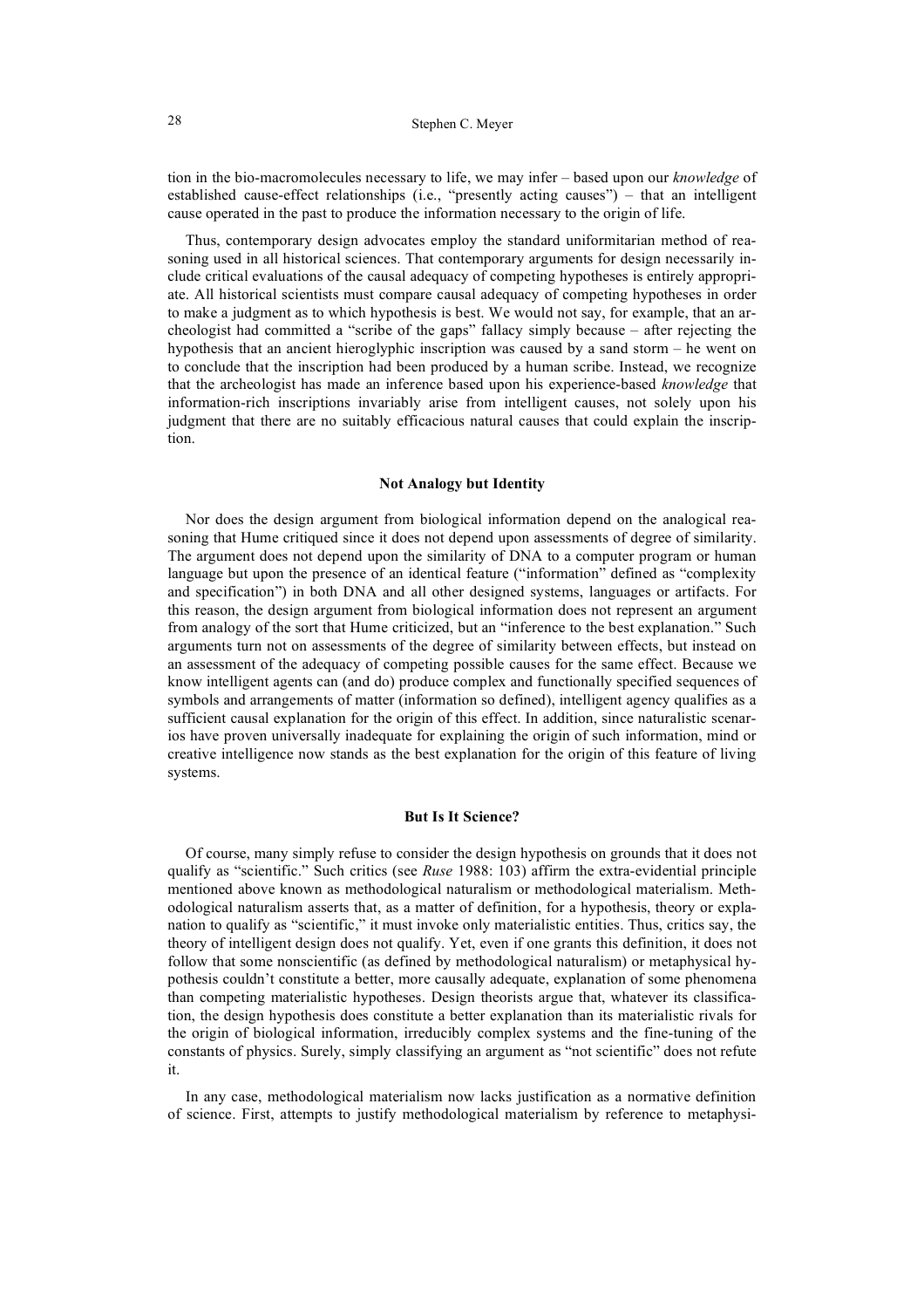tion in the bio-macromolecules necessary to life, we may infer – based upon our *knowledge* of established cause-effect relationships (i.e., "presently acting causes") – that an intelligent cause operated in the past to produce the information necessary to the origin of life.

Thus, contemporary design advocates employ the standard uniformitarian method of reasoning used in all historical sciences. That contemporary arguments for design necessarily include critical evaluations of the causal adequacy of competing hypotheses is entirely appropriate. All historical scientists must compare causal adequacy of competing hypotheses in order to make a judgment as to which hypothesis is best. We would not say, for example, that an archeologist had committed a "scribe of the gaps" fallacy simply because – after rejecting the hypothesis that an ancient hieroglyphic inscription was caused by a sand storm – he went on to conclude that the inscription had been produced by a human scribe. Instead, we recognize that the archeologist has made an inference based upon his experience-based *knowledge* that information-rich inscriptions invariably arise from intelligent causes, not solely upon his judgment that there are no suitably efficacious natural causes that could explain the inscription.

## **Not Analogy but Identity**

Nor does the design argument from biological information depend on the analogical reasoning that Hume critiqued since it does not depend upon assessments of degree of similarity. The argument does not depend upon the similarity of DNA to a computer program or human language but upon the presence of an identical feature ("information" defined as "complexity and specification") in both DNA and all other designed systems, languages or artifacts. For this reason, the design argument from biological information does not represent an argument from analogy of the sort that Hume criticized, but an "inference to the best explanation." Such arguments turn not on assessments of the degree of similarity between effects, but instead on an assessment of the adequacy of competing possible causes for the same effect. Because we know intelligent agents can (and do) produce complex and functionally specified sequences of symbols and arrangements of matter (information so defined), intelligent agency qualifies as a sufficient causal explanation for the origin of this effect. In addition, since naturalistic scenarios have proven universally inadequate for explaining the origin of such information, mind or creative intelligence now stands as the best explanation for the origin of this feature of living systems.

## **But Is It Science?**

Of course, many simply refuse to consider the design hypothesis on grounds that it does not qualify as "scientific." Such critics (see *Ruse* 1988: 103) affirm the extra-evidential principle mentioned above known as methodological naturalism or methodological materialism. Methodological naturalism asserts that, as a matter of definition, for a hypothesis, theory or explanation to qualify as "scientific," it must invoke only materialistic entities. Thus, critics say, the theory of intelligent design does not qualify. Yet, even if one grants this definition, it does not follow that some nonscientific (as defined by methodological naturalism) or metaphysical hypothesis couldn't constitute a better, more causally adequate, explanation of some phenomena than competing materialistic hypotheses. Design theorists argue that, whatever its classification, the design hypothesis does constitute a better explanation than its materialistic rivals for the origin of biological information, irreducibly complex systems and the fine-tuning of the constants of physics. Surely, simply classifying an argument as "not scientific" does not refute it.

In any case, methodological materialism now lacks justification as a normative definition of science. First, attempts to justify methodological materialism by reference to metaphysi-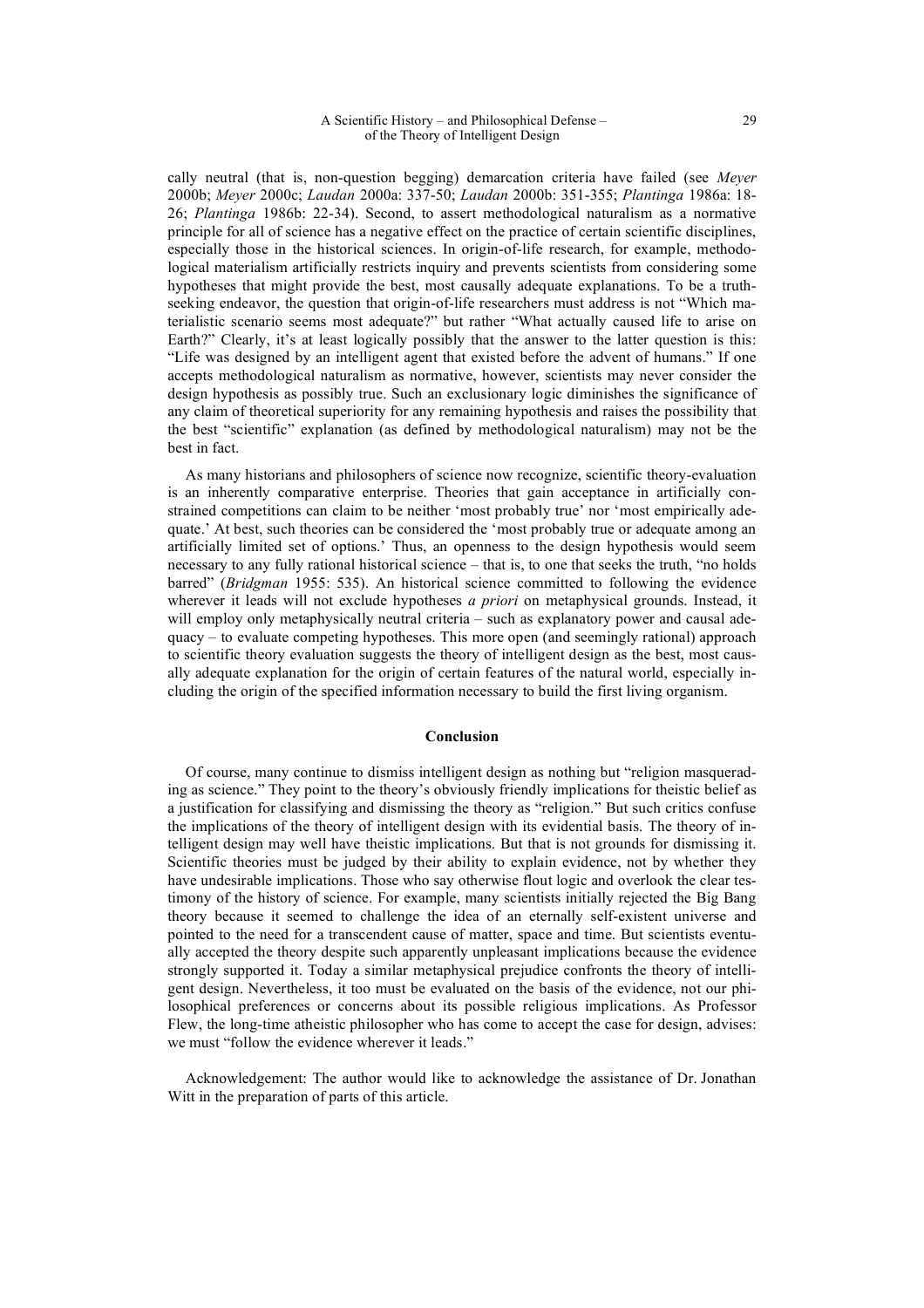cally neutral (that is, non-question begging) demarcation criteria have failed (see *Meyer* 2000b; *Meyer* 2000c; *Laudan* 2000a: 337-50; *Laudan* 2000b: 351-355; *Plantinga* 1986a: 18- 26; *Plantinga* 1986b: 22-34). Second, to assert methodological naturalism as a normative principle for all of science has a negative effect on the practice of certain scientific disciplines, especially those in the historical sciences. In origin-of-life research, for example, methodological materialism artificially restricts inquiry and prevents scientists from considering some hypotheses that might provide the best, most causally adequate explanations. To be a truthseeking endeavor, the question that origin-of-life researchers must address is not "Which materialistic scenario seems most adequate?" but rather "What actually caused life to arise on Earth?" Clearly, it's at least logically possibly that the answer to the latter question is this: "Life was designed by an intelligent agent that existed before the advent of humans." If one accepts methodological naturalism as normative, however, scientists may never consider the design hypothesis as possibly true. Such an exclusionary logic diminishes the significance of any claim of theoretical superiority for any remaining hypothesis and raises the possibility that the best "scientific" explanation (as defined by methodological naturalism) may not be the best in fact.

As many historians and philosophers of science now recognize, scientific theory-evaluation is an inherently comparative enterprise. Theories that gain acceptance in artificially constrained competitions can claim to be neither 'most probably true' nor 'most empirically adequate.' At best, such theories can be considered the 'most probably true or adequate among an artificially limited set of options.' Thus, an openness to the design hypothesis would seem necessary to any fully rational historical science – that is, to one that seeks the truth, "no holds barred" (*Bridgman* 1955: 535). An historical science committed to following the evidence wherever it leads will not exclude hypotheses *a priori* on metaphysical grounds. Instead, it will employ only metaphysically neutral criteria – such as explanatory power and causal adequacy – to evaluate competing hypotheses. This more open (and seemingly rational) approach to scientific theory evaluation suggests the theory of intelligent design as the best, most causally adequate explanation for the origin of certain features of the natural world, especially including the origin of the specified information necessary to build the first living organism.

#### **Conclusion**

Of course, many continue to dismiss intelligent design as nothing but "religion masquerading as science." They point to the theory's obviously friendly implications for theistic belief as a justification for classifying and dismissing the theory as "religion." But such critics confuse the implications of the theory of intelligent design with its evidential basis. The theory of intelligent design may well have theistic implications. But that is not grounds for dismissing it. Scientific theories must be judged by their ability to explain evidence, not by whether they have undesirable implications. Those who say otherwise flout logic and overlook the clear testimony of the history of science. For example, many scientists initially rejected the Big Bang theory because it seemed to challenge the idea of an eternally self-existent universe and pointed to the need for a transcendent cause of matter, space and time. But scientists eventually accepted the theory despite such apparently unpleasant implications because the evidence strongly supported it. Today a similar metaphysical prejudice confronts the theory of intelligent design. Nevertheless, it too must be evaluated on the basis of the evidence, not our philosophical preferences or concerns about its possible religious implications. As Professor Flew, the long-time atheistic philosopher who has come to accept the case for design, advises: we must "follow the evidence wherever it leads."

Acknowledgement: The author would like to acknowledge the assistance of Dr. Jonathan Witt in the preparation of parts of this article.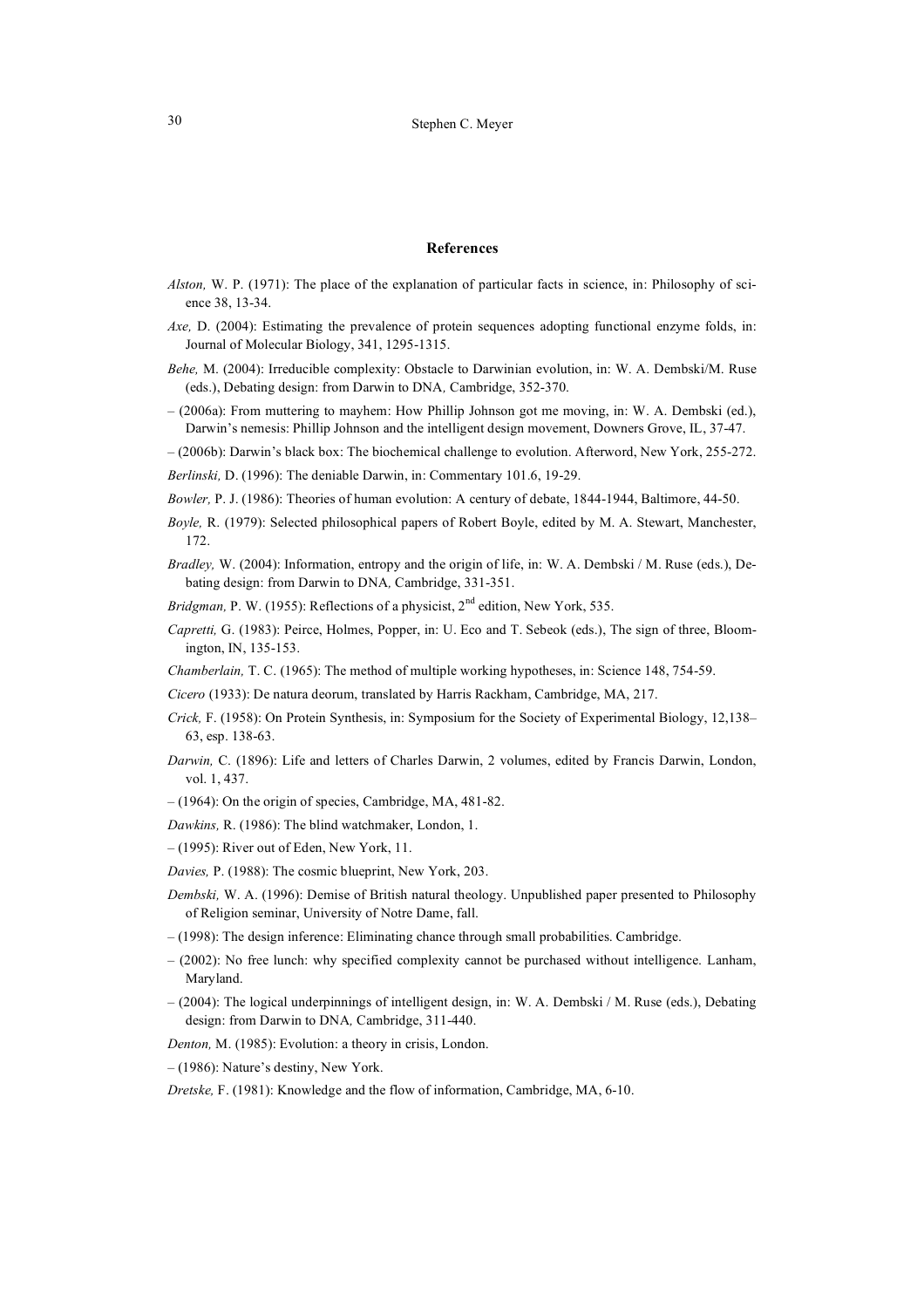#### **References**

- *Alston,* W. P. (1971): The place of the explanation of particular facts in science, in: Philosophy of science 38, 13-34.
- *Axe,* D. (2004): Estimating the prevalence of protein sequences adopting functional enzyme folds, in: Journal of Molecular Biology, 341, 1295-1315.
- *Behe,* M. (2004): Irreducible complexity: Obstacle to Darwinian evolution, in: W. A. Dembski/M. Ruse (eds.), Debating design: from Darwin to DNA*,* Cambridge, 352-370.
- *–* (2006a): From muttering to mayhem: How Phillip Johnson got me moving, in: W. A. Dembski (ed.), Darwin's nemesis: Phillip Johnson and the intelligent design movement, Downers Grove, IL, 37-47.
- (2006b): Darwin's black box: The biochemical challenge to evolution. Afterword, New York, 255-272.
- *Berlinski,* D. (1996): The deniable Darwin, in: Commentary 101.6, 19-29.
- *Bowler,* P. J. (1986): Theories of human evolution: A century of debate, 1844-1944, Baltimore, 44-50.
- *Boyle,* R. (1979): Selected philosophical papers of Robert Boyle, edited by M. A. Stewart, Manchester, 172.
- *Bradley,* W. (2004): Information, entropy and the origin of life, in: W. A. Dembski / M. Ruse (eds.), Debating design: from Darwin to DNA*,* Cambridge, 331-351.
- *Bridgman, P. W. (1955): Reflections of a physicist, 2<sup>nd</sup> edition, New York, 535.*
- *Capretti,* G. (1983): Peirce, Holmes, Popper, in: U. Eco and T. Sebeok (eds.), The sign of three, Bloomington, IN, 135-153.
- *Chamberlain,* T. C. (1965): The method of multiple working hypotheses, in: Science 148, 754-59.
- *Cicero* (1933): De natura deorum, translated by Harris Rackham, Cambridge, MA, 217.
- *Crick,* F. (1958): On Protein Synthesis, in: Symposium for the Society of Experimental Biology, 12,138– 63, esp. 138-63.
- *Darwin,* C. (1896): Life and letters of Charles Darwin, 2 volumes, edited by Francis Darwin, London, vol. 1, 437.
- (1964): On the origin of species, Cambridge, MA, 481-82.
- *Dawkins,* R. (1986): The blind watchmaker, London, 1.
- (1995): River out of Eden, New York, 11.
- *Davies,* P. (1988): The cosmic blueprint, New York, 203.
- *Dembski,* W. A. (1996): Demise of British natural theology. Unpublished paper presented to Philosophy of Religion seminar, University of Notre Dame, fall.
- (1998): The design inference: Eliminating chance through small probabilities. Cambridge.
- (2002): No free lunch: why specified complexity cannot be purchased without intelligence. Lanham, Maryland.
- (2004): The logical underpinnings of intelligent design, in: W. A. Dembski / M. Ruse (eds.), Debating design: from Darwin to DNA*,* Cambridge, 311-440.
- *Denton,* M. (1985): Evolution: a theory in crisis, London.
- (1986): Nature's destiny, New York.
- *Dretske,* F. (1981): Knowledge and the flow of information, Cambridge, MA, 6-10.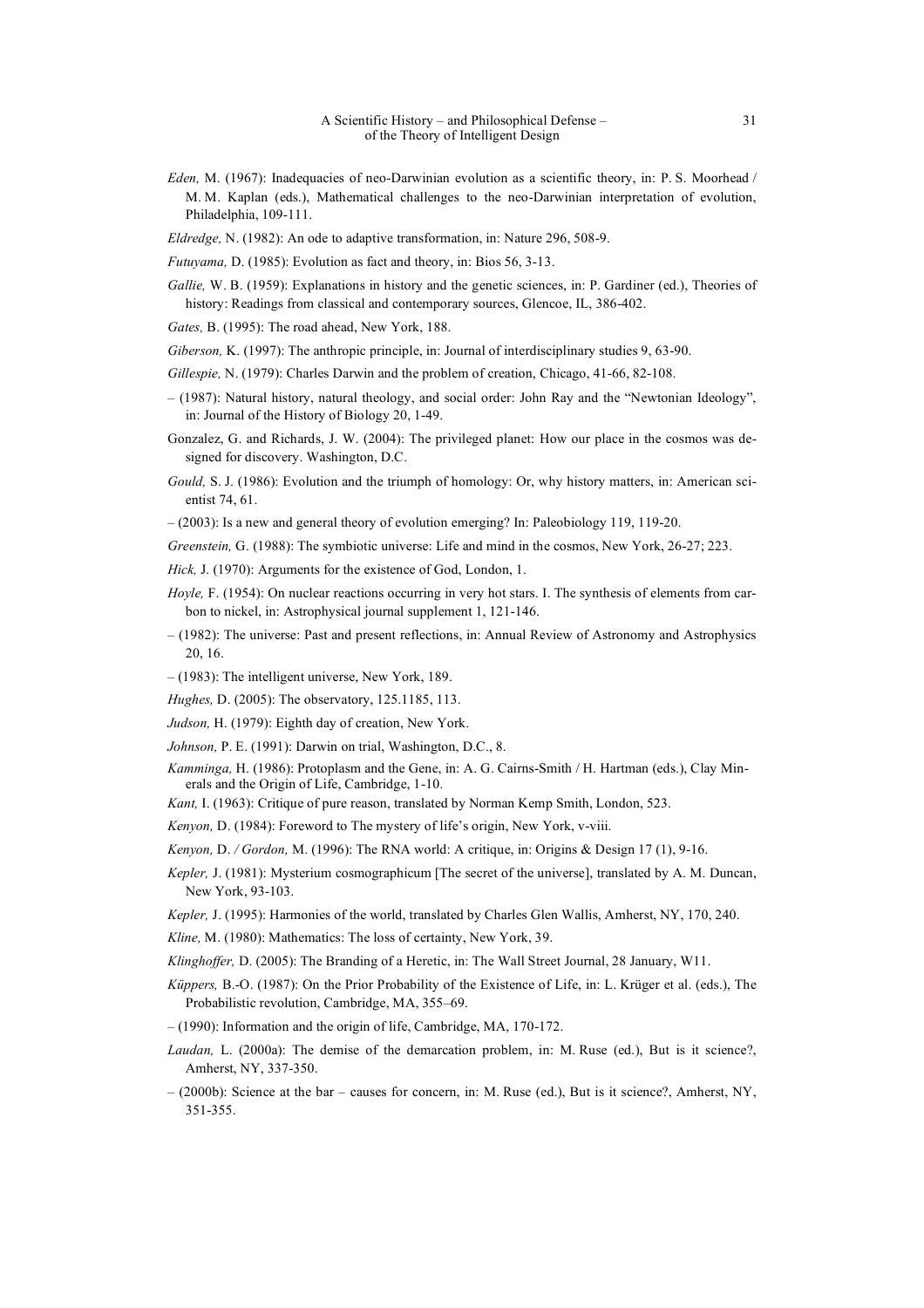- *Eden,* M. (1967): Inadequacies of neo-Darwinian evolution as a scientific theory, in: P. S. Moorhead / M. M. Kaplan (eds.), Mathematical challenges to the neo-Darwinian interpretation of evolution, Philadelphia, 109-111.
- *Eldredge,* N. (1982): An ode to adaptive transformation, in: Nature 296, 508-9.
- *Futuyama,* D. (1985): Evolution as fact and theory, in: Bios 56, 3-13.
- *Gallie*, W. B. (1959): Explanations in history and the genetic sciences, in: P. Gardiner (ed.), Theories of history: Readings from classical and contemporary sources, Glencoe, IL, 386-402.
- *Gates,* B. (1995): The road ahead, New York, 188.
- *Giberson,* K. (1997): The anthropic principle, in: Journal of interdisciplinary studies 9, 63-90.
- *Gillespie,* N. (1979): Charles Darwin and the problem of creation, Chicago, 41-66, 82-108.
- (1987): Natural history, natural theology, and social order: John Ray and the "Newtonian Ideology", in: Journal of the History of Biology 20, 1-49.
- Gonzalez, G. and Richards, J. W. (2004): The privileged planet: How our place in the cosmos was designed for discovery. Washington, D.C.
- *Gould,* S. J. (1986): Evolution and the triumph of homology: Or, why history matters, in: American scientist 74, 61.
- (2003): Is a new and general theory of evolution emerging? In: Paleobiology 119, 119-20.
- *Greenstein,* G. (1988): The symbiotic universe: Life and mind in the cosmos, New York, 26-27; 223.
- *Hick,* J. (1970): Arguments for the existence of God, London, 1.
- *Hoyle*, F. (1954): On nuclear reactions occurring in very hot stars. I. The synthesis of elements from carbon to nickel, in: Astrophysical journal supplement 1, 121-146.
- (1982): The universe: Past and present reflections, in: Annual Review of Astronomy and Astrophysics 20, 16.
- (1983): The intelligent universe, New York, 189.
- *Hughes,* D. (2005): The observatory, 125.1185, 113.
- *Judson,* H. (1979): Eighth day of creation, New York.
- *Johnson,* P. E. (1991): Darwin on trial, Washington, D.C., 8.
- *Kamminga,* H. (1986): Protoplasm and the Gene, in: A. G. Cairns-Smith / H. Hartman (eds.), Clay Minerals and the Origin of Life, Cambridge, 1-10.
- *Kant,* I. (1963): Critique of pure reason, translated by Norman Kemp Smith, London, 523.
- *Kenyon,* D. (1984): Foreword to The mystery of life's origin, New York, v-viii.
- *Kenyon,* D. */ Gordon,* M. (1996): The RNA world: A critique, in: Origins & Design 17 (1), 9-16.
- *Kepler,* J. (1981): Mysterium cosmographicum [The secret of the universe], translated by A. M. Duncan, New York, 93-103.
- *Kepler,* J. (1995): Harmonies of the world, translated by Charles Glen Wallis, Amherst, NY, 170, 240.
- *Kline,* M. (1980): Mathematics: The loss of certainty, New York, 39.
- *Klinghoffer,* D. (2005): The Branding of a Heretic, in: The Wall Street Journal, 28 January, W11.
- *Küppers,* B.-O. (1987): On the Prior Probability of the Existence of Life, in: L. Krüger et al. (eds.), The Probabilistic revolution, Cambridge, MA, 355–69.
- *–* (1990): Information and the origin of life, Cambridge, MA, 170-172.
- Laudan, L. (2000a): The demise of the demarcation problem, in: M. Ruse (ed.), But is it science?, Amherst, NY, 337-350.
- *–* (2000b): Science at the bar causes for concern, in: M. Ruse (ed.), But is it science?, Amherst, NY, 351-355.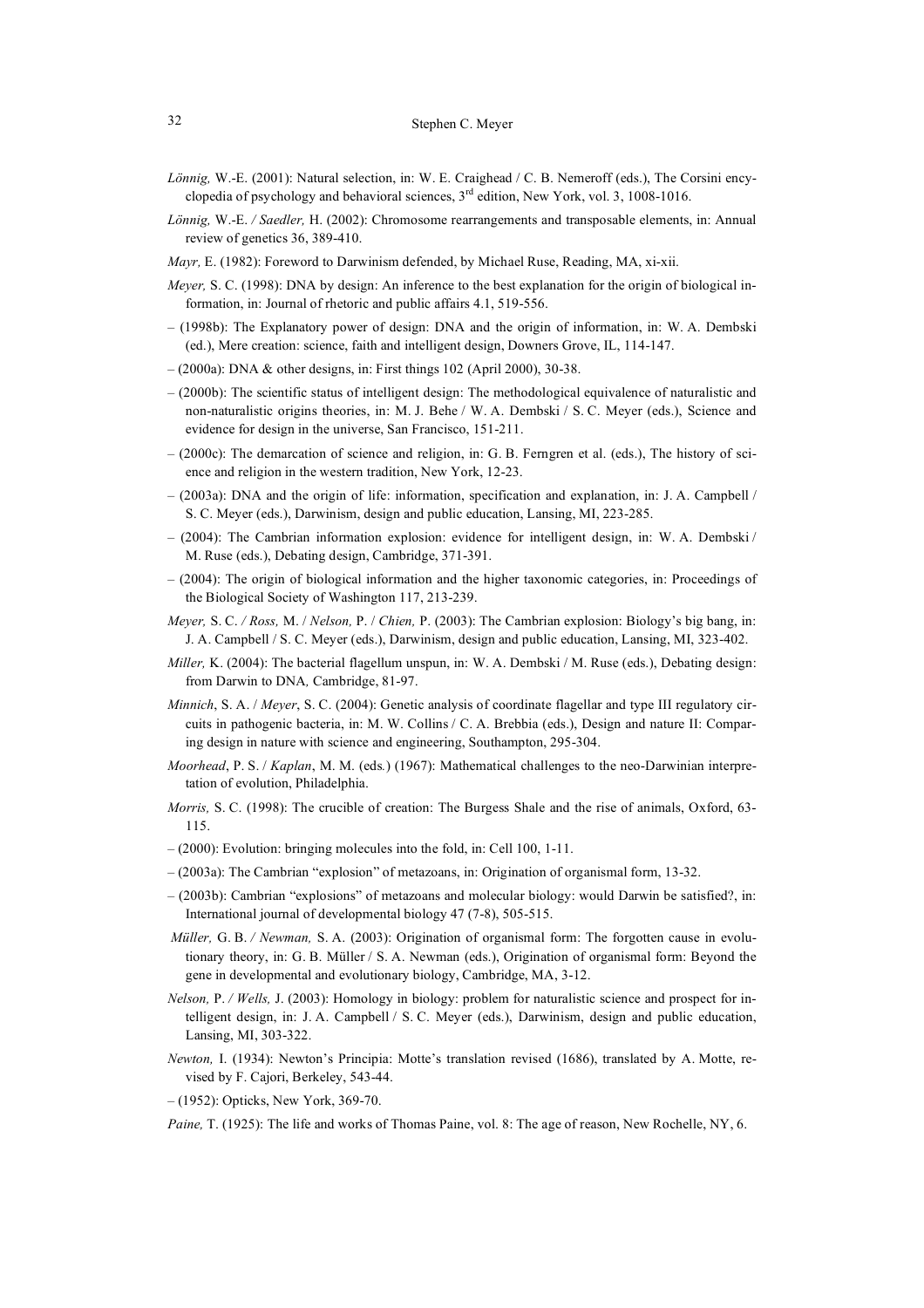- *Lönnig,* W.-E. (2001): Natural selection, in: W. E. Craighead / C. B. Nemeroff (eds.), The Corsini encyclopedia of psychology and behavioral sciences,  $3<sup>rd</sup>$  edition, New York, vol. 3, 1008-1016.
- *Lönnig,* W.-E. */ Saedler,* H. (2002): Chromosome rearrangements and transposable elements, in: Annual review of genetics 36, 389-410.
- *Mayr,* E. (1982): Foreword to Darwinism defended, by Michael Ruse, Reading, MA, xi-xii.
- *Meyer*, S. C. (1998): DNA by design: An inference to the best explanation for the origin of biological information, in: Journal of rhetoric and public affairs 4.1, 519-556.
- (1998b): The Explanatory power of design: DNA and the origin of information, in: W. A. Dembski (ed.), Mere creation: science, faith and intelligent design, Downers Grove, IL, 114-147.
- (2000a): DNA & other designs, in: First things 102 (April 2000), 30-38.
- (2000b): The scientific status of intelligent design: The methodological equivalence of naturalistic and non-naturalistic origins theories, in: M. J. Behe / W. A. Dembski / S. C. Meyer (eds.), Science and evidence for design in the universe, San Francisco, 151-211.
- (2000c): The demarcation of science and religion, in: G. B. Ferngren et al. (eds.), The history of science and religion in the western tradition, New York, 12-23.
- (2003a): DNA and the origin of life: information, specification and explanation, in: J. A. Campbell / S. C. Meyer (eds.), Darwinism, design and public education, Lansing, MI, 223-285.
- (2004): The Cambrian information explosion: evidence for intelligent design, in: W. A. Dembski / M. Ruse (eds.), Debating design, Cambridge, 371-391.
- (2004): The origin of biological information and the higher taxonomic categories, in: Proceedings of the Biological Society of Washington 117, 213-239.
- *Meyer,* S. C. */ Ross,* M. / *Nelson,* P. / *Chien,* P. (2003): The Cambrian explosion: Biology's big bang, in: J. A. Campbell / S. C. Meyer (eds.), Darwinism, design and public education, Lansing, MI, 323-402.
- *Miller,* K. (2004): The bacterial flagellum unspun, in: W. A. Dembski / M. Ruse (eds.), Debating design: from Darwin to DNA*,* Cambridge, 81-97.
- *Minnich*, S. A. / *Meyer*, S. C. (2004): Genetic analysis of coordinate flagellar and type III regulatory circuits in pathogenic bacteria, in: M. W. Collins / C. A. Brebbia (eds.), Design and nature II: Comparing design in nature with science and engineering, Southampton, 295-304.
- *Moorhead*, P. S. / *Kaplan*, M. M. (eds*.*) (1967): Mathematical challenges to the neo-Darwinian interpretation of evolution, Philadelphia.
- *Morris,* S. C. (1998): The crucible of creation: The Burgess Shale and the rise of animals, Oxford, 63-115.
- *–* (2000): Evolution: bringing molecules into the fold, in: Cell 100, 1-11.
- (2003a): The Cambrian "explosion" of metazoans, in: Origination of organismal form, 13-32.
- *–* (2003b): Cambrian "explosions" of metazoans and molecular biology: would Darwin be satisfied?, in: International journal of developmental biology 47 (7-8), 505-515.
- *Müller,* G. B. */ Newman,* S. A. (2003): Origination of organismal form: The forgotten cause in evolutionary theory, in: G. B. Müller / S. A. Newman (eds.), Origination of organismal form: Beyond the gene in developmental and evolutionary biology, Cambridge, MA, 3-12.
- *Nelson,* P. */ Wells,* J. (2003): Homology in biology: problem for naturalistic science and prospect for intelligent design, in: J. A. Campbell / S. C. Meyer (eds.), Darwinism, design and public education, Lansing, MI, 303-322.
- *Newton,* I. (1934): Newton's Principia: Motte's translation revised (1686), translated by A. Motte, revised by F. Cajori, Berkeley, 543-44.
- *–* (1952): Opticks, New York, 369-70.

*Paine,* T. (1925): The life and works of Thomas Paine, vol. 8: The age of reason, New Rochelle, NY, 6.